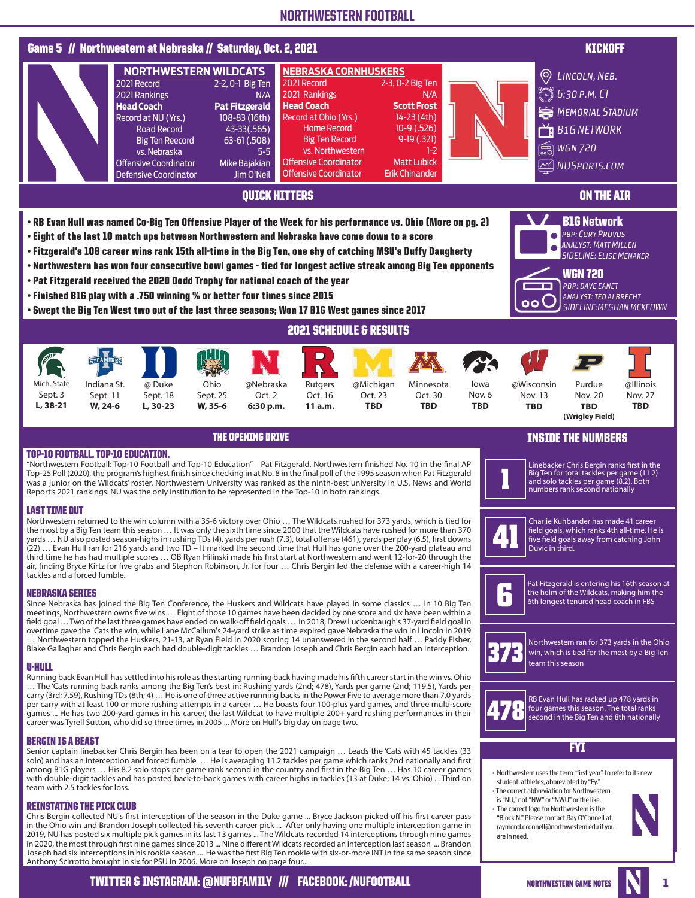

NORTHWESTERN GAME NOTES **NORTHWESTERN**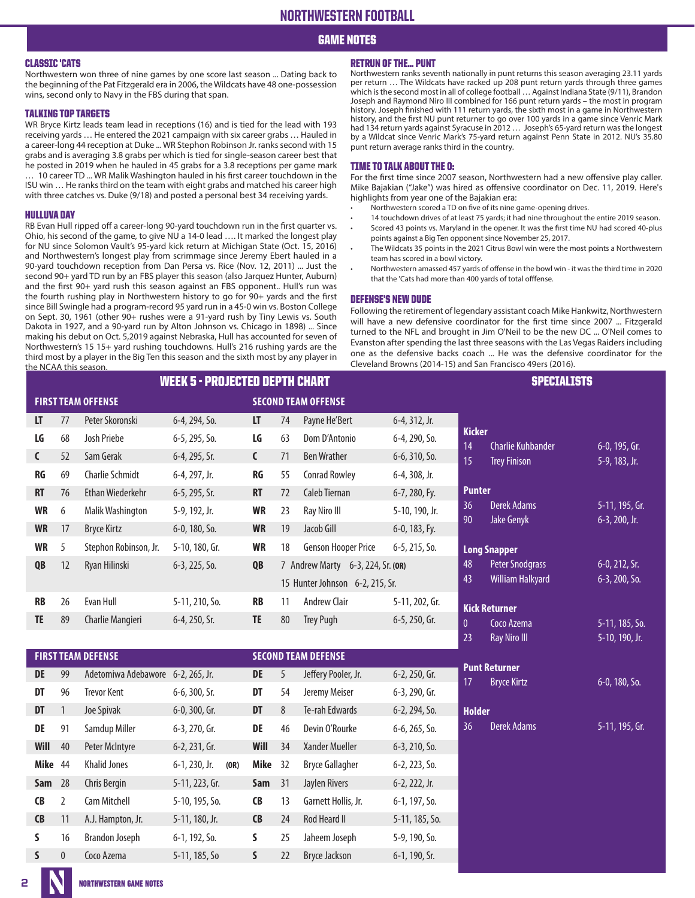### GAME NOTES

### CLASSIC 'CATS

Northwestern won three of nine games by one score last season ... Dating back to the beginning of the Pat Fitzgerald era in 2006, the Wildcats have 48 one-possession wins, second only to Navy in the FBS during that span.

### TALKING TOP TARGETS

WR Bryce Kirtz leads team lead in receptions (16) and is tied for the lead with 193 receiving yards … He entered the 2021 campaign with six career grabs … Hauled in a career-long 44 reception at Duke ... WR Stephon Robinson Jr. ranks second with 15 grabs and is averaging 3.8 grabs per which is tied for single-season career best that he posted in 2019 when he hauled in 45 grabs for a 3.8 receptions per game mark … 10 career TD ... WR Malik Washington hauled in his first career touchdown in the

ISU win … He ranks third on the team with eight grabs and matched his career high with three catches vs. Duke (9/18) and posted a personal best 34 receiving yards.

### HULLUVA DAY

RB Evan Hull ripped off a career-long 90-yard touchdown run in the first quarter vs. Ohio, his second of the game, to give NU a 14-0 lead …. It marked the longest play for NU since Solomon Vault's 95-yard kick return at Michigan State (Oct. 15, 2016) and Northwestern's longest play from scrimmage since Jeremy Ebert hauled in a 90-yard touchdown reception from Dan Persa vs. Rice (Nov. 12, 2011) ... Just the second 90+ yard TD run by an FBS player this season (also Jarquez Hunter, Auburn) and the first 90+ yard rush this season against an FBS opponent.. Hull's run was the fourth rushing play in Northwestern history to go for 90+ yards and the first since Bill Swingle had a program-record 95 yard run in a 45-0 win vs. Boston College on Sept. 30, 1961 (other 90+ rushes were a 91-yard rush by Tiny Lewis vs. South Dakota in 1927, and a 90-yard run by Alton Johnson vs. Chicago in 1898) ... Since making his debut on Oct. 5,2019 against Nebraska, Hull has accounted for seven of Northwestern's 15 15+ yard rushing touchdowns. Hull's 216 rushing yards are the third most by a player in the Big Ten this season and the sixth most by any player in the NCAA this season.

### RETRUN OF THE… PUNT

Northwestern ranks seventh nationally in punt returns this season averaging 23.11 yards per return … The Wildcats have racked up 208 punt return yards through three games which is the second most in all of college football … Against Indiana State (9/11), Brandon Joseph and Raymond Niro III combined for 166 punt return yards – the most in program history. Joseph finished with 111 return yards, the sixth most in a game in Northwestern history, and the first NU punt returner to go over 100 yards in a game since Venric Mark had 134 return yards against Syracuse in 2012 … Joseph's 65-yard return was the longest by a Wildcat since Venric Mark's 75-yard return against Penn State in 2012. NU's 35.80 punt return average ranks third in the country.

### TIME TO TALK ABOUT THE O:

For the first time since 2007 season, Northwestern had a new offensive play caller. Mike Bajakian ("Jake") was hired as offensive coordinator on Dec. 11, 2019. Here's highlights from year one of the Bajakian era:

- Northwestern scored a TD on five of its nine game-opening drives.
- 14 touchdown drives of at least 75 yards; it had nine throughout the entire 2019 season.
- Scored 43 points vs. Maryland in the opener. It was the first time NU had scored 40-plus points against a Big Ten opponent since November 25, 2017.
- The Wildcats 35 points in the 2021 Citrus Bowl win were the most points a Northwestern team has scored in a bowl victory.
- Northwestern amassed 457 yards of offense in the bowl win it was the third time in 2020 that the 'Cats had more than 400 yards of total offfense.

### DEFENSE'S NEW DUDE

Following the retirement of legendary assistant coach Mike Hankwitz, Northwestern will have a new defensive coordinator for the first time since 2007 ... Fitzgerald turned to the NFL and brought in Jim O'Neil to be the new DC ... O'Neil comes to Evanston after spending the last three seasons with the Las Vegas Raiders including one as the defensive backs coach ... He was the defensive coordinator for the Cleveland Browns (2014-15) and San Francisco 49ers (2016).

| <b>WEEK 5 - PROJECTED DEPTH CHART</b>                   |    |                       |                  |              |    |                                         |                  |                                |
|---------------------------------------------------------|----|-----------------------|------------------|--------------|----|-----------------------------------------|------------------|--------------------------------|
| <b>SECOND TEAM OFFENSE</b><br><b>FIRST TEAM OFFENSE</b> |    |                       |                  |              |    |                                         |                  |                                |
| LT.                                                     | 77 | Peter Skoronski       | 6-4, 294, So.    | LT           | 74 | Payne He'Bert                           | 6-4, 312, Jr.    |                                |
| LG                                                      | 68 | Josh Priebe           | $6-5$ , 295, So. | LG           | 63 | Dom D'Antonio                           | 6-4, 290, So.    | K<br>1,                        |
| $\mathsf{C}$                                            | 52 | Sam Gerak             | 6-4, 295, Sr.    | $\mathsf{C}$ | 71 | <b>Ben Wrather</b>                      | 6-6, 310, So.    | 1.                             |
| RG                                                      | 69 | Charlie Schmidt       | 6-4, 297, Jr.    | RG           | 55 | <b>Conrad Rowley</b>                    | 6-4, 308, Jr.    |                                |
| <b>RT</b>                                               | 76 | Ethan Wiederkehr      | $6-5$ , 295, Sr. | <b>RT</b>    | 72 | Caleb Tiernan                           | 6-7, 280, Fy.    | P                              |
| <b>WR</b>                                               | 6  | Malik Washington      | 5-9, 192, Jr.    | <b>WR</b>    | 23 | Ray Niro III                            | 5-10, 190, Jr.   | $\mathsf{B}$<br>9 <sub>0</sub> |
| <b>WR</b>                                               | 17 | <b>Bryce Kirtz</b>    | $6-0$ , 180, So. | <b>WR</b>    | 19 | Jacob Gill                              | 6-0, 183, Fy.    |                                |
| <b>WR</b>                                               | 5  | Stephon Robinson, Jr. | 5-10, 180, Gr.   | <b>WR</b>    | 18 | <b>Genson Hooper Price</b>              | $6-5$ , 215, So. | L                              |
| QB                                                      | 12 | Ryan Hilinski         | $6-3$ , 225, So. | QB           |    | 7 Andrew Marty<br>$6-3$ , 224, Sr. (OR) |                  | 4                              |
|                                                         |    |                       |                  |              |    | 15 Hunter Johnson 6-2, 215, Sr.         |                  | $\overline{4}$                 |
| <b>RB</b>                                               | 26 | Evan Hull             | 5-11, 210, So.   | <b>RB</b>    | 11 | <b>Andrew Clair</b>                     | 5-11, 202, Gr.   | K                              |
| TE                                                      | 89 | Charlie Mangieri      | 6-4, 250, Sr.    | TE.          | 80 | <b>Trey Pugh</b>                        | 6-5, 250, Gr.    | $\mathbf{0}$                   |
|                                                         |    |                       |                  |              |    |                                         |                  | $\mathcal{D}$                  |

|            |                | <b>FIRST TEAM DEFENSE</b> |                  |      | <b>SECOND TEAM DEFENSE</b> |    |                        |                     |  |
|------------|----------------|---------------------------|------------------|------|----------------------------|----|------------------------|---------------------|--|
| DE         | 99             | Adetomiwa Adebawore       | $6-2$ , 265, Jr. |      | DE                         | 5  | Jeffery Pooler, Jr.    | 6-2, 250, Gr.       |  |
| DT         | 96             | Trevor Kent               | $6-6$ , 300, Sr. |      | DT                         | 54 | Jeremy Meiser          | 6-3, 290, Gr.       |  |
| DT         | 1              | Joe Spivak                | $6-0$ , 300, Gr. |      | DT                         | 8  | Te-rah Edwards         | $6-2$ , 294, So.    |  |
| DE         | 91             | Samdup Miller             | 6-3, 270, Gr.    |      | DE                         | 46 | Devin O'Rourke         | $6-6$ , $265$ , So. |  |
| Will       | 40             | Peter McIntyre            | $6-2$ , 231, Gr. |      | Will                       | 34 | Xander Mueller         | $6-3$ , $210$ , So. |  |
| Mike       | 44             | <b>Khalid Jones</b>       | $6-1$ , 230, Jr. | (OR) | <b>Mike</b>                | 32 | <b>Bryce Gallagher</b> | $6-2, 223, 50.$     |  |
| <b>Sam</b> | 28             | Chris Bergin              | 5-11, 223, Gr.   |      | <b>Sam</b>                 | 31 | Jaylen Rivers          | 6-2, 222, Jr.       |  |
| <b>CB</b>  | $\overline{2}$ | Cam Mitchell              | 5-10, 195, So.   |      | <b>CB</b>                  | 13 | Garnett Hollis, Jr.    | 6-1, 197, So.       |  |
| <b>CB</b>  | 11             | A.J. Hampton, Jr.         | 5-11, 180, Jr.   |      | <b>CB</b>                  | 24 | <b>Rod Heard II</b>    | 5-11, 185, So.      |  |
| S          | 16             | Brandon Joseph            | 6-1, 192, So.    |      | S                          | 25 | Jaheem Joseph          | 5-9, 190, So.       |  |
| S          | $\theta$       | Coco Azema                | 5-11, 185, So    |      | S                          | 22 | <b>Bryce Jackson</b>   | 6-1, 190, Sr.       |  |

| Charlie Kuhbander       | 6-0, 195, Gr.                                                                                                          |
|-------------------------|------------------------------------------------------------------------------------------------------------------------|
| <b>Trey Finison</b>     | 5-9, 183, Jr.                                                                                                          |
|                         |                                                                                                                        |
| Derek Adams             | 5-11, 195, Gr.                                                                                                         |
| <b>Jake Genyk</b>       | 6-3, 200, Jr.                                                                                                          |
|                         |                                                                                                                        |
| <b>Peter Snodgrass</b>  | 6-0, 212, Sr.                                                                                                          |
| <b>William Halkyard</b> | 6-3, 200, So.                                                                                                          |
|                         |                                                                                                                        |
| Coco Azema              | 5-11, 185, So.                                                                                                         |
| <b>Ray Niro III</b>     | 5-10, 190, Jr.                                                                                                         |
|                         |                                                                                                                        |
| <b>Bryce Kirtz</b>      | 6-0, 180, So.                                                                                                          |
|                         |                                                                                                                        |
| Derek Adams             | 5-11, 195, Gr.                                                                                                         |
|                         |                                                                                                                        |
|                         |                                                                                                                        |
|                         |                                                                                                                        |
|                         |                                                                                                                        |
|                         | <b>Kicker</b><br><b>Punter</b><br><b>Long Snapper</b><br><b>Kick Returner</b><br><b>Punt Returner</b><br><b>Holder</b> |

SPECIALISTS

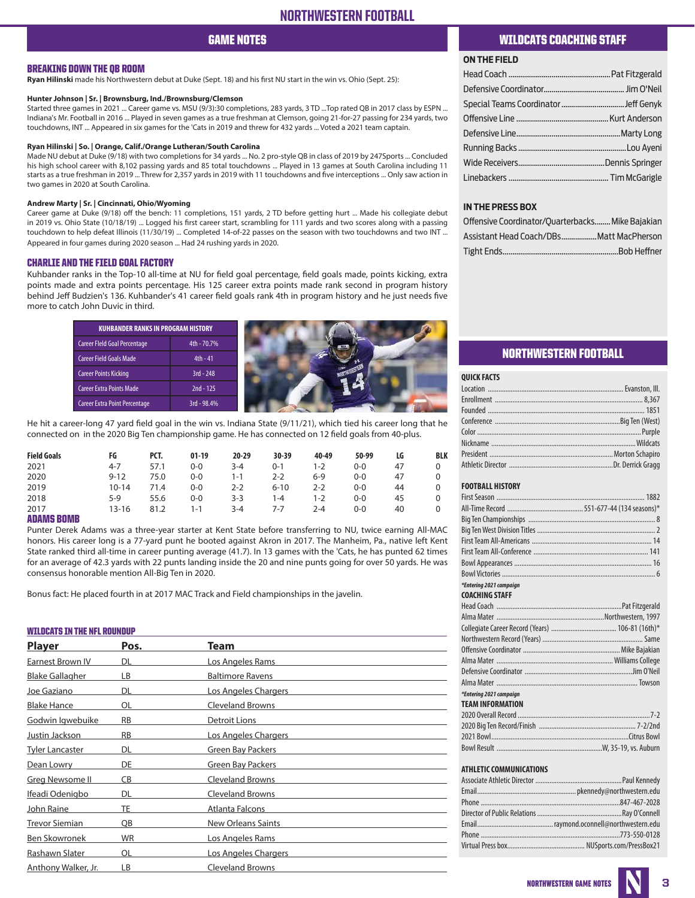# GAME NOTES

### BREAKING DOWN THE QB ROOM

**Ryan Hilinski** made his Northwestern debut at Duke (Sept. 18) and his first NU start in the win vs. Ohio (Sept. 25):

### **Hunter Johnson | Sr. | Brownsburg, Ind./Brownsburg/Clemson**

Started three games in 2021 ... Career game vs. MSU (9/3):30 completions, 283 yards, 3 TD ...Top rated QB in 2017 class by ESPN ... Indiana's Mr. Football in 2016 ... Played in seven games as a true freshman at Clemson, going 21-for-27 passing for 234 yards, two touchdowns, INT ... Appeared in six games for the 'Cats in 2019 and threw for 432 yards ... Voted a 2021 team captain.

### **Ryan Hilinski | So. | Orange, Calif./Orange Lutheran/South Carolina**

Made NU debut at Duke (9/18) with two completions for 34 yards ... No. 2 pro-style QB in class of 2019 by 247Sports ... Concluded his high school career with 8,102 passing yards and 85 total touchdowns ... Played in 13 games at South Carolina including 11 starts as a true freshman in 2019 ... Threw for 2,357 yards in 2019 with 11 touchdowns and five interceptions ... Only saw action in two games in 2020 at South Carolina.

### **Andrew Marty | Sr. | Cincinnati, Ohio/Wyoming**

Career game at Duke (9/18) off the bench: 11 completions, 151 yards, 2 TD before getting hurt ... Made his collegiate debut in 2019 vs. Ohio State (10/18/19) ... Logged his first career start, scrambling for 111 yards and two scores along with a passing touchdown to help defeat Illinois (11/30/19) ... Completed 14-of-22 passes on the season with two touchdowns and two INT ... Appeared in four games during 2020 season ... Had 24 rushing yards in 2020.

### CHARLIE AND THE FIELD GOAL FACTORY

Kuhbander ranks in the Top-10 all-time at NU for field goal percentage, field goals made, points kicking, extra points made and extra points percentage. His 125 career extra points made rank second in program history behind Jeff Budzien's 136. Kuhbander's 41 career field goals rank 4th in program history and he just needs five more to catch John Duvic in third.

| <b>KUHBANDER RANKS IN PROGRAM HISTORY</b> |             |  |
|-------------------------------------------|-------------|--|
| Career Fleld Goal Percentage              | 4th - 70.7% |  |
| <b>Career Field Goals Made</b>            | $4th - 41$  |  |
| <b>Career Points Kicking</b>              | $3rd - 248$ |  |
| <b>Career Extra Points Made</b>           | $2nd - 125$ |  |
| Career Extra Point Percentage             | 3rd - 98.4% |  |

He hit a career-long 47 yard field goal in the win vs. Indiana State (9/11/21), which tied his career long that he connected on in the 2020 Big Ten championship game. He has connected on 12 field goals from 40-plus.

| <b>Field Goals</b> | FG        | PCT. | $01-19$ | $20 - 29$ | 30-39    | 40-49   | 50-99 | LG | <b>BLK</b> |
|--------------------|-----------|------|---------|-----------|----------|---------|-------|----|------------|
| 2021               | $4 - 7$   | 57.1 | $0 - 0$ | 3-4       | $0 - 1$  | 1-2     | 0-0   | 47 |            |
| 2020               | $9 - 12$  | 75.0 | $0 - 0$ | 1-1       | 2-2      | $6-9$   | 0-0   | 47 |            |
| 2019               | $10 - 14$ | 71.4 | $0-0$   | 2-2       | $6 - 10$ | 2-2     | 0-0   | 44 | 0          |
| 2018               | 5-9       | 55.6 | $0 - 0$ | 3-3       | 1-4      | 1-2     | 0-0   | 45 |            |
| 2017               | 13-16     | 81.2 | 1-1     | 3-4       | 7-7      | $2 - 4$ | 0-0   | 40 |            |
| ----------         |           |      |         |           |          |         |       |    |            |

ADAMS BOMB

Punter Derek Adams was a three-year starter at Kent State before transferring to NU, twice earning All-MAC honors. His career long is a 77-yard punt he booted against Akron in 2017. The Manheim, Pa., native left Kent State ranked third all-time in career punting average (41.7). In 13 games with the 'Cats, he has punted 62 times for an average of 42.3 yards with 22 punts landing inside the 20 and nine punts going for over 50 yards. He was consensus honorable mention All-Big Ten in 2020.

Bonus fact: He placed fourth in at 2017 MAC Track and Field championships in the javelin.

### WILDCATS IN THE NFL ROUNDUP

| <b>Player</b>          | Pos.      | Team                        |  |
|------------------------|-----------|-----------------------------|--|
| Earnest Brown IV       | DL        | Los Angeles Rams            |  |
| <b>Blake Gallagher</b> | LВ        | <b>Baltimore Ravens</b>     |  |
| Joe Gaziano            | DL        | <u>Los Angeles Chargers</u> |  |
| <b>Blake Hance</b>     | OL        | <b>Cleveland Browns</b>     |  |
| Godwin Igwebuike       | <b>RB</b> | Detroit Lions               |  |
| Justin Jackson         | RB        | Los Angeles Chargers        |  |
| <u>Tyler Lancaster</u> | DL        | Green Bay Packers           |  |
| Dean Lowry             | DE        | <b>Green Bay Packers</b>    |  |
| Greg Newsome II        | CB        | <b>Cleveland Browns</b>     |  |
| Ifeadi Odenigbo        | DL        | <b>Cleveland Browns</b>     |  |
| John Raine             | TE        | Atlanta Falcons             |  |
| <b>Trevor Siemian</b>  | QB        | <b>New Orleans Saints</b>   |  |
| Ben Skowronek          | WR        | Los Angeles Rams            |  |
| Rashawn Slater         | OL        | Los Angeles Chargers        |  |
| Anthony Walker, Jr.    | LВ        | <b>Cleveland Browns</b>     |  |

### WILDCATS COACHING STAFF

### **ON THE FIELD**

### **IN THE PRESS BOX**

| Offensive Coordinator/Quarterbacks Mike Bajakian |  |
|--------------------------------------------------|--|
| Assistant Head Coach/DBsMatt MacPherson          |  |
|                                                  |  |

### NORTHWESTERN FOOTBALL

| <b>QUICK FACTS</b>             |  |
|--------------------------------|--|
|                                |  |
|                                |  |
|                                |  |
|                                |  |
|                                |  |
|                                |  |
|                                |  |
|                                |  |
|                                |  |
| <b>FOOTBALL HISTORY</b>        |  |
|                                |  |
|                                |  |
|                                |  |
|                                |  |
|                                |  |
|                                |  |
|                                |  |
|                                |  |
| *Enterina 2021 campaian        |  |
| <b>COACHING STAFF</b>          |  |
|                                |  |
|                                |  |
|                                |  |
|                                |  |
|                                |  |
|                                |  |
|                                |  |
|                                |  |
|                                |  |
| *Entering 2021 campaign        |  |
| <b>TEAM INFORMATION</b>        |  |
|                                |  |
|                                |  |
|                                |  |
|                                |  |
| <b>ATHLETIC COMMUNICATIONS</b> |  |
|                                |  |
|                                |  |

Director of Public Relations................................................Ray O'Connell Email...........................................raymond.oconnell@northwestern.edu Phone...............................................................................773-550-0128 Virtual Press box............................................ NUSports.com/PressBox21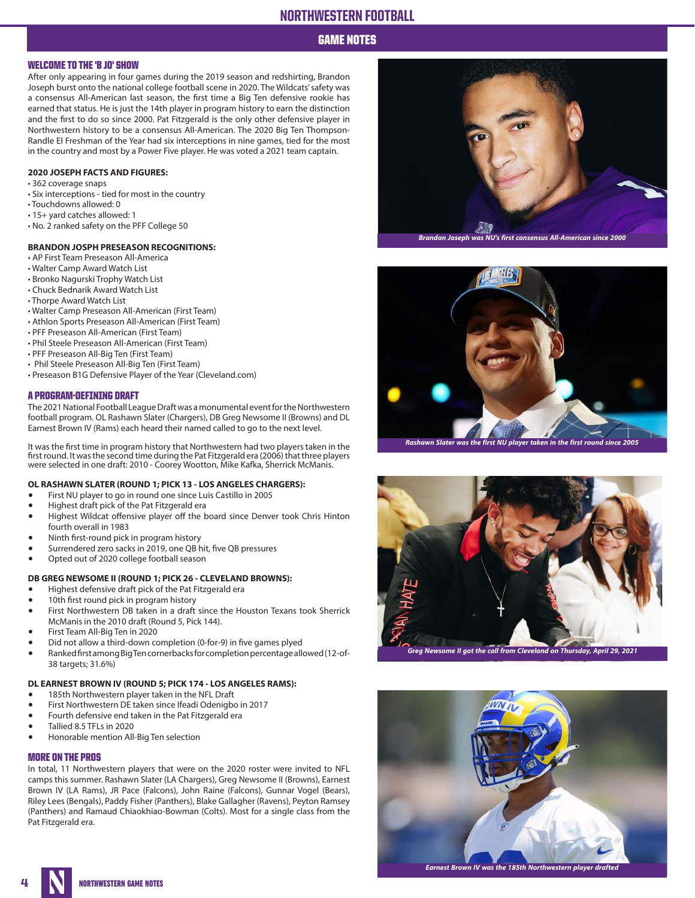GAME NOTES

### WELCOME TO THE 'B JO' SHOW

After only appearing in four games during the 2019 season and redshirting, Brandon Joseph burst onto the national college football scene in 2020. The Wildcats' safety was a consensus All-American last season, the first time a Big Ten defensive rookie has earned that status. He is just the 14th player in program history to earn the distinction and the first to do so since 2000. Pat Fitzgerald is the only other defensive player in Northwestern history to be a consensus All-American. The 2020 Big Ten Thompson-Randle El Freshman of the Year had six interceptions in nine games, tied for the most in the country and most by a Power Five player. He was voted a 2021 team captain.

### **2020 JOSEPH FACTS AND FIGURES:**

- 362 coverage snaps
- Six interceptions tied for most in the country
- Touchdowns allowed: 0
- 15+ yard catches allowed: 1
- No. 2 ranked safety on the PFF College 50

### **BRANDON JOSPH PRESEASON RECOGNITIONS:**

- AP First Team Preseason All-America
- Walter Camp Award Watch List
- Bronko Nagurski Trophy Watch List
- Chuck Bednarik Award Watch List
- Thorpe Award Watch List
- Walter Camp Preseason All-American (First Team)
- Athlon Sports Preseason All-American (First Team)
- PFF Preseason All-American (First Team)
- Phil Steele Preseason All-American (First Team)
- PFF Preseason All-Big Ten (First Team)
- Phil Steele Preseason All-Big Ten (First Team)
- Preseason B1G Defensive Player of the Year (Cleveland.com)

### A PROGRAM-DEFINING DRAFT

The 2021 National Football League Draft was a monumental event for the Northwestern football program. OL Rashawn Slater (Chargers), DB Greg Newsome II (Browns) and DL Earnest Brown IV (Rams) each heard their named called to go to the next level.

It was the first time in program history that Northwestern had two players taken in the first round. It was the second time during the Pat Fitzgerald era (2006) that three players were selected in one draft: 2010 - Coorey Wootton, Mike Kafka, Sherrick McManis.

### **OL RASHAWN SLATER (ROUND 1; PICK 13 - LOS ANGELES CHARGERS):**

- First NU player to go in round one since Luis Castillo in 2005
- Highest draft pick of the Pat Fitzgerald era
- Highest Wildcat offensive player off the board since Denver took Chris Hinton fourth overall in 1983
- Ninth first-round pick in program history
- Surrendered zero sacks in 2019, one QB hit, five QB pressures<br>• Onted out of 2020 college football season
- Opted out of 2020 college football season

### **DB GREG NEWSOME II (ROUND 1; PICK 26 - CLEVELAND BROWNS):**

- Highest defensive draft pick of the Pat Fitzgerald era
- 10th first round pick in program history
- First Northwestern DB taken in a draft since the Houston Texans took Sherrick McManis in the 2010 draft (Round 5, Pick 144).
- First Team All-Big Ten in 2020
- Did not allow a third-down completion (0-for-9) in five games plyed<br>• Banked first among Big Ten corner backs for completion percentage allow
- Ranked first among Big Ten cornerbacks for completion percentage allowed (12-of-38 targets; 31.6%)

### **DL EARNEST BROWN IV (ROUND 5; PICK 174 - LOS ANGELES RAMS):**

- 185th Northwestern player taken in the NFL Draft
- First Northwestern DE taken since Ifeadi Odenigbo in 2017
- Fourth defensive end taken in the Pat Fitzgerald era
- Tallied 8.5 TFLs in 2020
- Honorable mention All-Big Ten selection

### MORE ON THE PROS

In total, 11 Northwestern players that were on the 2020 roster were invited to NFL camps this summer. Rashawn Slater (LA Chargers), Greg Newsome II (Browns), Earnest Brown IV (LA Rams), JR Pace (Falcons), John Raine (Falcons), Gunnar Vogel (Bears), Riley Lees (Bengals), Paddy Fisher (Panthers), Blake Gallagher (Ravens), Peyton Ramsey (Panthers) and Ramaud Chiaokhiao-Bowman (Colts). Most for a single class from the Pat Fitzgerald era.





**Rashawn Slater was the first NU player taken in the first round since 2005**



**Greg Newsome II got the call from Cleveland on Thursday, April 29, 2021**



**Earnest Brown IV was the 185th Northwestern player drafted**

**NORTHWESTERN GAME NOTES**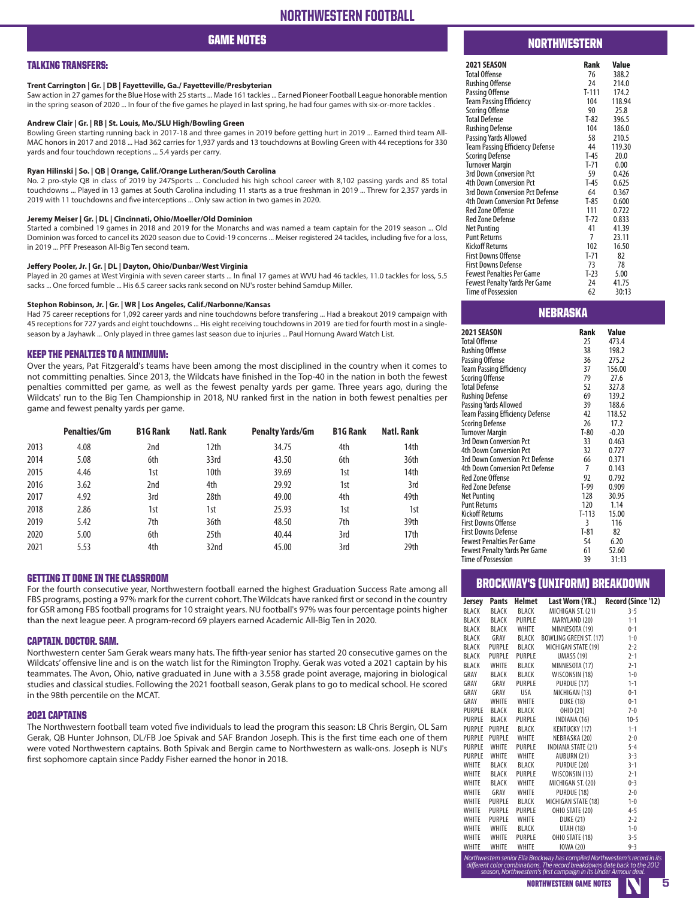# GAME NOTES

### TALKING TRANSFERS:

### **Trent Carrington | Gr. | DB | Fayetteville, Ga./ Fayetteville/Presbyterian**

Saw action in 27 games for the Blue Hose with 25 starts ... Made 161 tackles ... Earned Pioneer Football League honorable mention in the spring season of 2020 ... In four of the five games he played in last spring, he had four games with six-or-more tackles .

### **Andrew Clair | Gr. | RB | St. Louis, Mo./SLU High/Bowling Green**

Bowling Green starting running back in 2017-18 and three games in 2019 before getting hurt in 2019 ... Earned third team All-MAC honors in 2017 and 2018 ... Had 362 carries for 1,937 yards and 13 touchdowns at Bowling Green with 44 receptions for 330 yards and four touchdown receptions ... 5.4 yards per carry.

### **Ryan Hilinski | So. | QB | Orange, Calif./Orange Lutheran/South Carolina**

No. 2 pro-style QB in class of 2019 by 247Sports ... Concluded his high school career with 8,102 passing yards and 85 total touchdowns ... Played in 13 games at South Carolina including 11 starts as a true freshman in 2019 ... Threw for 2,357 yards in 2019 with 11 touchdowns and five interceptions ... Only saw action in two games in 2020.

### **Jeremy Meiser | Gr. | DL | Cincinnati, Ohio/Moeller/Old Dominion**

Started a combined 19 games in 2018 and 2019 for the Monarchs and was named a team captain for the 2019 season ... Old Dominion was forced to cancel its 2020 season due to Covid-19 concerns ... Meiser registered 24 tackles, including five for a loss, in 2019 ... PFF Preseason All-Big Ten second team.

### **Jeffery Pooler, Jr. | Gr. | DL | Dayton, Ohio/Dunbar/West Virginia**

Played in 20 games at West Virginia with seven career starts ... In final 17 games at WVU had 46 tackles, 11.0 tackles for loss, 5.5 sacks ... One forced fumble ... His 6.5 career sacks rank second on NU's roster behind Samdup Miller.

### **Stephon Robinson, Jr. | Gr. | WR | Los Angeles, Calif./Narbonne/Kansas**

Had 75 career receptions for 1,092 career yards and nine touchdowns before transfering ... Had a breakout 2019 campaign with 45 receptions for 727 yards and eight touchdowns ... His eight receiving touchdowns in 2019 are tied for fourth most in a singleseason by a Jayhawk ... Only played in three games last season due to injuries ... Paul Hornung Award Watch List.

### KEEP THE PENALTIES TO A MINIMUM:

Over the years, Pat Fitzgerald's teams have been among the most disciplined in the country when it comes to not committing penalties. Since 2013, the Wildcats have finished in the Top-40 in the nation in both the fewest penalties committed per game, as well as the fewest penalty yards per game. Three years ago, during the Wildcats' run to the Big Ten Championship in 2018, NU ranked first in the nation in both fewest penalties per game and fewest penalty yards per game.

|      | <b>Penalties/Gm</b> | <b>B1G Rank</b> | Natl. Rank       | <b>Penalty Yards/Gm</b> | <b>B1G Rank</b> | Natl. Rank |
|------|---------------------|-----------------|------------------|-------------------------|-----------------|------------|
| 2013 | 4.08                | 2nd             | 12th             | 34.75                   | 4th             | 14th       |
| 2014 | 5.08                | 6th             | 33rd             | 43.50                   | 6th             | 36th       |
| 2015 | 4.46                | 1st             | 10th             | 39.69                   | 1st             | 14th       |
| 2016 | 3.62                | 2nd             | 4th              | 29.92                   | 1st             | 3rd        |
| 2017 | 4.92                | 3rd             | 28th             | 49.00                   | 4th             | 49th       |
| 2018 | 2.86                | 1st             | 1st              | 25.93                   | 1st             | 1st        |
| 2019 | 5.42                | 7th             | 36th             | 48.50                   | 7th             | 39th       |
| 2020 | 5.00                | 6th             | 25 <sub>th</sub> | 40.44                   | 3rd             | 17th       |
| 2021 | 5.53                | 4th             | 32nd             | 45.00                   | 3rd             | 29th       |

### GETTING IT DONE IN THE CLASSROOM

For the fourth consecutive year, Northwestern football earned the highest Graduation Success Rate among all FBS programs, posting a 97% mark for the current cohort. The Wildcats have ranked first or second in the country for GSR among FBS football programs for 10 straight years. NU football's 97% was four percentage points higher than the next league peer. A program-record 69 players earned Academic All-Big Ten in 2020.

### CAPTAIN. DOCTOR. SAM.

Northwestern center Sam Gerak wears many hats. The fifth-year senior has started 20 consecutive games on the Wildcats' offensive line and is on the watch list for the Rimington Trophy. Gerak was voted a 2021 captain by his teammates. The Avon, Ohio, native graduated in June with a 3.558 grade point average, majoring in biological studies and classical studies. Following the 2021 football season, Gerak plans to go to medical school. He scored in the 98th percentile on the MCAT.

### 2021 CAPTAINS

The Northwestern football team voted five individuals to lead the program this season: LB Chris Bergin, OL Sam Gerak, QB Hunter Johnson, DL/FB Joe Spivak and SAF Brandon Joseph. This is the first time each one of them were voted Northwestern captains. Both Spivak and Bergin came to Northwestern as walk-ons. Joseph is NU's first sophomore captain since Paddy Fisher earned the honor in 2018.

### NORTHWESTERN

| 2021 SEASON                     | Rank    | Value  |
|---------------------------------|---------|--------|
| <b>Total Offense</b>            | 76      | 388.2  |
| Rushing Offense                 | 24      | 214.0  |
| Passing Offense                 | $T-111$ | 174.2  |
| Team Passing Efficiency         | 104     | 118.94 |
| Scoring Offense                 | 90      | 25.8   |
| <b>Total Defense</b>            | $T-82$  | 396.5  |
| Rushing Defense                 | 104     | 186.0  |
| Passing Yards Allowed           | 58      | 210.5  |
| Team Passing Efficiency Defense | 44      | 119.30 |
| Scoring Defense                 | $T-45$  | 20.0   |
| Turnover Margin                 | $T-71$  | 0.00   |
| 3rd Down Conversion Pct         | 59      | 0.426  |
| 4th Down Conversion Pct         | $T-45$  | 0.625  |
| 3rd Down Conversion Pct Defense | 64      | 0.367  |
| 4th Down Conversion Pct Defense | $T-85$  | 0.600  |
| Red Zone Offense                | 111     | 0.722  |
| Red Zone Defense                | $T-72$  | 0.833  |
| Net Punting                     | 41      | 41.39  |
| <b>Punt Returns</b>             | 7       | 23.11  |
| Kickoff Returns                 | 102     | 16.50  |
| First Downs Offense             | $T-71$  | 82     |
| First Downs Defense             | 73      | 78     |
| Fewest Penalties Per Game       | $T-23$  | 5.00   |
| Fewest Penalty Yards Per Game   | 24      | 41.75  |
| Time of Possession              | 62      | 30:13  |

### **NEBRASKA**

| <b>2021 SEASON</b>                   | Rank    | Value   |
|--------------------------------------|---------|---------|
| <b>Total Offense</b>                 | 25      | 473.4   |
| <b>Rushing Offense</b>               | 38      | 198.2   |
| Passing Offense                      | 36      | 275.2   |
| <b>Team Passing Efficiency</b>       | 37      | 156.00  |
| <b>Scoring Offense</b>               | 79      | 27.6    |
| <b>Total Defense</b>                 | 52      | 327.8   |
| <b>Rushing Defense</b>               | 69      | 139.2   |
| Passing Yards Allowed                | 39      | 188.6   |
| Team Passing Efficiency Defense      | 42      | 118.52  |
| <b>Scoring Defense</b>               | 26      | 17.2    |
| <b>Turnover Margin</b>               | $T-80$  | $-0.20$ |
| 3rd Down Conversion Pct              | 33      | 0.463   |
| 4th Down Conversion Pct              | 32      | 0.727   |
| 3rd Down Conversion Pct Defense      | 66      | 0.371   |
| 4th Down Conversion Pct Defense      | 7       | 0.143   |
| <b>Red Zone Offense</b>              | 92      | 0.792   |
| <b>Red Zone Defense</b>              | $T-99$  | 0.909   |
| Net Punting                          | 128     | 30.95   |
| <b>Punt Returns</b>                  | 120     | 1.14    |
| <b>Kickoff Returns</b>               | $T-113$ | 15.00   |
| <b>First Downs Offense</b>           | 3       | 116     |
| <b>First Downs Defense</b>           | $T-81$  | 82      |
| <b>Fewest Penalties Per Game</b>     | 54      | 6.20    |
| <b>Fewest Penalty Yards Per Game</b> | 61      | 52.60   |
| <b>Time of Possession</b>            | 39      | 31:13   |

### BROCKWAY'S (UNIFORM) BREAKDOWN

| Jersey       | Pants        | Helmet       | Last Worn (YR.)         | Record (Since '12) |
|--------------|--------------|--------------|-------------------------|--------------------|
| <b>BLACK</b> | BLACK        | BLACK        | MICHIGAN ST. (21)       | $3 - 5$            |
| <b>BLACK</b> | BLACK        | PURPLE       | MARYLAND (20)           | $1 - 1$            |
| <b>BLACK</b> | BLACK        | WHITE        | MINNESOTA (19)          | $0 - 1$            |
| <b>BLACK</b> | GRAY         | BLACK        | BOWLING GREEN ST. (17)  | $1 - 0$            |
| <b>BLACK</b> | PURPLE       | BLACK        | MICHIGAN STATE (19) 2-2 |                    |
| <b>BLACK</b> | PURPLE       | PURPLE       | <b>UMASS (19)</b>       | $2 - 1$            |
| <b>BLACK</b> | WHITE        | BLACK        | MINNESOTA (17)          | $2 - 1$            |
| GRAY         | BLACK        | BLACK        | WISCONSIN (18) 1-0      |                    |
| GRAY         | GRAY         | PURPLE       | PURDUE (17)             | $1 - 1$            |
| GRAY         | GRAY         | USA          | MICHIGAN (13)           | $0 - 1$            |
| GRAY         |              | WHITE WHITE  | <b>DUKE (18)</b>        | $0 - 1$            |
| PURPLE       | BLACK        | BLACK        | <b>OHIO (21)</b>        | $7 - 0$            |
|              | PURPLE BLACK | PURPLE       | INDIANA (16)            | $10-5$             |
| PURPLE       | PURPLE       | BLACK        | KENTUCKY (17)           | $1-1$              |
| PURPLE       | PURPLE       | WHITE        | NEBRASKA (20)           | $2 - 0$            |
|              | PURPLE WHITE | PURPLE       | INDIANA STATE (21) 5-4  |                    |
| PURPLE       |              | WHITE WHITE  | AUBURN (21)             | $3-3$              |
| WHITE        | BLACK        | BLACK        | PURDUE (20)             | $3-1$              |
| WHITE        | BLACK        | PURPLE       | WISCONSIN (13)          | $2 - 1$            |
| WHITE        |              | BLACK WHITE  | MICHIGAN ST. (20) 0-3   |                    |
| <b>WHITE</b> | GRAY         | WHITE        | PURDUE (18)             | $2 - 0$            |
| WHITE        | PURPLE       | BLACK        | MICHIGAN STATE (18) 1-0 |                    |
| WHITE        | PURPLE       | PURPLE       | OHIO STATE (20)         | $4 - 5$            |
| WHITE        | PURPLE       | WHITE        | <b>DUKE (21)</b>        | $2 - 2$            |
|              | WHITE WHITE  | BLACK        | UTAH (18)               | $1 - 0$            |
| <b>WHITE</b> | <b>WHITE</b> | PURPLE       | OHIO STATE (18)         | $3 - 5$            |
| <b>WHITE</b> | <b>WHITE</b> | <b>WHITE</b> | <b>IOWA (20)</b>        | $9 - 3$            |

**NORTHWESTERN GAME NOTES** *Northwestern senior Ella Brockway has compiled Northwestern's record in its different color combinations. The record breakdowns date back to the 2012 season, Northwestern's first campaign in its Under Armour deal.*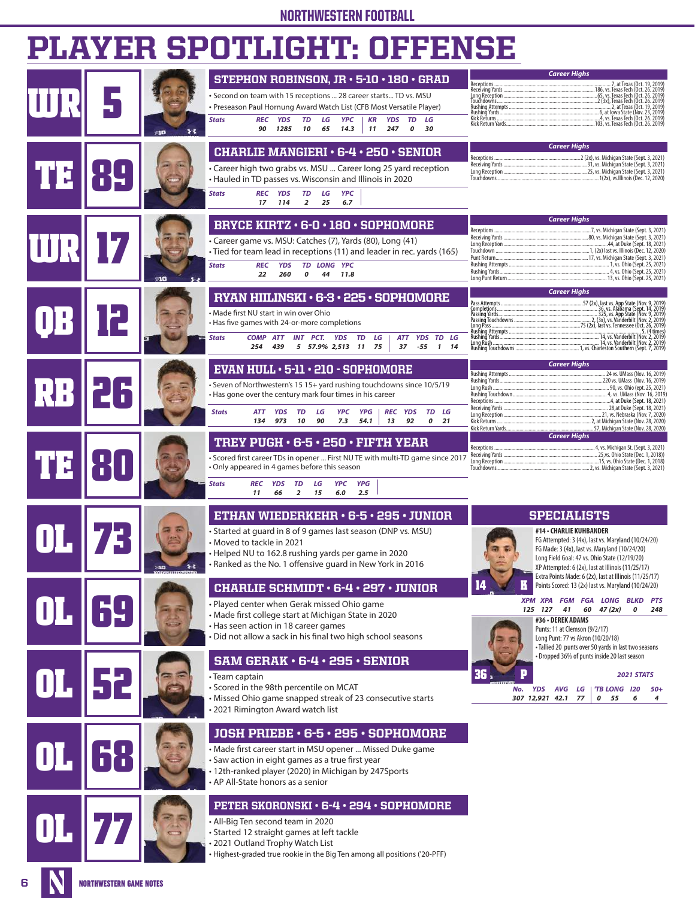# NORTHWESTERN FOOTBALL

# PLAYER SPOTLIGHT: OFFENSE

|    |     | <b>STEPHON ROBINSON, JR · 5-10 · 180 · GRAD</b>                                                                                                                                                                                                                                                                                             | <b>Career Highs</b>                                                                                                                                                                                                                                                                                                                                                                                                                                     |
|----|-----|---------------------------------------------------------------------------------------------------------------------------------------------------------------------------------------------------------------------------------------------------------------------------------------------------------------------------------------------|---------------------------------------------------------------------------------------------------------------------------------------------------------------------------------------------------------------------------------------------------------------------------------------------------------------------------------------------------------------------------------------------------------------------------------------------------------|
|    | s-t | · Second on team with 15 receptions  28 career starts TD vs. MSU<br>• Preseason Paul Hornung Award Watch List (CFB Most Versatile Player)<br><b>YPC</b><br>KR<br><b>YDS</b><br><b>TD</b><br>LG<br><b>Stats</b><br><b>REC YDS</b><br>TD<br>LG<br>14.3<br>90<br>1285<br>10<br>65<br>11<br>247<br>$\boldsymbol{o}$<br>30                       | Receptions.<br>7, at Texas (Oct. 19, 2019)<br><br>Receiving Yards<br>. 186, vs. Texas Tech (Oct. 26. 2019)<br>65, vs. Texas Tech (Oct. 26. 2019)<br>Long Reception<br>.2 (3x), Texas Tech (Oct. 26. 2019)<br>Touchdowns<br>Rushing Attempts<br>. 2, at Texas (Oct. 19, 2019)<br>Rushing Yards<br>6, at lowa State (Nov. 23, 2019)<br>.4, vs. Texas Tech (Oct. 26. 2019)<br>Kick Returns .<br>.103, vs. Texas Tech (Oct. 26. 2019)<br>Kick Return Yards. |
|    |     | <b>CHARLIE MANGIERI · 6-4 · 250 · SENIOR</b><br>• Career high two grabs vs. MSU  Career long 25 yard reception<br>• Hauled in TD passes vs. Wisconsin and Illinois in 2020<br>LG<br>REC YDS<br><b>TD</b><br><b>YPC</b><br><b>Stats</b><br>25<br>6.7<br>17<br>114<br>$\overline{2}$                                                          | <b>Career Highs</b>                                                                                                                                                                                                                                                                                                                                                                                                                                     |
|    |     | BRYCE KIRTZ · 6-0 · 180 · SOPHOMORE<br>• Career game vs. MSU: Catches (7), Yards (80), Long (41)<br>• Tied for team lead in receptions (11) and leader in rec. yards (165)<br>TD LONG YPC<br><b>REC</b><br><b>YDS</b><br><b>Stats</b><br>22<br>260<br>0<br>44<br>11.8                                                                       | <b>Career Highs</b><br>7, vs. Michigan State (Sept. 3, 2021)<br>44, at Duke (Sept. 18, 2021)                                                                                                                                                                                                                                                                                                                                                            |
|    |     | RYAN HIILINSKI · 6-3 · 225 · SOPHOMORE<br>• Made first NU start in win over Ohio<br>• Has five games with 24-or-more completions<br>INT PCT. YDS<br><b>COMP</b><br><b>ATT</b><br>TD<br>LG<br>ATT YDS TD LG<br><b>Stats</b><br>254<br>439<br>5 57.9% 2,513 11 75<br>37<br>-55<br>1 14                                                        | <b>Career Highs</b><br>Pass Attempts<br>Passing Yards<br>2, (3x), vs. Vanderbilt (Nov. 2, 2019<br>75 (2x), last vs. Tennessee (Oct. 26, 2019)<br>Long Pass<br>Rushing Attempts<br>. 5, (4 times)<br>Rushing Yards<br>Long Rūsh<br>Rushing Touchdowns<br>1, vs. Charleston Southern (Sept. 7, 2019)                                                                                                                                                      |
| RF |     | EVAN HULL · 5-11 · 210 - SOPHOMORE<br>· Seven of Northwestern's 15 15+ yard rushing touchdowns since 10/5/19<br>• Has gone over the century mark four times in his career<br>REC YDS<br>TD LG<br><b>Stats</b><br><b>YPG</b><br>LG<br>YPC<br>ATT<br>YDS<br>TD<br>973<br>10<br>90<br>7.3<br>54.1<br>13<br>92<br>$\boldsymbol{o}$<br>21<br>134 | <b>Career Highs</b><br>Rushing Attempts<br>24 vs. UMass (Nov. 16, 2019)<br>Rushing Yards<br>220 vs. UMass (Nov. 16, 2019)<br>Long Rush<br>90, vs. Ohio (ept. 25, 2021)<br>4, at Duke (Sept. 18, 2021)<br>Receptions.<br>28, at Duke (Sept. 18, 2021)<br>21, vs. Nebraska (Nov. 7, 2020)<br>Kick Returns<br>2, at Michigan State (Nov. 28, 2020)<br>                                                                                                     |
|    |     | TREY PUGH $\cdot$ 6-5 $\cdot$ 250 $\cdot$ FIFTH YEAR<br>• Scored first career TDs in opener  First NU TE with multi-TD game since 2017<br>• Only appeared in 4 games before this season<br><b>YDS</b><br>TD<br>LG<br>YPC<br><b>YPG</b><br><b>Stats</b><br>REC<br>11<br>66<br>$\overline{2}$<br>15<br>6.0<br>2.5                             | <b>Career Highs</b><br>Receptions                                                                                                                                                                                                                                                                                                                                                                                                                       |
|    |     | ETHAN WIEDERKEHR · 6-5 · 295 · JUNIOR<br>• Started at quard in 8 of 9 games last season (DNP vs. MSU)<br>• Moved to tackle in 2021<br>• Helped NU to 162.8 rushing yards per game in 2020<br>· Ranked as the No. 1 offensive guard in New York in 2016                                                                                      | <b>SPECIALISTS</b><br>#14 - CHARLIE KUHBANDER<br>FG Attempted: 3 (4x), last vs. Maryland (10/24/20)<br>FG Made: 3 (4x), last vs. Maryland (10/24/20)<br>Long Field Goal: 47 vs. Ohio State (12/19/20)<br>XP Attempted: 6 (2x), last at Illinois (11/25/17)                                                                                                                                                                                              |
|    |     | <b>CHARLIE SCHMIDT · 6-4 · 297 · JUNIOR</b><br>• Played center when Gerak missed Ohio game<br>• Made first college start at Michigan State in 2020<br>• Has seen action in 18 career games<br>Did not allow a sack in his final two high school seasons                                                                                     | Extra Points Made: 6 (2x), last at Illinois (11/25/17)<br>14<br>Points Scored: 13 (2x) last vs. Maryland (10/24/20)<br>XPM XPA FGM FGA LONG BLKD PTS<br>125 127<br>$60 \quad 47 \, (2x)$<br>41<br>0<br>248<br>#36 - DEREK ADAMS<br>Punts: 11 at Clemson (9/2/17)<br>Long Punt: 77 vs Akron (10/20/18)<br>· Tallied 20 punts over 50 yards in last two seasons                                                                                           |
|    |     | $SAM$ GERAK $\cdot$ 6-4 $\cdot$ 295 $\cdot$ SENIOR<br>• Team captain<br>• Scored in the 98th percentile on MCAT<br>• Missed Ohio game snapped streak of 23 consecutive starts<br>• 2021 Rimington Award watch list                                                                                                                          | • Dropped 36% of punts inside 20 last season<br>36<br><b>2021 STATS</b><br>YDS AVG LG<br>'TB LONG 120<br>No.<br>$50+$<br>307 12,921 42.1 77<br>0 55<br>6<br>4                                                                                                                                                                                                                                                                                           |
|    |     | <b>JOSH PRIEBE · 6-5 · 295 · SOPHOMORE</b><br>• Made first career start in MSU opener  Missed Duke game<br>· Saw action in eight games as a true first year<br>12th-ranked player (2020) in Michigan by 247Sports<br>• AP All-State honors as a senior                                                                                      |                                                                                                                                                                                                                                                                                                                                                                                                                                                         |
|    |     | PETER SKORONSKI · 6-4 · 294 · SOPHOMORE<br>• All-Big Ten second team in 2020<br>• Started 12 straight games at left tackle<br>• 2021 Outland Trophy Watch List<br>• Highest-graded true rookie in the Big Ten among all positions ('20-PFF)                                                                                                 |                                                                                                                                                                                                                                                                                                                                                                                                                                                         |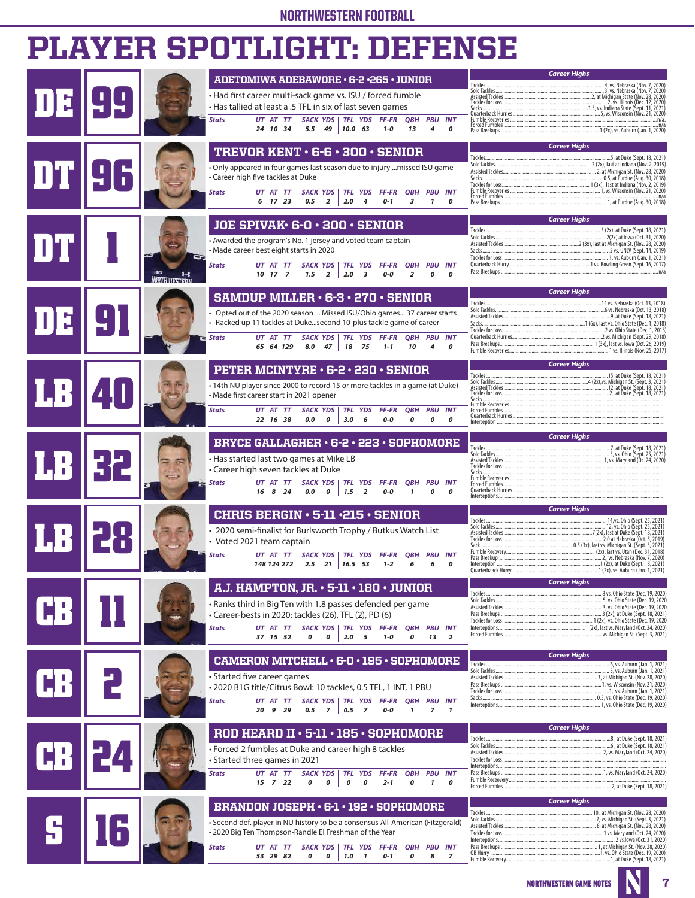# NORTHWESTERN FOOTBALL

# PLAYER SPOTLIGHT: DEFENSE

|  |                                |                                                                                                                                                                                                         | <b>Career Highs</b>                                                                                                                           |
|--|--------------------------------|---------------------------------------------------------------------------------------------------------------------------------------------------------------------------------------------------------|-----------------------------------------------------------------------------------------------------------------------------------------------|
|  |                                | ADETOMIWA ADEBAWORE . 6-2 .265 . JUNIOR                                                                                                                                                                 | Tackles<br>. 4, vs. Nebraska (Nov. 7, 2020<br>Solo Tackles<br>3, vs. Nebraska (Nov. 7, 2020)                                                  |
|  |                                | • Had first career multi-sack game vs. ISU / forced fumble<br>. Has tallied at least a .5 TFL in six of last seven games                                                                                | .2, at Michigan State (Nov. 28, 2020)<br>Tackles for Loss<br>2, vs. Illinois (Dec. 12, 2020                                                   |
|  |                                | UT AT TT<br>  SACK YDS   TFL YDS   FF-FR<br><b>Stats</b><br><b>QBH PBU INT</b>                                                                                                                          | 1.5, vs. Indiana State (Šept. 11, 2021<br>Sacks.<br>Fumble Recoveries<br>… n/a                                                                |
|  |                                | $10.0$ 63<br>24 10 34<br>$5.5 \quad 49$<br>$1 - 0$<br>13<br>4<br>0                                                                                                                                      | Forced Fumbles<br>n/a                                                                                                                         |
|  |                                |                                                                                                                                                                                                         | <b>Career Highs</b>                                                                                                                           |
|  |                                | TREVOR KENT · 6-6 · 300 · SENIOR                                                                                                                                                                        | Tackles<br>5, at Duke (Sept. 18, 2021)                                                                                                        |
|  |                                | . Only appeared in four games last season due to injury missed ISU game                                                                                                                                 |                                                                                                                                               |
|  |                                | • Career high five tackles at Duke                                                                                                                                                                      | Sacks                                                                                                                                         |
|  |                                | <b>Stats</b><br>UT AT TT<br><b>SACK YDS</b><br>TFL YDS<br><b>FF-FR</b><br><b>QBH PBU INT</b><br>0.5<br>$\overline{2}$<br>2.0<br>6 17 23<br>4<br>$0 - 1$<br>3<br>$\mathbf{1}$<br>0                       | Eumble Recoveries<br>1, vs. Wisconsin (Nov. 21, 2020)                                                                                         |
|  |                                |                                                                                                                                                                                                         |                                                                                                                                               |
|  |                                | JOE SPIVAK · 6-0 · 300 · SENIOR                                                                                                                                                                         | <b>Career Highs</b><br>Tackles<br>. 3 (2x), at Duke (Sept. 18, 2021)                                                                          |
|  |                                | • Awarded the program's No. 1 jersey and voted team captain                                                                                                                                             | 2(2x) at lowa (Oct. 31, 2020)                                                                                                                 |
|  |                                | • Made career best eight starts in 2020                                                                                                                                                                 |                                                                                                                                               |
|  | -10<br>$\overline{\mathbf{r}}$ | UT AT TT<br><b>Stats</b><br><b>SACK YDS</b><br><b>TFL YDS</b><br>$FF-FR$<br><b>QBH PBU INT</b><br>10 17 7<br>1.5<br>$\overline{2}$<br>2.0<br>$\overline{\mathbf{3}}$<br>0-0<br>$\overline{2}$<br>0<br>0 | n/a                                                                                                                                           |
|  | <b>MRTHIIIFSTEDI</b>           |                                                                                                                                                                                                         |                                                                                                                                               |
|  |                                | <b>SAMDUP MILLER · 6-3 · 270 · SENIOR</b>                                                                                                                                                               | <b>Career Highs</b><br>Tackles<br>14 vs. Nebraska (Oct. 13, 2018)                                                                             |
|  |                                | • Opted out of the 2020 season  Missed ISU/Ohio games 37 career starts                                                                                                                                  | Solo Tackles<br>6 vs. Nebraska (Oct. 13, 2018)<br>9, at Duke (Sept. 18, 2021)                                                                 |
|  |                                | · Racked up 11 tackles at Dukesecond 10-plus tackle game of career                                                                                                                                      | Sacks<br>Tackles for Loss<br>2 vs. Ohio State (Dec. 1, 2018)                                                                                  |
|  |                                | UT AT TT<br><b>SACK YDS</b><br>TFL YDS FF-FR<br><b>Stats</b><br><b>QBH PBU INT</b><br>65 64 129<br>8.0 47<br>18 75<br>$1 - 1$<br>10<br>4<br>0                                                           | 2 vs. Michigan (Sept. 29, 2018)<br>Pass Breakups                                                                                              |
|  |                                |                                                                                                                                                                                                         | Fumble Recoveries<br>1 vs. Illinois (Nov. 25, 2017)                                                                                           |
|  |                                | PETER MCINTYRE · 6-2 · 230 · SENIOR                                                                                                                                                                     | <b>Career Highs</b><br>Tackles<br>15, at Duke (Sept. 18, 2021)                                                                                |
|  |                                | • 14th NU player since 2000 to record 15 or more tackles in a game (at Duke)                                                                                                                            |                                                                                                                                               |
|  |                                | • Made first career start in 2021 opener                                                                                                                                                                | Sacks.                                                                                                                                        |
|  |                                | <b>Stats</b><br>UT AT TT<br><b>SACK YDS</b><br>TFL YDS<br><b>FF-FR</b><br>QBH<br><b>PBU INT</b>                                                                                                         | Fumble Recoveries<br>Forced Fumbles<br>Quarterback Hurries                                                                                    |
|  |                                | 3.0<br>22 16 38<br>0.0<br>0<br>6<br>0-0<br>0<br>0<br>0                                                                                                                                                  | Interception.                                                                                                                                 |
|  |                                | BRYCE GALLAGHER · 6-2 · 223 · SOPHOMORE                                                                                                                                                                 | <b>Career Highs</b>                                                                                                                           |
|  |                                | • Has started last two games at Mike LB                                                                                                                                                                 | Tackles.<br>7, at Duke (Sept. 18, 2021)<br>5, vs. Ohio (Sept. 25, 2021)<br>Solo Tackles<br>Assisted Tackles<br>1, vs. Maryland (Oc. 24, 2020) |
|  |                                | • Career high seven tackles at Duke                                                                                                                                                                     | Tackles for Loss<br>Sacks                                                                                                                     |
|  |                                | UT AT TT<br><b>SACK YDS</b><br><b>Stats</b><br><b>TFL YDS</b><br><b>FF-FR</b><br><b>QBH PBU INT</b>                                                                                                     | <b>Fumble Recoveries</b><br>Forced Fumbles<br>Quarterback Hurries                                                                             |
|  |                                | 16 8 24<br>0.0<br>$\boldsymbol{o}$<br>1.5<br>$\overline{2}$<br>0-0<br>$\mathbf{1}$<br>0<br>0                                                                                                            | Interceptions                                                                                                                                 |
|  |                                | <b>CHRIS BERGIN . 5-11 .215 . SENIOR</b>                                                                                                                                                                | <b>Career Highs</b><br>Tackles                                                                                                                |
|  |                                | • 2020 semi-finalist for Burlsworth Trophy / Butkus Watch List                                                                                                                                          | 14, vs. Ohio (Sept. 25, 2021)<br>12, vs. Ohio (Sept. 25, 2021)                                                                                |
|  |                                | • Voted 2021 team captain                                                                                                                                                                               | 2.0 at Nebraska (Oct. 5, 2019)<br>Sack                                                                                                        |
|  |                                | <b>SACK YDS</b><br><b>Stats</b><br>UT AT TT<br><b>TFL YDS</b><br><b>FF-FR</b><br><b>PBU</b><br><b>INT</b><br>QBH                                                                                        | Fumble Recovery<br>Pass Breakup<br>2, vs. Nebraska (Nov. 7, 2020)                                                                             |
|  |                                | $148124272$ 2.5 21 16.5 53<br>$1 - 2$<br>6<br>6<br>0                                                                                                                                                    | Interception<br>1 (2x), at Duke (Sept. 18, 2021)<br>1 (2x), vs. Auburn (Jan. 1, 2021)                                                         |
|  |                                | A.J. HAMPTON, JR. $\cdot$ 5-11 $\cdot$ 180 $\cdot$ JUNIOR                                                                                                                                               | <b>Career Highs</b>                                                                                                                           |
|  |                                | • Ranks third in Big Ten with 1.8 passes defended per game                                                                                                                                              | Tackles<br>.8 vs. Ohio State (Dec. 19, 2020)<br>Solo Tackles<br>5, vs. Ohio State (Dec. 19, 2020                                              |
|  |                                | · Career-bests in 2020: tackles (26), TFL (2), PD (6)                                                                                                                                                   | 3 (2x), at Duke (Sept. 18, 2021)                                                                                                              |
|  |                                | <b>SACK YDS</b><br>UT AT TT<br>TFL YDS FF-FR<br><b>Stats</b><br><b>OBH PBU INT</b>                                                                                                                      | vs. Michigan St. (Sept. 3, 2021)                                                                                                              |
|  |                                | 37 15 52<br>0<br>0<br>2.0<br>5<br>$1 - 0$<br>0<br>13<br>$\overline{2}$                                                                                                                                  |                                                                                                                                               |
|  |                                | <b>CAMERON MITCHELL · 6-0 · 195 · SOPHOMORE</b>                                                                                                                                                         | <b>Career Highs</b><br>Tackles.                                                                                                               |
|  |                                | • Started five career games                                                                                                                                                                             | Solo Tackles<br>3, vs. Auburn (Jan. 1, 2021)                                                                                                  |
|  |                                | · 2020 B1G title/Citrus Bowl: 10 tackles, 0.5 TFL, 1 INT, 1 PBU                                                                                                                                         | 1, vs. Auburn (Jan. 1, 2021)                                                                                                                  |
|  |                                | UT AT TT<br><b>SACK YDS</b><br>TFL YDS FF-FR<br><b>QBH PBU INT</b><br><b>Stats</b>                                                                                                                      | Sacks.<br>Interceptions<br>, 1, vs. Ohio State (Dec. 19, 2020)                                                                                |
|  |                                | 20 9 29<br>0.5<br>0.5<br>$\overline{z}$<br>$\overline{z}$<br>0-0<br>$\mathbf{1}$<br>$\overline{7}$<br>$\mathbf{1}$                                                                                      |                                                                                                                                               |
|  |                                | ROD HEARD II . 5-11 . 185 . SOPHOMORE                                                                                                                                                                   | <b>Career Highs</b>                                                                                                                           |
|  |                                | • Forced 2 fumbles at Duke and career high 8 tackles                                                                                                                                                    | Tackles.<br>8 , at Duke (Sept. 18, 2021)<br>Solo Tackles<br>6 , at Duke (Sept. 18, 2021)                                                      |
|  |                                | • Started three games in 2021                                                                                                                                                                           | 2, vs. Maryland (Oct. 24, 2020)                                                                                                               |
|  |                                | UT AT TT<br><b>Stats</b><br>SACK YDS<br>TFL YDS   FF-FR<br><b>QBH PBU INT</b>                                                                                                                           | Interceptions<br>Pass Breakups                                                                                                                |
|  |                                | 15 7 22<br>0<br>0<br>0<br>0<br>$2 - 1$<br>0<br>$\mathbf{1}$<br>0                                                                                                                                        | 2, at Duke (Sept. 18, 2021)<br>Forced Fumbles                                                                                                 |
|  |                                | <b>BRANDON JOSEPH · 6-1 · 192 · SOPHOMORE</b>                                                                                                                                                           | <b>Career Highs</b>                                                                                                                           |
|  |                                | • Second def. player in NU history to be a consensus All-American (Fitzgerald)                                                                                                                          | Tackles                                                                                                                                       |
|  |                                | • 2020 Big Ten Thompson-Randle El Freshman of the Year                                                                                                                                                  |                                                                                                                                               |
|  |                                | <b>Stats</b><br>UT AT TT<br><b>SACK YDS</b><br><b>TFL YDS</b><br><b>FF-FR</b><br><b>QBH</b><br><b>PBU INT</b>                                                                                           | 2 vs.lowa (Oct. 31, 2020)                                                                                                                     |
|  |                                | 53 29 82<br>0<br>0<br>1.0<br>0<br>$\overline{z}$<br>$\mathbf{1}$<br>$0 - 1$<br>8                                                                                                                        | QB Hurry.<br>Fumble Recovery<br>1, at Duke (Sept. 18, 2021)                                                                                   |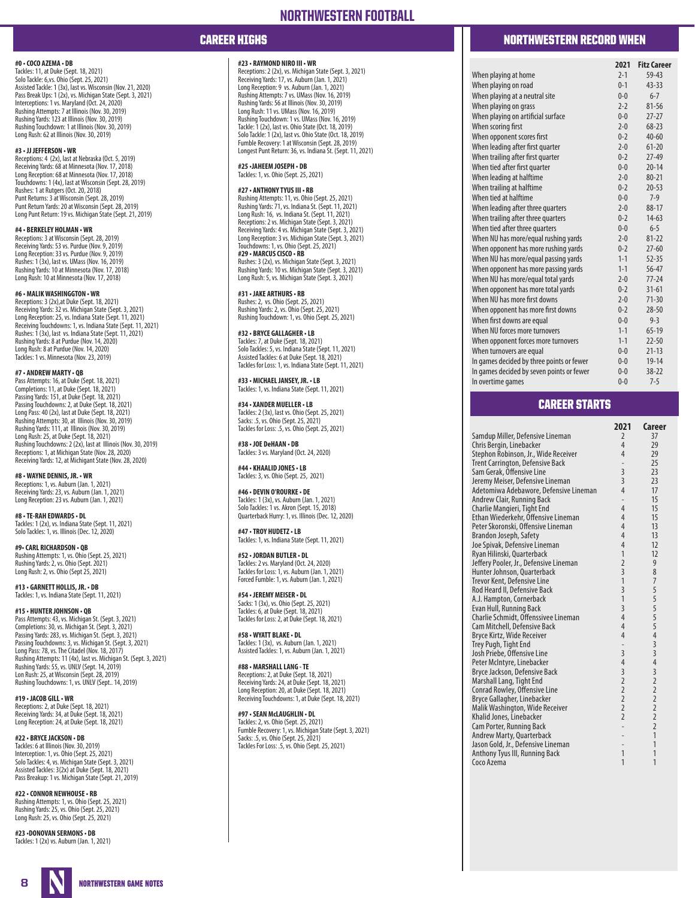### **#0 • COCO AZEMA • DB**

Tackles: 11, at Duke (Sept. 18, 2021) Solo Tackle: 6,vs. Ohio (Sept. 25, 2021) Assisted Tackle: 1 (3x), last vs. Wisconsin (Nov. 21, 2020) Pass Break Ups: 1 (2x), vs. Michigan State (Sept. 3, 2021) Interceptions: 1 vs. Maryland (Oct. 24, 2020) Rushing Attempts: 7 at Illinois (Nov. 30, 2019) Rushing Yards: 123 at Illinois (Nov. 30, 2019) Rushing Touchdown: 1 at Illinois (Nov. 30, 2019) Long Rush: 62 at Illinois (Nov. 30, 2019)

### **#3 • JJ JEFFERSON • WR**

Receptions: 4 (2x), last at Nebraska (Oct. 5, 2019) Receiving Yards: 68 at Minnesota (Nov. 17, 2018) Long Reception: 68 at Minnesota (Nov. 17, 2018) Touchdowns: 1 (4x), last at Wisconsin (Sept. 28, 2019) Rushes: 1 at Rutgers (Oct. 20, 2018) Punt Returns: 3 at Wisconsin (Sept. 28, 2019) Punt Return Yards: 20 at Wisconsin (Sept. 28, 2019) Long Punt Return: 19 vs. Michigan State (Sept. 21, 2019)

### **#4 • BERKELEY HOLMAN • WR**

Receptions: 3 at Wisconsin (Sept. 28, 2019) Receiving Yards: 53 vs. Purdue (Nov. 9, 2019) Long Reception: 33 vs. Purdue (Nov. 9, 2019) Rushes: 1 (3x), last vs. UMass (Nov. 16, 2019) Rushing Yards: 10 at Minnesota (Nov. 17, 2018) Long Rush: 10 at Minnesota (Nov. 17, 2018)

### **#6 • MALIK WASHINGGTON • WR**

Receptions: 3 (2x),at Duke (Sept. 18, 2021) Receiving Yards: 32 vs. Michigan State (Sept. 3, 2021) Long Reception: 25, vs. Indiana State (Sept. 11, 2021) Receiving Touchdowns: 1, vs. Indiana State (Sept. 11, 2021) Rushes: 1 (3x), last vs. Indiana State (Sept. 11, 2021) Rushing Yards: 8 at Purdue (Nov. 14, 2020) Long Rush: 8 at Purdue (Nov. 14, 2020) Tackles: 1 vs. Minnesota (Nov. 23, 2019)

### **#7 • ANDREW MARTY • QB**

Pass Attempts: 16, at Duke (Sept. 18, 2021) Completions: 11, at Duke (Sept. 18, 2021) Passing Yards: 151, at Duke (Sept. 18, 2021) Passing Touchdowns: 2, at Duke (Sept. 18, 2021) Long Pass: 40 (2x), last at Duke (Sept. 18, 2021) Rushing Attempts: 30, at Illinois (Nov. 30, 2019) Rushing Yards: 111, at Illinois (Nov. 30, 2019) Long Rush: 25, at Duke (Sept. 18, 2021) Rushing Touchdowns: 2 (2x), last at Illinois (Nov. 30, 2019) Receptions: 1, at Michigan State (Nov. 28, 2020) Receiving Yards: 12, at Michigant State (Nov. 28, 2020)

**#8 • WAYNE DENNIS, JR. • WR** Receptions: 1, vs. Auburn (Jan. 1, 2021) Receiving Yards: 23, vs. Auburn (Jan. 1, 2021) Long Reception: 23 vs. Auburn (Jan. 1, 2021)

**#8 • TE-RAH EDWARDS • DL** Tackles: 1 (2x), vs. Indiana State (Sept. 11, 2021) Solo Tackles: 1, vs. Illinois (Dec. 12, 2020)

**#9• CARL RICHARDSON • QB** Rushing Attempts: 1, vs. Ohio (Sept. 25, 2021) Rushing Yards: 2, vs. Ohio (Sept. 2021) Long Rush: 2, vs. Ohio (Sept 25, 2021)

**#13 • GARNETT HOLLIS, JR. • DB** Tackles: 1, vs. Indiana State (Sept. 11, 2021)

### **#15 • HUNTER JOHNSON • QB** Pass Attempts: 43, vs. Michigan St. (Sept. 3, 2021) Completions: 30, vs. Michigan St. (Sept. 3, 2021) Passing Yards: 283, vs. Michigan St. (Sept. 3, 2021) Passing Touchdowns: 3, vs. Michigan St. (Sept. 3, 2021) Long Pass: 78, vs. The Citadel (Nov. 18, 2017) Rushing Attempts: 11 (4x), last vs. Michigan St. (Sept. 3, 2021) Rushing Yards: 55, vs. UNLV (Sept. 14, 2019) Lon Rush: 25, at Wisconsin (Sept. 28, 2019) Rushing Touchdowns: 1, vs. UNLV (Sept.. 14, 2019)

**#19 • JACOB GILL • WR** Receptions: 2, at Duke (Sept. 18, 2021) Receiving Yards: 34, at Duke (Sept. 18, 2021) Long Reception: 24, at Duke (Sept. 18, 2021)

### **#22 • BRYCE JACKSON • DB** Tackles: 6 at Illinois (Nov. 30, 2019) Interception: 1, vs. Ohio (Sept. 25, 2021)

Solo Tackles: 4, vs. Michigan State (Sept. 3, 2021) Assisted Tackles: 3(2x) at Duke (Sept. 18, 2021) Pass Breakup: 1 vs. Michigan State (Sept. 21, 2019)

**#22 • CONNOR NEWHOUSE • RB** Rushing Attempts: 1, vs. Ohio (Sept. 25, 2021) Rushing Yards: 25, vs. Ohio (Sept. 25, 2021) Long Rush: 25, vs. Ohio (Sept. 25, 2021)

**#23 •DONOVAN SERMONS • DB** Tackles: 1 (2x) vs. Auburn (Jan. 1, 2021)

### **#23 • RAYMOND NIRO III • WR**

Receptions: 2 (2x), vs. Michigan State (Sept. 3, 2021) Receiving Yards: 17, vs. Auburn (Jan. 1, 2021) Long Reception: 9 vs. Auburn (Jan. 1, 2021) Rushing Attempts: 7 vs. UMass (Nov. 16, 2019) Rushing Yards: 56 at Illinois (Nov. 30, 2019) Long Rush: 11 vs. UMass (Nov. 16, 2019) Rushing Touchdown: 1 vs. UMass (Nov. 16, 2019) Tackle: 1 (2x), last vs. Ohio State (Oct. 18, 2019) Solo Tackle: 1 (2x), last vs. Ohio State (Oct. 18, 2019) Fumble Recovery: 1 at Wisconsin (Sept. 28, 2019) Longest Punt Return: 36, vs. Indiana St. (Sept. 11, 2021)

**#25 •JAHEEM JOSEPH • DB** Tackles: 1, vs. Ohio (Sept. 25, 2021)

### **#27 • ANTHONY TYUS III • RB**

Rushing Attempts: 11, vs. Ohio (Sept. 25, 2021) Rushing Yards: 71, vs. Indiana St. (Sept. 11, 2021) Long Rush: 16, vs. Indiana St. (Sept. 11, 2021) Receptions: 2 vs. Michigan State (Sept. 3, 2021) Receiving Yards: 4 vs. Michigan State (Sept. 3, 2021) Long Reception: 3 vs. Michigan State (Sept. 3, 2021) Touchdowns: 1, vs. Ohio (Sept. 25, 2021) **#29 • MARCUS CISCO • RB** Rushes: 3 (2x), vs. Michigan State (Sept. 3, 2021) Rushing Yards: 10 vs. Michigan State (Sept. 3, 2021) Long Rush: 5, vs. Michigan State (Sept. 3, 2021)

**#31 • JAKE ARTHURS • RB** Rushes: 2, vs. Ohio (Sept. 25, 2021) Rushing Yards: 2, vs. Ohio (Sept. 25, 2021) Rushing Touchdown: 1, vs. Ohio (Sept. 25, 2021)

**#32 • BRYCE GALLAGHER • LB** Tackles: 7, at Duke (Sept. 18, 2021) Solo Tackles: 5, vs. Indiana State (Sept. 11, 2021) Assisted Tackles: 6 at Duke (Sept. 18, 2021) Tackles for Loss: 1, vs. Indiana State (Sept. 11, 2021)

**#33 • MICHAEL JANSEY, JR. • LB** Tackles: 1, vs. Indiana State (Sept. 11, 2021)

**#34 • XANDER MUELLER • LB** Tackles: 2 (3x), last vs. Ohio (Sept. 25, 2021) Sacks: .5, vs. Ohio (Sept. 25, 2021) Tackles for Loss: .5, vs. Ohio (Sept. 25, 2021)

**#38 • JOE DeHAAN • DB** Tackles: 3 vs. Maryland (Oct. 24, 2020)

**#44 • KHAALID JONES • LB** Tackles: 3, vs. Ohio (Sept. 25, 2021)

**#46 • DEVIN O'ROURKE • DE** Tackles: 1 (3x), vs. Auburn (Jan. 1, 2021) Solo Tackles: 1 vs. Akron (Sept. 15, 2018) Quarterback Hurry: 1, vs. Illinois (Dec. 12, 2020)

**#47 • TROY HUDETZ • LB** Tackles: 1, vs. Indiana State (Sept. 11, 2021)

**#52 • JORDAN BUTLER • DL** Tackles: 2 vs. Maryland (Oct. 24, 2020) Tackles for Loss: 1, vs. Auburn (Jan. 1, 2021) Forced Fumble: 1, vs. Auburn (Jan. 1, 2021)

**#54 • JEREMY MEISER • DL** Sacks: 1 (3x), vs. Ohio (Sept. 25, 2021) Tackles: 6, at Duke (Sept. 18, 2021) Tackles for Loss: 2, at Duke (Sept. 18, 2021)

**#58 • WYATT BLAKE • DL** Tackles: 1 (3x), vs. Auburn (Jan. 1, 2021) Assisted Tackles: 1, vs. Auburn (Jan. 1, 2021)

**#88 • MARSHALL LANG - TE** Receptions: 2, at Duke (Sept. 18, 2021) Receiving Yards: 24, at Duke (Sept. 18, 2021) Long Reception: 20, at Duke (Sept. 18, 2021) Receiving Touchdowns: 1, at Duke (Sept. 18, 2021)

**#97 • SEAN McLAUGHLIN • DL** Tackles: 2, vs. Ohio (Sept. 25, 2021) Fumble Recovery: 1, vs. Michigan State (Sept. 3, 2021) Sacks: .5, vs. Ohio (Sept. 25, 2021) Tackles For Loss: .5, vs. Ohio (Sept. 25, 2021)

## CAREER HIGHS NORTHWESTERN RECORD WHEN

|                                           | 2021    | <b>Fitz Career</b> |
|-------------------------------------------|---------|--------------------|
| When playing at home                      | $2 - 1$ | $59 - 43$          |
| When playing on road                      | $0 - 1$ | $43 - 33$          |
| When playing at a neutral site            | $0 - 0$ | $6 - 7$            |
| When playing on grass                     | $2 - 2$ | $81 - 56$          |
| When playing on artificial surface        | $0 - 0$ | $27 - 27$          |
| When scoring first                        | $2 - 0$ | $68 - 23$          |
| When opponent scores first                | $0 - 2$ | $40 - 60$          |
| When leading after first quarter          | $2 - 0$ | $61 - 20$          |
| When trailing after first quarter         | $0 - 2$ | $27-49$            |
| When tied after first quarter             | $0 - 0$ | $20 - 14$          |
| When leading at halftime                  | $2 - 0$ | $80 - 21$          |
| When trailing at halftime                 | $0 - 2$ | $20 - 53$          |
| When tied at halftime                     | $0 - 0$ | $7-9$              |
| When leading after three quarters         | $2 - 0$ | 88-17              |
| When trailing after three quarters        | $0 - 2$ | $14-63$            |
| When tied after three quarters            | $0 - 0$ | $6 - 5$            |
| When NU has more/equal rushing yards      | $2-0$   | $81 - 22$          |
| When opponent has more rushing yards      | $0 - 2$ | $27 - 60$          |
| When NU has more/equal passing yards      | $1 - 1$ | $52 - 35$          |
| When opponent has more passing yards      | $1 - 1$ | 56-47              |
| When NU has more/equal total yards        | $2 - 0$ | $77 - 24$          |
| When opponent has more total yards        | $0 - 2$ | $31 - 61$          |
| When NU has more first downs              | $2 - 0$ | $71 - 30$          |
| When opponent has more first downs        | $0 - 2$ | $28 - 50$          |
| When first downs are equal                | $0 - 0$ | $9 - 3$            |
| When NU forces more turnovers             | $1 - 1$ | $65-19$            |
| When opponent forces more turnovers       | $1 - 1$ | $22 - 50$          |
| When turnovers are equal                  | $0 - 0$ | $21 - 13$          |
| In games decided by three points or fewer | $0 - 0$ | $19 - 14$          |
| In games decided by seven points or fewer | $0 - 0$ | $38 - 22$          |
| In overtime games                         | $0 - 0$ | $7 - 5$            |

### CAREER STARTS

|                                        | 2021              | Career                                     |
|----------------------------------------|-------------------|--------------------------------------------|
| Samdup Miller, Defensive Lineman       | $\overline{2}$    | 37                                         |
| Chris Bergin, Linebacker               | 4                 | 29                                         |
| Stephon Robinson, Jr., Wide Receiver   | 4                 | 29                                         |
| Trent Carrington, Defensive Back       | L,                | 25                                         |
| Sam Gerak, Offensive Line              | $\overline{3}$    | 23                                         |
| Jeremy Meiser, Defensive Lineman       | $\overline{3}$    | 23                                         |
| Adetomiwa Adebawore, Defensive Lineman | 4                 | 17                                         |
| Andrew Clair, Running Back             | L,                | 15                                         |
| Charlie Mangieri, Tight End            | 4                 | 15                                         |
| Ethan Wiederkehr, Offensive Lineman    | 4                 | 15                                         |
| Peter Skoronski, Offensive Lineman     | 4                 | 13                                         |
| Brandon Joseph, Safety                 | 4                 | 13                                         |
| Joe Spivak, Defensive Lineman          | 4                 | 12                                         |
| Ryan Hilinski, Quarterback             | 1                 | 12                                         |
| Jeffery Pooler, Jr., Defensive Lineman | $\overline{2}$    | 9                                          |
| Hunter Johnson, Quarterback            | $\overline{3}$    | 8                                          |
| Trevor Kent, Defensive Line            | 1                 | $\overline{7}$                             |
| Rod Heard II, Defensive Back           | 3                 | 5                                          |
| A.J. Hampton, Cornerback               | $\mathbf{1}$      | 5                                          |
| <b>Evan Hull, Running Back</b>         | $\overline{3}$    | 5                                          |
| Charlie Schmidt, Offenssivee Lineman   | $\overline{4}$    | 5                                          |
| Cam Mitchell, Defensive Back           | 4                 | 5                                          |
| Bryce Kirtz, Wide Receiver             | $\overline{4}$    | $\overline{4}$                             |
| Trey Pugh, Tight End                   | $\qquad \qquad -$ | $\overline{3}$                             |
| Josh Priebe, Offensive Line            | $\overline{3}$    | $\overline{3}$                             |
| Peter McIntyre, Linebacker             | $\overline{4}$    | $\overline{4}$                             |
| Bryce Jackson, Defensive Back          | 3                 | $\overline{\mathbf{3}}$                    |
| Marshall Lang, Tight End               | $\overline{2}$    | $\overline{2}$                             |
| Conrad Rowley, Offensive Line          | $\overline{c}$    |                                            |
| Bryce Gallagher, Linebacker            | $\overline{2}$    | $\begin{array}{c} 2 \\ 2 \\ 2 \end{array}$ |
| Malik Washington, Wide Receiver        | $\overline{2}$    |                                            |
| Khalid Jones, Linebacker               | $\overline{2}$    | $\overline{2}$                             |
| Cam Porter, Running Back               | L,                | $\overline{2}$                             |
| Andrew Marty, Quarterback              | -                 | 1                                          |
| Jason Gold, Jr., Defensive Lineman     | -                 | 1                                          |
| Anthony Tyus III, Running Back         | 1                 | 1                                          |
| Coco Azema                             | 1                 | $\mathbf{1}$                               |
|                                        |                   |                                            |

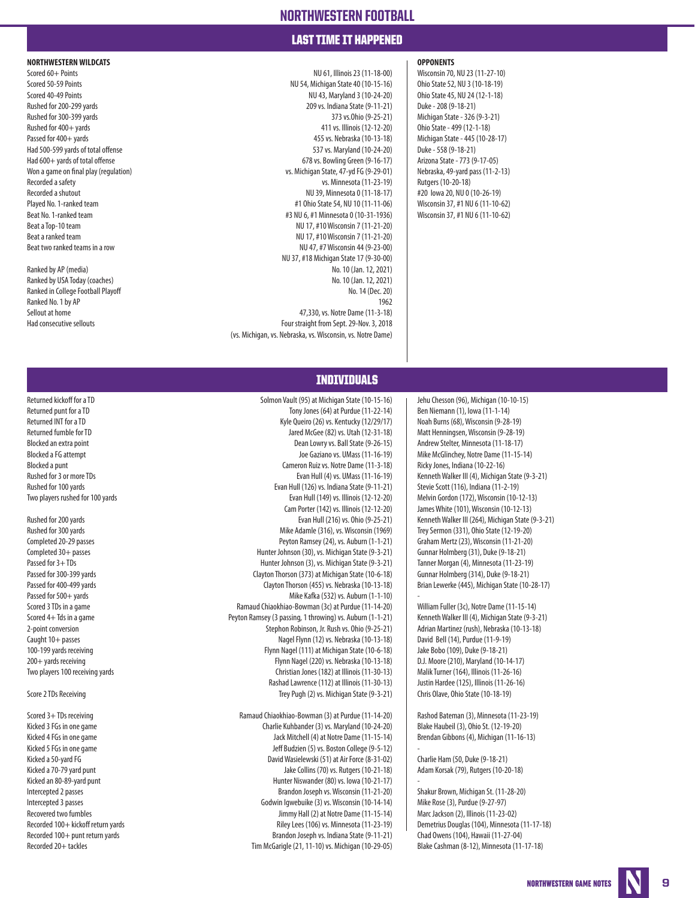### LAST TIME IT HAPPENED

**NORTHWESTERN WILDCATS OPPONENTS**

Scored 60+ Points NU 61, Illinois 23 (11-18-00) Wisconsin 70, NU 23 (11-27-10) Scored 50-59 Points NU 54, Michigan State 40 (10-15-16) Qhio State 52, NU 3 (10-18-19) Scored 40-49 Points NU 43, Maryland 3 (10-24-20) Ohio State 45, NU 24 (12-1-18) Rushed for 200-299 yards 209 vs. Indiana State (9-11-21) Duke - 208 (9-18-21) Rushed for 300-399 yards 373 vs.Ohio (9-25-21) Michigan State - 326 (9-3-21) Rushed for 400+ yards and the variable of the variable of the variable of the variable of the variable of the variable of the variable of the variable of the variable of the variable of the variable of the variable of the Passed for 400+ yards and the state of 400+ yards 455 vs. Nebraska (10-13-18) Michigan State - 445 (10-28-17) Had 500-599 yards of total offense 537 vs. Maryland (10-24-20) Duke - 558 (9-18-21) Had 600+ yards of total offense 678 vs. Bowling Green (9-16-17) Arizona State - 773 (9-17-05) Won a game on final play (requlation) vs. Michigan State, 47-yd FG (9-29-01) Nebraska, 49-yard pass (11-2-13) Recorded a safety **Recorded a safety** Rutgers (10-20-18) Rutgers (10-20-18) Rutgers (10-20-18) Recorded a shutout **NU 39, Minnesota 0 (11-18-17)** #20 Iowa 20, NU 0 (10-26-19) Played No. 1-ranked team **All and Taylor State 54, NU 10 (11-11-06)** Wisconsin 37, #1 NU 6 (11-10-62) Beat No. 1-ranked team **1998** Wisconsin 37, #1 NU 6 (11-10-62) Beat a Top-10 team  $\frac{1}{2}$  Beat a Top-10 team  $\frac{1}{2}$  Beat a Top-10 team  $\frac{1}{2}$  Beat a Top-10 team  $\frac{1}{2}$  Beat a Top-10 team  $\frac{1}{2}$  Beat a Top-10 team  $\frac{1}{2}$  Beat a Top-10 team  $\frac{1}{2}$  Beat a Top-10 team Beat a ranked team **NU 17, #10 Wisconsin 7 (11-21-20)** NU 17, #10 Wisconsin 7 (11-21-20) Beat two ranked teams in a row **NU 47, #7 Wisconsin 44 (9-23-00) NU 47, #7 Wisconsin 44 (9-23-00)** NU 37, #18 Michigan State 17 (9-30-00) Ranked by AP (media) No. 10 (Jan. 12, 2021) Ranked by USA Today (coaches) No. 10 (Jan. 12, 2021) Ranked in College Football Playoff No. 14 (Dec. 20) Ranked No. 1 by AP 1962 Sellout at home 47,330, vs. Notre Dame (11-3-18) Had consecutive sellouts Four straight from Sept. 29-Nov. 3, 2018 (vs. Michigan, vs. Nebraska, vs. Wisconsin, vs. Notre Dame)

### INDIVIDUALS

Returned kickoff for a TD **Solmon Vault (95) at Michigan State (10-15-16** Jehu Chesson (96), Michigan (10-10-15)<br>Returned punt for a TD Security of The Solmon Vault (95) at Purdue (11-22-14) Ben Niemann (1), Iowa (11-1-14) Tony Jones (64) at Purdue (11-22-14) Ben Niemann (1), Iowa (11-1-14) Returned INT for a TD **Kyle Queiro (26) vs. Kentucky (12/29/17)** Noah Burns (68), Wisconsin (9-28-19) Returned fumble for TD **Jared McGee (82) vs. Utah (12-31-18)** Matt Henningsen, Wisconsin (9-28-19) Blocked an extra point **Extra point** 2.17) Blocked an extra point and the state (9-26-15) Blocked an extra point Blocked a FG attempt **Joe Gaziano vs. UMass (11-16-19)** Mike McGlinchey, Notre Dame (11-15-14) Blocked a punt and the cameron Ruiz vs. Notre Dame (11-3-18) Ricky Jones, Indiana (10-22-16) Rushed for 3 or more TDs **Evan Hull (4)** vs. UMass (11-16-19) Kenneth Walker III (4), Michigan State (9-3-21) Rushed for 100 yards Care and State (9-11-21) (126) vs. Indiana State (9-11-21) Stevie Scott (116), Indiana (11-2-19)<br>--10) Two players rushed for 100 yards Care and State (11-2-19) (11-12-20) (12-12-20) Melvin Gordon (172 Rushed for 200 yards **Evan Hull (216) vs. Ohio (9-25-21)** Kenneth Walker III (264), Michigan State (9-3-21) Rushed for 300 yards Trey Sermon (331), Ohio State (12-19-20) Mike Adamle (316), vs. Wisconsin (1969) Trey Sermon (331), Ohio State (12-19-20) Completed 20-29 passes Peyton Ramsey (24), vs. Auburn (1-1-21) Graham Mertz (23), Wisconsin (11-21-20) Completed 30+ passes examples the passes that the state of the Hunter Johnson (30), vs. Michigan State (9-3-21) (Gunnar Holmberg (31), Duke (9-18-21) Passed for 3+TDs examples the Hunter Johnson (3), vs. Michigan State (9-3-21) Tanner Morgan (4), Minnesota (11-23-19) Passed for 300-399 yards Clayton Thorson (373) at Michigan State (10-6-18) Gunnar Holmberg (314), Duke (9-18-21) Passed for 400-499 yards Clayton Thorson (455) vs. Nebraska (10-13-18) Brian Lewerke (445), Michigan State (10-28-17) Passed for 500+ yards Mike Kafka (532) vs. Auburn (1-1-10) Scored 3 TDs in a game Ramaud Chiaokhiao-Bowman (3c) at Purdue (11-14-20) William Fuller (3c), Notre Dame (11-15-14) Scored 4+ Tds in a game Peyton Ramsey (3 passing, 1 throwing) vs. Auburn (1-1-21) Kenneth Walker III (4), Michigan State (9-3-21) 2-point conversion Stephon Robinson, Jr. Rush vs. Ohio (9-25-21) Adrian Martinez (rush), Nebraska (10-13-18) Caught 10+ passes examples the state of the Nagel Flynn (12) vs. Nebraska (10-13-18) David Bell (14), Purdue (11-9-19) 100-199 yards receiving Flynn Nagel (111) at Michigan State (10-6-18) Jake Bobo (109), Duke (9-18-21) 200+ yards receiving Flynn Nagel (220) vs. Nebraska (10-13-18) D.J. Moore (210), Maryland (10-14-17) Two players 100 receiving yards Christian Jones (182) at Illinois (11-30-13) Malik Turner (164), Illinois (11-26-16) Rashad Lawrence (112) at Illinois (11-30-13) Justin Hardee (125), Illinois (11-26-16) Score 2 TDs Receiving Trey Pugh (2) vs. Michigan State (9-3-21) Chris Olave, Ohio State (10-18-19) Scored 3+TDs receiving examples and Ramaud Chiaokhiao-Bowman (3) at Purdue (11-14-20) Rashod Bateman (3), Minnesota (11-23-19) Kicked 3 FGs in one game Charlie Kuhbander (3) vs. Maryland (10-24-20) Blake Haubeil (3), Ohio St. (12-19-20) Kicked 4 FGs in one game and the same dame of the Mitchell (4) at Notre Dame (11-15-14) Brendan Gibbons (4), Michigan (11-16-13) Kicked 5 FGs in one game Jeff Budzien (5) vs. Boston College (9-5-12) Kicked a 50-yard FG **David Wasielewski (51) at Air Force (8-31-02)** Charlie Ham (50, Duke (9-18-21) Kicked a 70-79 vard punt Jake Collins (70) vs. Rutgers (10-21-18) Adam Korsak (79), Rutgers (10-20-18) Kicked an 80-89-yard punt distribution of the Hunter Niswander (80) vs. Iowa (10-21-17) Intercepted 2 passes Brandon Joseph vs. Wisconsin (11-21-20) Shakur Brown, Michigan St. (11-28-20) Intercepted 3 passes examples and the Comparison Codwin Igwebuike (3) vs. Wisconsin (10-14-14) Mike Rose (3), Purdue (9-27-97) Recovered two fumbles and the United States Jimmy Hall (2) at Notre Dame (11-15-14) Marc Jackson (2), Illinois (11-23-02)

Two players rushed for 100 yards Evan Hull (149) vs. Illinois (12-12-20) Melvin Gordon (172), Wisconsin (10-12-13) Cam Porter (142) vs. Illinois (12-12-20) James White (101), Wisconsin (10-12-13) -

-

-

Recorded 100+ kickoff return yards **Rights Rights Riley Lees (106) vs. Minnesota (11-23-19)** Demetrius Douglas (104), Minnesota (11-17-18) Recorded 100+ punt return yards Brandon Joseph vs. Indiana State (9-11-21) Chad Owens (104), Hawaii (11-27-04) Recorded 20+ tackles Tim McGarigle (21, 11-10) vs. Michigan (10-29-05) Blake Cashman (8-12), Minnesota (11-17-18)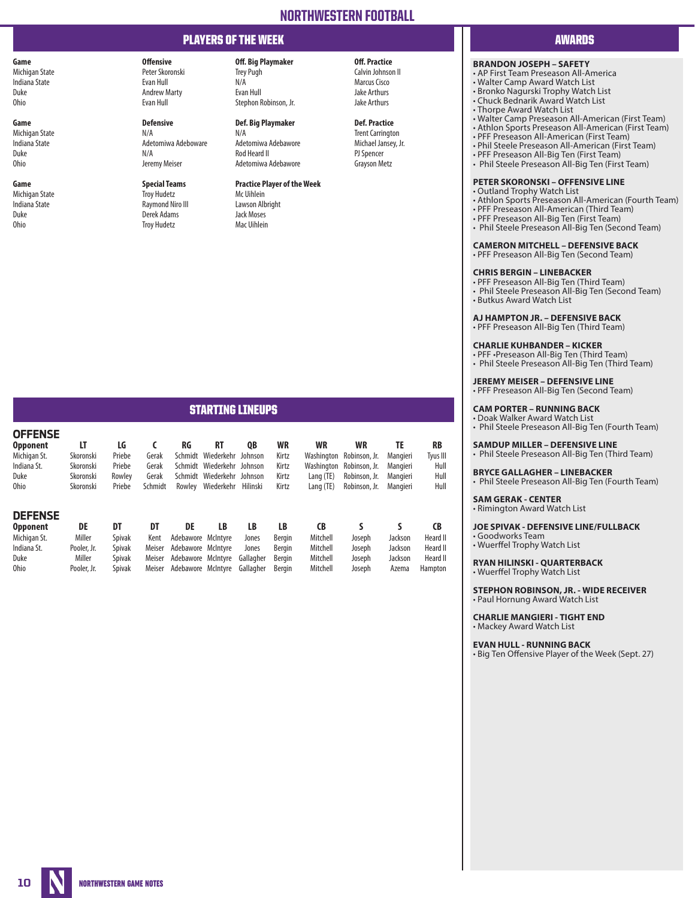# PLAYERS OF THE WEEK AWARDS OF THE WEEK AWARDS OF THE USE OF THE USE OF THE USE OF THE USE OF THE USE OF THE US

Duke Andrew Marty Evan Hull Jake Arthurs Ohio Evan Hull Stephon Robinson, Jr. Jake Arthurs

**Game Def. Big Playmaker Def. Practice**<br> **Def. Big Playmaker Def. Practice**<br> **N/A N/A N/A Defensive N/A** Michigan State N/A N/A Trent Carrington Indiana State Adetomiwa Adeboware Adetomiwa Adebawore Michael Jansey, Jr. Duke N/A Rod Heard II PJ Spencer Ohio Jeremy Meiser Adetomiwa Adebawore Grayson Metz

Raymond Niro III Duke Derek Adams Jack Moses Troy Hudetz

## **Game Off. Practice Off. Big Playmaker Off. Practice Off. Practice Off. Practice Off. Practice Off. Practice** *Calvin Johnson II* **Peter Skoronski Trey Pugh Calvin Johnson II** Michigan State Peter Skoronski Trey Pugh Calvin Johnson II Indiana State **Evan Hull Night American Cisco** Evan Hull N/A Marcus Cisco Night America Cisco Night America Cisco

# **Game Special Teams Practice Player of the Week**

Michigan State Troy Hudetz Mc Uihlein

### **BRANDON JOSEPH – SAFETY**

- AP First Team Preseason All-America
- Walter Camp Award Watch List
- Bronko Nagurski Trophy Watch List
- Chuck Bednarik Award Watch List • Thorpe Award Watch List
	-
- Walter Camp Preseason All-American (First Team) • Athlon Sports Preseason All-American (First Team)
- PFF Preseason All-American (First Team)
- Phil Steele Preseason All-American (First Team)
- PFF Preseason All-Big Ten (First Team)
- Phil Steele Preseason All-Big Ten (First Team)

### **PETER SKORONSKI – OFFENSIVE LINE**

- Outland Trophy Watch List
- Athlon Sports Preseason All-American (Fourth Team) • PFF Preseason All-American (Third Team)
- PFF Preseason All-Big Ten (First Team)
- Phil Steele Preseason All-Big Ten (Second Team)

### **CAMERON MITCHELL – DEFENSIVE BACK**

• PFF Preseason All-Big Ten (Second Team)

### **CHRIS BERGIN – LINEBACKER**

• PFF Preseason All-Big Ten (Third Team) • Phil Steele Preseason All-Big Ten (Second Team) • Butkus Award Watch List

### **AJ HAMPTON JR. – DEFENSIVE BACK**

• PFF Preseason All-Big Ten (Third Team)

### **CHARLIE KUHBANDER – KICKER**

• PFF •Preseason All-Big Ten (Third Team) • Phil Steele Preseason All-Big Ten (Third Team)

**JEREMY MEISER – DEFENSIVE LINE** • PFF Preseason All-Big Ten (Second Team)

### **CAM PORTER – RUNNING BACK**

• Doak Walker Award Watch List

# • Phil Steele Preseason All-Big Ten (Fourth Team)

### **SAMDUP MILLER – DEFENSIVE LINE**

• Phil Steele Preseason All-Big Ten (Third Team)

### **BRYCE GALLAGHER – LINEBACKER**

• Phil Steele Preseason All-Big Ten (Fourth Team) **SAM GERAK - CENTER**

• Rimington Award Watch List

### **JOE SPIVAK - DEFENSIVE LINE/FULLBACK**

• Goodworks Team • Wuerffel Trophy Watch List

### **RYAN HILINSKI - QUARTERBACK** • Wuerffel Trophy Watch List

**STEPHON ROBINSON, JR. - WIDE RECEIVER** • Paul Hornung Award Watch List

**CHARLIE MANGIERI - TIGHT END** • Mackey Award Watch List

**EVAN HULL - RUNNING BACK**

• Big Ten Offensive Player of the Week (Sept. 27)

# STARTING LINEUPS

| <b>OFFENSE</b><br><b>Opponent</b><br>Michigan St.<br>Indiana St.<br>Duke<br><b>Ohio</b> | LT<br>Skoronski<br>Skoronski<br>Skoronski<br>Skoronski | LG<br>Priebe<br>Priebe<br>Rowlev<br>Priebe                             | Gerak<br>Gerak<br>Gerak<br>Schmidt       | RG<br>Rowley                                                                               | <b>RT</b><br>Schmidt Wiederkehr<br>Schmidt Wiederkehr Johnson<br>Schmidt Wiederkehr Johnson<br>Wiederkehr | QB<br>Johnson<br>Hilinski                      | WR<br>Kirtz<br>Kirtz<br>Kirtz<br>Kirtz                   | WR<br>Washington<br>Washington<br>Lang (TE)<br>Lang $(TE)$ | WR<br>Robinson, Jr.<br>Robinson, Jr.<br>Robinson, Jr.<br>Robinson, Jr. | TE<br>Mangieri<br>Mangieri<br>Mangieri<br>Mangieri | RB<br>Tyus III<br>Hull<br>Hull<br>Hull             |
|-----------------------------------------------------------------------------------------|--------------------------------------------------------|------------------------------------------------------------------------|------------------------------------------|--------------------------------------------------------------------------------------------|-----------------------------------------------------------------------------------------------------------|------------------------------------------------|----------------------------------------------------------|------------------------------------------------------------|------------------------------------------------------------------------|----------------------------------------------------|----------------------------------------------------|
| <b>DEFENSE</b><br><b>Opponent</b><br>Michigan St.<br>Indiana St.<br>Duke<br><b>Ohio</b> | DE<br>Miller<br>Pooler, Jr.<br>Miller<br>Pooler, Jr.   | DT<br><b>Spivak</b><br><b>Spivak</b><br><b>Spivak</b><br><b>Spivak</b> | DT<br>Kent<br>Meiser<br>Meiser<br>Meiser | DE<br>Adebawore McIntyre<br>Adebawore McIntyre<br>Adebawore McIntyre<br>Adebawore McIntyre | LB                                                                                                        | LB<br>Jones<br>Jones<br>Gallagher<br>Gallagher | LB<br>Bergin<br><b>Bergin</b><br>Bergin<br><b>Bergin</b> | <b>CB</b><br>Mitchell<br>Mitchell<br>Mitchell<br>Mitchell  | S<br>Joseph<br>Joseph<br>Joseph<br>Joseph                              | S<br>Jackson<br>Jackson<br>Jackson<br>Azema        | CB.<br>Heard II<br>Heard II<br>Heard II<br>Hampton |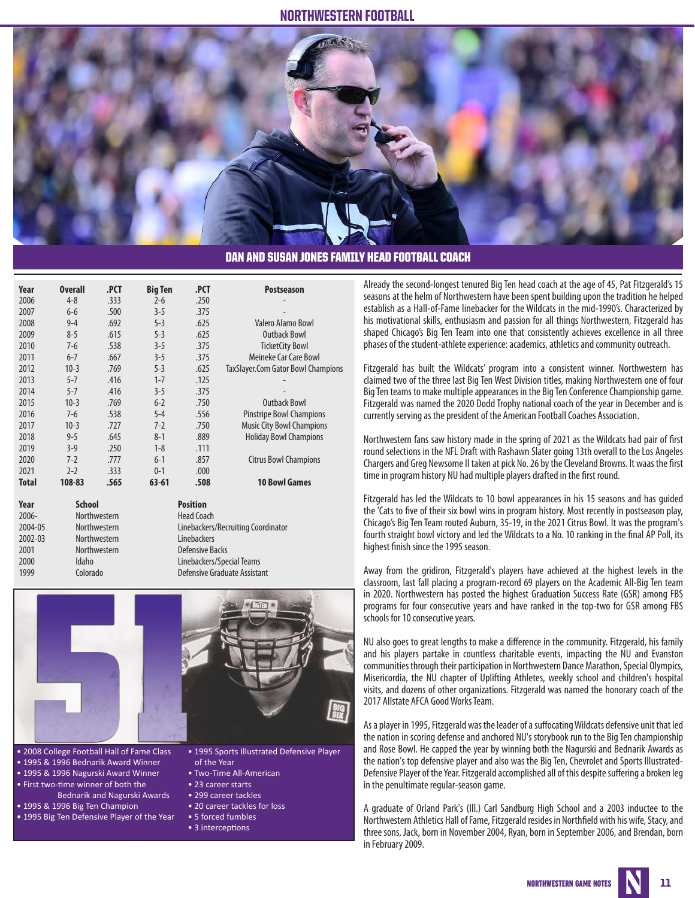

### DAN AND SUSAN JONES FAMILY HEAD FOOTBALL COACH

| <b>Overall</b> | .PCT | <b>Big Ten</b>                                                                | .PCT                               | <b>Postseason</b>                         |  |  |  |
|----------------|------|-------------------------------------------------------------------------------|------------------------------------|-------------------------------------------|--|--|--|
| $4 - 8$        | .333 | $2-6$                                                                         | .250                               |                                           |  |  |  |
| $6 - 6$        | .500 | $3 - 5$                                                                       | .375                               |                                           |  |  |  |
| $9 - 4$        | .692 | $5 - 3$                                                                       | .625                               | Valero Alamo Bowl                         |  |  |  |
| $8 - 5$        | .615 | $5 - 3$                                                                       | .625                               | <b>Outback Bowl</b>                       |  |  |  |
| $7-6$          | .538 | $3 - 5$                                                                       | .375                               | <b>TicketCity Bowl</b>                    |  |  |  |
| $6 - 7$        | .667 | $3 - 5$                                                                       | .375                               | Meineke Car Care Bowl                     |  |  |  |
| $10-3$         | .769 | $5 - 3$                                                                       | .625                               | TaxSlayer.Com Gator Bowl Champions        |  |  |  |
| $5 - 7$        | .416 | $1 - 7$                                                                       | .125                               |                                           |  |  |  |
| $5 - 7$        | .416 | $3 - 5$                                                                       | .375                               |                                           |  |  |  |
| $10-3$         | .769 | $6 - 2$                                                                       | .750                               | <b>Outback Bowl</b>                       |  |  |  |
| $7-6$          | .538 | $5 - 4$                                                                       | .556                               | <b>Pinstripe Bowl Champions</b>           |  |  |  |
| $10-3$         | .727 | $7 - 2$                                                                       | .750                               | <b>Music City Bowl Champions</b>          |  |  |  |
| $9 - 5$        | .645 | $8-1$                                                                         | .889                               | <b>Holiday Bowl Champions</b>             |  |  |  |
| $3-9$          | .250 | $1 - 8$                                                                       | .111                               |                                           |  |  |  |
| $7-2$          | .777 | $6 - 1$                                                                       | .857                               | <b>Citrus Bowl Champions</b>              |  |  |  |
| $2 - 2$        | .333 | $0 - 1$                                                                       | .000                               |                                           |  |  |  |
| 108-83         | .565 | $63 - 61$                                                                     | .508                               | <b>10 Bowl Games</b>                      |  |  |  |
|                |      |                                                                               |                                    |                                           |  |  |  |
|                |      |                                                                               | <b>Head Coach</b>                  |                                           |  |  |  |
|                |      |                                                                               | Linebackers/Recruiting Coordinator |                                           |  |  |  |
|                |      |                                                                               | Linebackers                        |                                           |  |  |  |
|                |      |                                                                               |                                    |                                           |  |  |  |
| Idaho          |      |                                                                               | Linebackers/Special Teams          |                                           |  |  |  |
|                |      | <b>School</b><br>Northwestern<br>Northwestern<br>Northwestern<br>Northwestern |                                    | <b>Position</b><br><b>Defensive Backs</b> |  |  |  |



1999 Colorado Defensive Graduate Assistant

• 2008 College Football Hall of Fame Class

- 1995 & 1996 Bednarik Award Winner
- 1995 & 1996 Nagurski Award Winner
- First two-time winner of both the
- Bednarik and Nagurski Awards • 1995 & 1996 Big Ten Champion
- 1995 Big Ten Defensive Player of the Year
- 1995 Sports Illustrated Defensive Player of the Year
- Two-Time All-American
- 23 career starts
- 299 career tackles
- 20 career tackles for loss
- 5 forced fumbles
- 3 interceptions

Already the second-longest tenured Big Ten head coach at the age of 45, Pat Fitzgerald's 15 seasons at the helm of Northwestern have been spent building upon the tradition he helped establish as a Hall-of-Fame linebacker for the Wildcats in the mid-1990's. Characterized by his motivational skills, enthusiasm and passion for all things Northwestern, Fitzgerald has shaped Chicago's Big Ten Team into one that consistently achieves excellence in all three phases of the student-athlete experience: academics, athletics and community outreach.

Fitzgerald has built the Wildcats' program into a consistent winner. Northwestern has claimed two of the three last Big Ten West Division titles, making Northwestern one of four Big Ten teams to make multiple appearances in the Big Ten Conference Championship game. Fitzgerald was named the 2020 Dodd Trophy national coach of the year in December and is currently serving as the president of the American Football Coaches Association.

Northwestern fans saw history made in the spring of 2021 as the Wildcats had pair of first round selections in the NFL Draft with Rashawn Slater going 13th overall to the Los Angeles Chargers and Greg Newsome II taken at pick No. 26 by the Cleveland Browns. It waas the first time in program history NU had multiple players drafted in the first round.

Fitzgerald has led the Wildcats to 10 bowl appearances in his 15 seasons and has guided the 'Cats to five of their six bowl wins in program history. Most recently in postseason play, Chicago's Big Ten Team routed Auburn, 35-19, in the 2021 Citrus Bowl. It was the program's fourth straight bowl victory and led the Wildcats to a No. 10 ranking in the final AP Poll, its highest finish since the 1995 season.

Away from the gridiron, Fitzgerald's players have achieved at the highest levels in the classroom, last fall placing a program-record 69 players on the Academic All-Big Ten team in 2020. Northwestern has posted the highest Graduation Success Rate (GSR) among FBS programs for four consecutive years and have ranked in the top-two for GSR among FBS schools for 10 consecutive years.

NU also goes to great lengths to make a difference in the community. Fitzgerald, his family and his players partake in countless charitable events, impacting the NU and Evanston communities through their participation in Northwestern Dance Marathon, Special Olympics, Misericordia, the NU chapter of Uplifting Athletes, weekly school and children's hospital visits, and dozens of other organizations. Fitzgerald was named the honorary coach of the 2017 Allstate AFCA Good Works Team.

As a player in 1995, Fitzgerald was the leader of a suffocating Wildcats defensive unit that led the nation in scoring defense and anchored NU's storybook run to the Big Ten championship and Rose Bowl. He capped the year by winning both the Nagurski and Bednarik Awards as the nation's top defensive player and also was the Big Ten, Chevrolet and Sports Illustrated-Defensive Player of the Year. Fitzgerald accomplished all of this despite suffering a broken leg in the penultimate regular-season game.

A graduate of Orland Park's (Ill.) Carl Sandburg High School and a 2003 inductee to the Northwestern Athletics Hall of Fame, Fitzgerald resides in Northfield with his wife, Stacy, and three sons, Jack, born in November 2004, Ryan, born in September 2006, and Brendan, born in February 2009.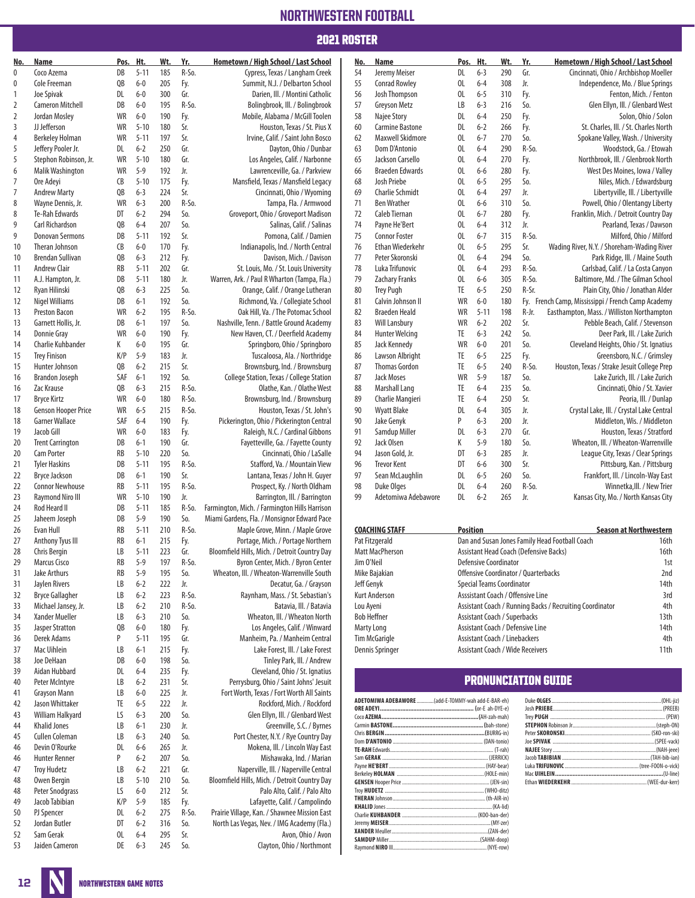### 2021 ROSTER

| No.            | Name                                             | Pos.            | Ht.                 | Wt.        | Yr.            | Hometown / High School / Last School                            | No.       | Name                                                | Pos.            | Ht.                | Wt.                                     | Yr.        | Hometown / High School / Last School                     |                                                        |
|----------------|--------------------------------------------------|-----------------|---------------------|------------|----------------|-----------------------------------------------------------------|-----------|-----------------------------------------------------|-----------------|--------------------|-----------------------------------------|------------|----------------------------------------------------------|--------------------------------------------------------|
| 0              | Coco Azema                                       | DB              | $5 - 11$            | 185        | R-So.          | Cypress, Texas / Langham Creek                                  | 54        | Jeremy Meiser                                       | DL              | $6 - 3$            | 290                                     | Gr.        | Cincinnati, Ohio / Archbishop Moeller                    |                                                        |
| $\mathbf{0}$   | Cole Freeman                                     | QB              | $6-0$               | 205        | Fy.            | Summit, N.J. / Delbarton School                                 | 55        | <b>Conrad Rowley</b>                                | 0L              | $6 - 4$            | 308                                     | Jr.        | Independence, Mo. / Blue Springs                         |                                                        |
| 1              | Joe Spivak                                       | DL              | $6 - 0$             | 300        | Gr.            | Darien, III. / Montini Catholic                                 | 56        | Josh Thompson                                       | OL              | $6 - 5$            | 310                                     | Fy.        |                                                          | Fenton, Mich. / Fenton                                 |
| 2              | <b>Cameron Mitchell</b>                          | DB              | $6-0$               | 195        | $R-So.$        | Bolingbrook, Ill. / Bolingbrook                                 | 57        | Greyson Metz                                        | LB              | $6 - 3$            | 216                                     | So.        |                                                          | Glen Ellyn, III. / Glenbard West                       |
| 2              | Jordan Mosley                                    | WR              | $6 - 0$             | 190        | Fy.            | Mobile, Alabama / McGill Toolen                                 | 58        | Najee Story                                         | DL              | $6 - 4$            | 250                                     | Fy.        |                                                          | Solon, Ohio / Solon                                    |
| 3              | JJ Jefferson                                     | WR              | $5 - 10$            | 180        | Sr.            | Houston, Texas / St. Pius X                                     | 60        | <b>Carmine Bastone</b>                              | DL              | $6 - 2$            | 266                                     | Fy.        | St. Charles, III. / St. Charles North                    |                                                        |
| $\overline{4}$ | <b>Berkeley Holman</b>                           | <b>WR</b>       | $5 - 11$            | 197        | Sr.            | Irvine, Calif. / Saint John Bosco                               | 62        | <b>Maxwell Skidmore</b>                             | 0L              | $6 - 7$            | 270                                     | So.        | Spokane Valley, Wash. / University                       |                                                        |
| 5              | Jeffery Pooler Jr.                               | DL              | $6 - 2$<br>$5 - 10$ | 250<br>180 | Gr.            | Dayton, Ohio / Dunbar                                           | 63        | Dom D'Antonio                                       | OL              | $6 - 4$            | 290                                     | R-So.      |                                                          | Woodstock, Ga. / Etowah                                |
| 5<br>6         | Stephon Robinson, Jr.<br><b>Malik Washington</b> | WR<br><b>WR</b> | $5 - 9$             | 192        | Gr.<br>Jr.     | Los Angeles, Calif. / Narbonne<br>Lawrenceville, Ga. / Parkview | 65<br>66  | Jackson Carsello<br><b>Braeden Edwards</b>          | 0L<br>OL        | $6 - 4$<br>$6-6$   | 270<br>280                              | Fy.<br>Fy. | Northbrook, Ill. / Glenbrook North                       | West Des Moines, Iowa / Valley                         |
| 7              | Ore Adevi                                        | CB              | $5 - 10$            | 175        | Fy.            | Mansfield, Texas / Mansfield Legacy                             | 68        | Josh Priebe                                         | 0L              | $6 - 5$            | 295                                     | So.        |                                                          | Niles, Mich. / Edwardsburg                             |
| $\overline{7}$ | <b>Andrew Marty</b>                              | QB              | $6 - 3$             | 224        | Sr.            | Cincinnati, Ohio / Wyoming                                      | 69        | <b>Charlie Schmidt</b>                              | 0L              | $6 - 4$            | 297                                     | Jr.        |                                                          | Libertyville, III. / Libertyville                      |
| 8              | Wayne Dennis, Jr.                                | WR              | $6 - 3$             | 200        | R-So.          | Tampa, Fla. / Armwood                                           | 71        | <b>Ben Wrather</b>                                  | 0L              | $6-6$              | 310                                     | So.        | Powell, Ohio / Olentangy Liberty                         |                                                        |
| 8              | Te-Rah Edwards                                   | DT              | $6 - 2$             | 294        | So.            | Groveport, Ohio / Groveport Madison                             | 72        | Caleb Tiernan                                       | 0L              | $6 - 7$            | 280                                     | Fy.        | Franklin, Mich. / Detroit Country Day                    |                                                        |
| 9              | <b>Carl Richardson</b>                           | QB              | $6 - 4$             | 207        | So.            | Salinas, Calif. / Salinas                                       | 74        | Payne He'Bert                                       | OL              | $6 - 4$            | 312                                     | Jr.        |                                                          | Pearland, Texas / Dawson                               |
| 9              | <b>Donovan Sermons</b>                           | DB              | $5 - 11$            | 192        | Sr.            | Pomona, Calif. / Damien                                         | 75        | <b>Connor Foster</b>                                | OL              | $6 - 7$            | 315                                     | R-So.      |                                                          | Milford, Ohio / Milford                                |
| 10             | Theran Johnson                                   | CB              | $6-0$               | 170        | Fy.            | Indianapolis, Ind. / North Central                              | 76        | <b>Ethan Wiederkehr</b>                             | 0L              | $6 - 5$            | 295                                     | Sr.        | Wading River, N.Y. / Shoreham-Wading River               |                                                        |
| 10             | <b>Brendan Sullivan</b>                          | QB              | $6 - 3$             | 212        | Fy.            | Davison, Mich. / Davison                                        | 77        | Peter Skoronski                                     | 0L              | $6 - 4$            | 294                                     | So.        |                                                          | Park Ridge, III. / Maine South                         |
| 11             | <b>Andrew Clair</b>                              | RB              | $5 - 11$            | 202        | Gr.            | St. Louis, Mo. / St. Louis University                           | 78        | Luka Trifunovic                                     | 0L              | $6 - 4$            | 293                                     | R-So.      | Carlsbad, Calif. / La Costa Canyon                       |                                                        |
| 11             | A.J. Hampton, Jr.                                | DB              | $5 - 11$            | 180        | Jr.            | Warren, Ark. / Paul R Wharton (Tampa, Fla.)                     | 79        | <b>Zachary Franks</b>                               | OL              | $6-6$              | 305                                     | R-So.      | Baltimore, Md. / The Gilman School                       |                                                        |
| 12             | Ryan Hilinski                                    | QB              | $6 - 3$             | 225        | So.            | Orange, Calif. / Orange Lutheran                                | 80        | <b>Trey Pugh</b>                                    | TE              | $6 - 5$            | 250                                     | R-Sr.      |                                                          | Plain City, Ohio / Jonathan Alder                      |
| 12             | Nigel Williams                                   | DB              | $6 - 1$             | 192        | So.            | Richmond, Va. / Collegiate School                               | 81        | Calvin Johnson II                                   | WR              | $6 - 0$            | 180                                     |            | Fy. French Camp, Mississippi / French Camp Academy       |                                                        |
| 13             | <b>Preston Bacon</b>                             | WR              | $6 - 2$             | 195        | R-So.          | Oak Hill, Va. / The Potomac School                              | 82        | <b>Braeden Heald</b>                                | WR              | $5 - 11$           | 198                                     | R-Jr.      | Easthampton, Mass. / Williston Northampton               |                                                        |
| 13             | Garnett Hollis, Jr.                              | DB              | $6 - 1$             | 197        | So.            | Nashville, Tenn. / Battle Ground Academy                        | 83        | <b>Will Lansbury</b>                                | WR              | $6 - 2$            | 202                                     | Sr.        |                                                          | Pebble Beach, Calif. / Stevenson                       |
| 14             | Donnie Gray                                      | <b>WR</b>       | $6 - 0$             | 190        | Fy.            | New Haven, CT. / Deerfield Academy                              | 84        | <b>Hunter Welcing</b>                               | TE              | $6 - 3$            | 242                                     | So.        |                                                          | Deer Park, III. / Lake Zurich                          |
| 14             | Charlie Kuhbander                                | К               | $6 - 0$             | 195        | Gr.            | Springboro, Ohio / Springboro                                   | 85        | Jack Kennedy                                        | WR              | $6-0$              | 201                                     | So.        | Cleveland Heights, Ohio / St. Ignatius                   |                                                        |
| 15             | <b>Trev Finison</b>                              | K/P             | $5 - 9$             | 183        | Jr.            | Tuscaloosa, Ala. / Northridge                                   | 86        | Lawson Albright                                     | TE              | $6 - 5$            | 225                                     | Fy.        |                                                          | Greensboro, N.C. / Grimsley                            |
| 15             | Hunter Johnson                                   | QB              | $6 - 2$             | 215        | Sr.            | Brownsburg, Ind. / Brownsburg                                   | 87        | <b>Thomas Gordon</b>                                | TE              | $6 - 5$            | 240                                     | R-So.      | Houston, Texas / Strake Jesuit College Prep              |                                                        |
| 16             | <b>Brandon Joseph</b><br>Zac Krause              | SAF             | $6 - 1$<br>$6 - 3$  | 192<br>215 | So.<br>R-So.   | College Station, Texas / College Station                        | 87<br>88  | <b>Jack Moses</b>                                   | WR<br>TE        | $5 - 9$<br>$6 - 4$ | 187<br>235                              | So.<br>So. |                                                          | Lake Zurich, III. / Lake Zurich                        |
| 16<br>17       | <b>Bryce Kirtz</b>                               | QB<br>WR        | $6-0$               | 180        | R-So.          | Olathe, Kan. / Olathe West<br>Brownsburg, Ind. / Brownsburg     | 89        | Marshall Lang<br>Charlie Mangieri                   | TE              | $6 - 4$            | 250                                     | Sr.        |                                                          | Cincinnati, Ohio / St. Xavier<br>Peoria, III. / Dunlap |
| 18             | <b>Genson Hooper Price</b>                       | WR              | $6 - 5$             | 215        | R-So.          | Houston, Texas / St. John's                                     | 90        | <b>Wyatt Blake</b>                                  | DL              | $6 - 4$            | 305                                     | Jr.        | Crystal Lake, III. / Crystal Lake Central                |                                                        |
| 18             | <b>Garner Wallace</b>                            | SAF             | $6 - 4$             | 190        | Fy.            | Pickerington, Ohio / Pickerington Central                       | 90        | Jake Genyk                                          | P               | $6 - 3$            | 200                                     | Jr.        |                                                          | Middleton, Wis. / Middleton                            |
| 19             | Jacob Gill                                       | WR              | $6-0$               | 183        | Fy.            | Raleigh, N.C. / Cardinal Gibbons                                | 91        | Samdup Miller                                       | DL              | $6 - 3$            | 270                                     | Gr.        |                                                          | Houston, Texas / Stratford                             |
| 20             | <b>Trent Carrington</b>                          | DB              | $6 - 1$             | 190        | Gr.            | Fayetteville, Ga. / Fayette County                              | 92        | Jack Olsen                                          | К               | $5 - 9$            | 180                                     | So.        | Wheaton, Ill. / Wheaton-Warrenville                      |                                                        |
| 20             | Cam Porter                                       | RB              | $5 - 10$            | 220        | So.            | Cincinnati, Ohio / LaSalle                                      | 94        | Jason Gold, Jr.                                     | DT              | $6 - 3$            | 285                                     | Jr.        | League City, Texas / Clear Springs                       |                                                        |
| 21             | <b>Tyler Haskins</b>                             | DB              | $5 - 11$            | 195        | R-So.          | Stafford, Va. / Mountain View                                   | 96        | <b>Trevor Kent</b>                                  | DT              | $6-6$              | 300                                     | Sr.        |                                                          | Pittsburg, Kan. / Pittsburg                            |
| 22             | <b>Bryce Jackson</b>                             | DB              | $6 - 1$             | 190        | Sr.            | Lantana, Texas / John H. Guyer                                  | 97        | Sean McLaughlin                                     | DL              | $6 - 5$            | 260                                     | So.        | Frankfort, III. / Lincoln-Way East                       |                                                        |
| 22             | <b>Connor Newhouse</b>                           | RB              | $5 - 11$            | 195        | $R-So.$        | Prospect, Ky. / North Oldham                                    | 98        | <b>Duke Olges</b>                                   | DL              | $6 - 4$            | 260                                     | R-So.      |                                                          | Winnetka, III. / New Trier                             |
| 23             | <b>Raymond Niro III</b>                          | WR              | $5 - 10$            | 190        | Jr.            | Barrington, Ill. / Barrington                                   | 99        | Adetomiwa Adebawore                                 | DL              | $6 - 2$            | 265                                     | Jr.        | Kansas City, Mo. / North Kansas City                     |                                                        |
| 24             | Rod Heard II                                     | DB              | $5 - 11$            | 185        | R-So.          | Farmington, Mich. / Farmington Hills Harrison                   |           |                                                     |                 |                    |                                         |            |                                                          |                                                        |
| 25             | Jaheem Joseph                                    | DB              | $5 - 9$             | 190        | So.            | Miami Gardens, Fla. / Monsignor Edward Pace                     |           |                                                     |                 |                    |                                         |            |                                                          |                                                        |
| 26             | Evan Hull                                        | RB              | $5 - 11$            | 210        | R-So.          | Maple Grove, Minn. / Maple Grove                                |           | <b>COACHING STAFF</b>                               | <b>Position</b> |                    |                                         |            |                                                          | <b>Season at Northwestern</b>                          |
| 27             | Anthony Tyus III                                 | RB              | $6 - 1$             | 215        | Fy.            | Portage, Mich. / Portage Northern                               |           | Pat Fitzgerald                                      |                 |                    |                                         |            | Dan and Susan Jones Family Head Football Coach           | 16th                                                   |
| 28             | Chris Bergin                                     | LB              | $5 - 11$            | 223        | Gr.            | Bloomfield Hills, Mich. / Detroit Country Day                   |           | <b>Matt MacPherson</b>                              |                 |                    |                                         |            | Assistant Head Coach (Defensive Backs)                   | 16th                                                   |
| 29             | <b>Marcus Cisco</b>                              | RB              | $5-9$               | 197        | $R-S$ o.       | Byron Center, Mich. / Byron Center                              |           | Jim O'Neil                                          |                 |                    | <b>Defensive Coordinator</b>            |            |                                                          | 1st                                                    |
| 31             | Jake Arthurs                                     | RB              | $5 - 9$             | 195        | So.            | Wheaton, III. / Wheaton-Warrenville South                       |           | Mike Bajakian                                       |                 |                    | Offensive Coordinator / Quarterbacks    |            |                                                          | 2nd                                                    |
| 31             | Jaylen Rivers                                    | LB              | $6 - 2$             | 222        | Jr.            | Decatur, Ga. / Grayson                                          |           | Jeff Genyk                                          |                 |                    | <b>Special Teams Coordinator</b>        |            |                                                          | 14th                                                   |
| 32<br>33       | <b>Bryce Gallagher</b><br>Michael Jansey, Jr.    | LB<br>LB        | $6 - 2$<br>$6 - 2$  | 223<br>210 | R-So.<br>R-So. | Raynham, Mass. / St. Sebastian's<br>Batavia, III. / Batavia     | Lou Ayeni | Kurt Anderson                                       |                 |                    | Asssistant Coach / Offensive Line       |            | Assistant Coach / Running Backs / Recruiting Coordinator | 3rd<br>4th                                             |
| 34             | Xander Mueller                                   | LB              | $6 - 3$             | 210        | So.            | Wheaton, III. / Wheaton North                                   |           | <b>Bob Heffner</b>                                  |                 |                    | Assistant Coach / Superbacks            |            |                                                          | 13th                                                   |
| 35             | Jasper Stratton                                  | QB              | $6 - 0$             | 180        | Fy.            | Los Angeles, Calif. / Winward                                   |           | Marty Long                                          |                 |                    | Assistant Coach / Defensive Line        |            |                                                          | 14th                                                   |
| 36             | Derek Adams                                      | P               | $5 - 11$            | 195        | Gr.            | Manheim, Pa. / Manheim Central                                  |           | Tim McGarigle                                       |                 |                    | <b>Assistant Coach / Linebackers</b>    |            |                                                          | 4th                                                    |
| 37             | Mac Uihlein                                      | LB              | $6 - 1$             | 215        | Fy.            | Lake Forest, III. / Lake Forest                                 |           | Dennis Springer                                     |                 |                    | <b>Assistant Coach / Wide Receivers</b> |            |                                                          | 11th                                                   |
| 38             | Joe DeHaan                                       | DB              | $6-0$               | 198        | So.            | Tinley Park, III. / Andrew                                      |           |                                                     |                 |                    |                                         |            |                                                          |                                                        |
| 39             | Aidan Hubbard                                    | DL              | $6 - 4$             | 235        | Fy.            | Cleveland, Ohio / St. Ignatius                                  |           |                                                     |                 |                    |                                         |            |                                                          |                                                        |
| 40             | Peter McIntyre                                   | LB              | $6 - 2$             | 231        | Sr.            | Perrysburg, Ohio / Saint Johns' Jesuit                          |           |                                                     |                 |                    |                                         |            | <b>PRONUNCIATION GUIDE</b>                               |                                                        |
| 41             | Grayson Mann                                     | LB              | $6 - 0$             | 225        | Jr.            | Fort Worth, Texas / Fort Worth All Saints                       |           |                                                     |                 |                    |                                         |            |                                                          |                                                        |
| 42             | Jason Whittaker                                  | TE              | $6 - 5$             | 222        | Jr.            | Rockford, Mich. / Rockford                                      |           | ADETOMIWA ADEBAWORE  (add-E-TOMMY-wah add-E-BAR-eh) |                 |                    |                                         |            | Duke OLGES                                               | (OHL-jiz)<br>(PREEB)                                   |
| 43             | William Halkyard                                 | LS              | $6 - 3$             | 200        | So.            | Glen Ellyn, III. / Glenbard West                                |           |                                                     |                 |                    |                                         |            |                                                          | (PEW)                                                  |
| 44             | <b>Khalid Jones</b>                              | LB              | $6 - 1$             | 230        | Jr.            | Greenville, S.C. / Byrnes                                       |           |                                                     |                 |                    |                                         |            |                                                          |                                                        |
| 45             | Cullen Coleman                                   | LB              | $6 - 3$             | 240        | So.            | Port Chester, N.Y. / Rye Country Day                            |           |                                                     |                 |                    |                                         |            |                                                          |                                                        |
| 46             | Devin O'Rourke                                   | DL              | $6-6$               | 265        | Jr.            | Mokena, III. / Lincoln Way East                                 |           |                                                     |                 |                    |                                         |            |                                                          |                                                        |
| 46             | <b>Hunter Renner</b>                             | P               | $6 - 2$             | 207        | So.            | Mishawaka, Ind. / Marian                                        |           |                                                     |                 |                    |                                         |            |                                                          |                                                        |
| 47             | <b>Troy Hudetz</b>                               | LB              | $6 - 2$             | 221        | Gr.            | Naperville, III. / Naperville Central                           |           |                                                     |                 |                    |                                         |            |                                                          |                                                        |
| 48             | Owen Bergin                                      | LB              | $5 - 10$            | 210        | So.            | Bloomfield Hills, Mich. / Detroit Country Day                   |           |                                                     |                 |                    |                                         |            |                                                          |                                                        |
| 48             | Peter Snodgrass                                  | LS              | $6 - 0$             | 212        | Sr.            | Palo Alto, Calif. / Palo Alto                                   |           |                                                     |                 |                    |                                         |            |                                                          |                                                        |
| 49             | Jacob Tabibian                                   | K/P             | $5 - 9$             | 185        | Fy.            | Lafayette, Calif. / Campolindo                                  |           |                                                     |                 |                    |                                         |            |                                                          |                                                        |
| 50             | PJ Spencer                                       | DL              | $6 - 2$             | 275        | R-So.          | Prairie Village, Kan. / Shawnee Mission East                    |           | Jeremy MEISER                                       |                 |                    |                                         |            |                                                          |                                                        |
| 52             | Jordan Butler<br>Sam Gerak                       | DT              | $6 - 2$<br>$6 - 4$  | 316<br>295 | So.<br>Sr.     | North Las Vegas, Nev. / IMG Academy (Fla.)                      |           |                                                     |                 |                    |                                         |            |                                                          |                                                        |
| 52<br>53       | Jaiden Cameron                                   | 0L              | $6 - 3$             | 245        | So.            | Avon, Ohio / Avon                                               |           |                                                     |                 |                    |                                         |            |                                                          |                                                        |
|                |                                                  | DE              |                     |            |                | Clayton, Ohio / Northmont                                       |           |                                                     |                 |                    |                                         |            |                                                          |                                                        |

12 NORTHWESTERN GAME NOTES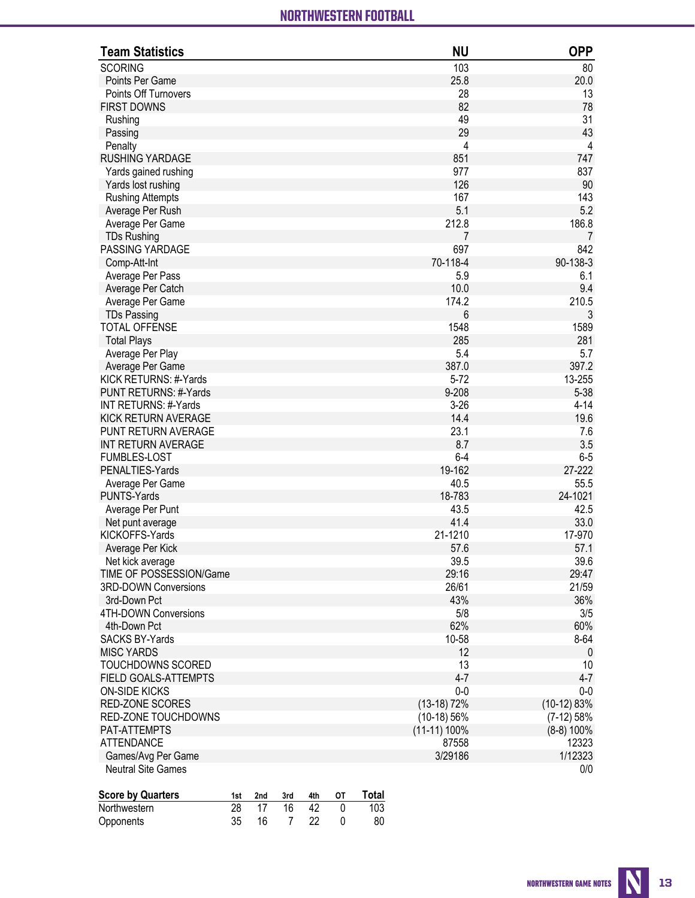# **Northwestern Overall Team Statistics (as of Sep 26, 2021) All games** NORTHWESTERN FOOTBALL NORTHWESTERN FOOTBALL

| <b>Team Statistics</b>                    | <b>NU</b>       | <b>OPP</b>              |
|-------------------------------------------|-----------------|-------------------------|
| <b>SCORING</b>                            | 103             | 80                      |
| Points Per Game                           | 25.8            | 20.0                    |
| Points Off Turnovers                      | 28              | 13                      |
| <b>FIRST DOWNS</b>                        | 82              | 78                      |
| Rushing                                   | 49              | 31                      |
| Passing                                   | 29              | 43                      |
| Penalty                                   | 4               | $\overline{\mathbf{4}}$ |
| <b>RUSHING YARDAGE</b>                    | 851             | 747                     |
| Yards gained rushing                      | 977             | 837                     |
| Yards lost rushing                        | 126             | $90\,$                  |
| <b>Rushing Attempts</b>                   | 167             | 143                     |
| Average Per Rush                          | 5.1             | 5.2                     |
| Average Per Game                          | 212.8           | 186.8                   |
| <b>TDs Rushing</b>                        | 7               | $\overline{7}$          |
| PASSING YARDAGE                           | 697             | 842                     |
| Comp-Att-Int                              | 70-118-4        | 90-138-3                |
| Average Per Pass                          | 5.9             | 6.1                     |
| Average Per Catch                         | 10.0            | 9.4                     |
| Average Per Game                          | 174.2           | 210.5                   |
| <b>TDs Passing</b>                        | 6               | $\mathfrak{Z}$          |
| <b>TOTAL OFFENSE</b>                      | 1548            | 1589                    |
| <b>Total Plays</b>                        | 285             | 281                     |
| Average Per Play                          | 5.4             | 5.7                     |
| Average Per Game                          | 387.0           | 397.2                   |
| KICK RETURNS: #-Yards                     | $5 - 72$        | 13-255                  |
| PUNT RETURNS: #-Yards                     | 9-208           | $5 - 38$                |
| INT RETURNS: #-Yards                      | $3 - 26$        | $4 - 14$                |
| KICK RETURN AVERAGE                       | 14.4<br>23.1    | 19.6                    |
| PUNT RETURN AVERAGE<br>INT RETURN AVERAGE | 8.7             | 7.6<br>3.5              |
| <b>FUMBLES-LOST</b>                       | $6-4$           | $6-5$                   |
| PENALTIES-Yards                           | 19-162          | 27-222                  |
| Average Per Game                          | 40.5            | 55.5                    |
| <b>PUNTS-Yards</b>                        | 18-783          | 24-1021                 |
| Average Per Punt                          | 43.5            | 42.5                    |
| Net punt average                          | 41.4            | 33.0                    |
| KICKOFFS-Yards                            | 21-1210         | 17-970                  |
| Average Per Kick                          | 57.6            | 57.1                    |
| Net kick average                          | 39.5            | 39.6                    |
| TIME OF POSSESSION/Game                   | 29:16           | 29:47                   |
| 3RD-DOWN Conversions                      | 26/61           | 21/59                   |
| 3rd-Down Pct                              | 43%             | 36%                     |
| 4TH-DOWN Conversions                      | 5/8             | 3/5                     |
| 4th-Down Pct                              | 62%             | 60%                     |
| <b>SACKS BY-Yards</b>                     | 10-58           | 8-64                    |
| <b>MISC YARDS</b>                         | 12              | 0                       |
| TOUCHDOWNS SCORED                         | 13              | 10                      |
| FIELD GOALS-ATTEMPTS                      | $4 - 7$         | $4 - 7$                 |
| <b>ON-SIDE KICKS</b>                      | $0-0$           | $0-0$                   |
| RED-ZONE SCORES                           | $(13-18)$ 72%   | $(10-12) 83%$           |
| RED-ZONE TOUCHDOWNS                       | $(10-18)56%$    | $(7-12) 58%$            |
| PAT-ATTEMPTS                              | $(11-11) 100\%$ | $(8-8)$ 100%            |
| <b>ATTENDANCE</b>                         | 87558           | 12323                   |
| Games/Avg Per Game                        | 3/29186         | 1/12323                 |
| <b>Neutral Site Games</b>                 |                 | 0/0                     |
|                                           |                 |                         |

| <b>Score by Quarters</b> | 1st | 2nd | 3rd | 4th  | 0T | <b>Total</b> |
|--------------------------|-----|-----|-----|------|----|--------------|
| Northwestern             |     | 17  | 16. | 42   |    | 103          |
| Opponents                | 35  | 16. |     | - 22 |    | 80           |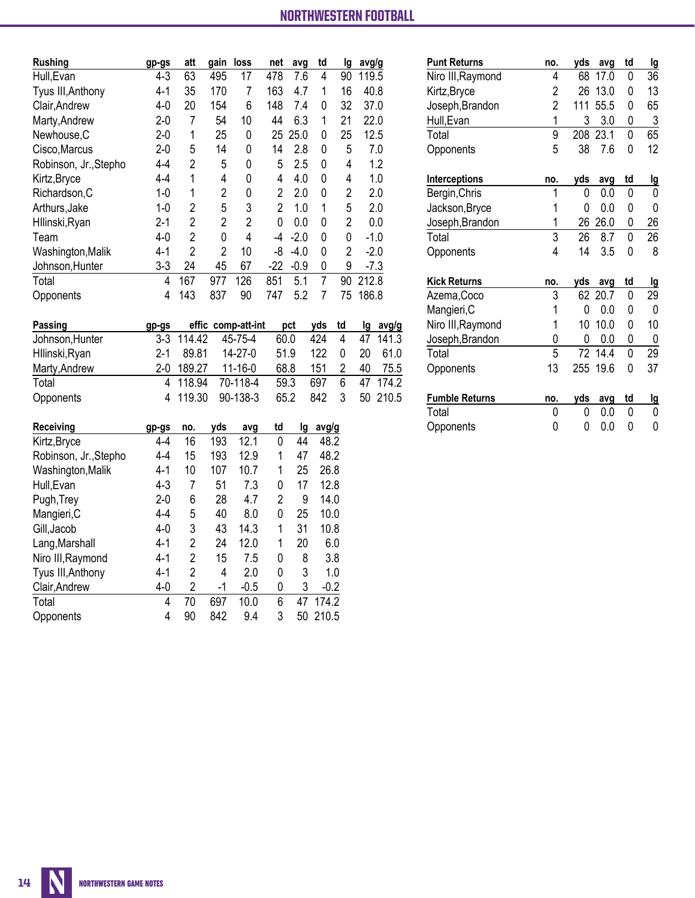| Rushing               | gp-gs   | att            | gain           | loss | net  | avg    | td | Ig             | avg/g  |
|-----------------------|---------|----------------|----------------|------|------|--------|----|----------------|--------|
| Hull, Evan            | $4-3$   | 63             | 495            | 17   | 478  | 7.6    | 4  | 90             | 119.5  |
| Tyus III, Anthony     | $4 - 1$ | 35             | 170            | 7    | 163  | 4.7    | 1  | 16             | 40.8   |
| Clair, Andrew         | $4 - 0$ | 20             | 154            | 6    | 148  | 7.4    | 0  | 32             | 37.0   |
| Marty, Andrew         | $2 - 0$ | 7              | 54             | 10   | 44   | 6.3    | 1  | 21             | 22.0   |
| Newhouse, C           | $2 - 0$ | 1              | 25             | 0    | 25   | 25.0   | 0  | 25             | 12.5   |
| Cisco, Marcus         | $2-0$   | 5              | 14             | 0    | 14   | 2.8    | 0  | 5              | 7.0    |
| Robinson, Jr., Stepho | 4-4     | 2              | 5              | 0    | 5    | 2.5    | 0  | 4              | 1.2    |
| Kirtz, Bryce          | 4-4     | 1              | 4              | 0    | 4    | 4.0    | 0  | 4              | 1.0    |
| Richardson, C         | 1-0     | 1              | $\overline{2}$ | 0    | 2    | 2.0    | 0  | $\overline{2}$ | 2.0    |
| Arthurs, Jake         | $1 - 0$ | 2              | 5              | 3    | 2    | 1.0    | 1  | 5              | 2.0    |
| Hllinski, Ryan        | $2 - 1$ | 2              | 2              | 2    | 0    | 0.0    | 0  | $\overline{2}$ | 0.0    |
| Team                  | $4 - 0$ | 2              | 0              | 4    | $-4$ | $-2.0$ | 0  | 0              | $-1.0$ |
| Washington, Malik     | 4-1     | $\overline{2}$ | 2              | 10   | -8   | $-4.0$ | 0  | $\overline{2}$ | $-2.0$ |
| Johnson, Hunter       | $3 - 3$ | 24             | 45             | 67   | -22  | $-0.9$ | 0  | 9              | $-7.3$ |
| Total                 | 4       | 167            | 977            | 126  | 851  | 5.1    | 7  | 90             | 212.8  |
| Opponents             | 4       | 143            | 837            | 90   | 747  | 5.2    | 7  | 75             | 186.8  |

| Passing         | gp-gs   |            | effic comp-att-int | pct  | yds td |   |    | lg avg/g |
|-----------------|---------|------------|--------------------|------|--------|---|----|----------|
| Johnson, Hunter |         | 3-3 114.42 | 45-75-4            | 60.0 | 424    | 4 |    | 47 141.3 |
| Hllinski, Ryan  | $2 - 1$ | 89.81      | $14 - 27 - 0$      | 51.9 | 122    | 0 | 20 | 61.0     |
| Marty, Andrew   |         | 2-0 189.27 | $11 - 16 - 0$      | 68.8 | 151    |   | 40 | 75.5     |
| Total           |         | 4 118.94   | 70-118-4           | 59.3 | 697    | 6 |    | 47 174.2 |
| Opponents       |         | 4 119.30   | $90 - 138 - 3$     | 65.2 | 842    | 3 |    | 50 210.5 |

| Receiving             | gp-gs   | no.            | vds | avg    | td | lg | avg/g  |
|-----------------------|---------|----------------|-----|--------|----|----|--------|
| Kirtz, Bryce          | 4-4     | 16             | 193 | 12.1   | 0  | 44 | 48.2   |
| Robinson, Jr., Stepho | 4-4     | 15             | 193 | 12.9   | 1  | 47 | 48.2   |
| Washington, Malik     | $4-1$   | 10             | 107 | 10.7   | 1  | 25 | 26.8   |
| Hull, Evan            | $4-3$   | 7              | 51  | 7.3    | 0  | 17 | 12.8   |
| Pugh, Trey            | $2 - 0$ | 6              | 28  | 4.7    | 2  | 9  | 14.0   |
| Mangieri, C           | $4 - 4$ | 5              | 40  | 8.0    | 0  | 25 | 10.0   |
| Gill, Jacob           | $4-0$   | 3              | 43  | 14.3   | 1  | 31 | 10.8   |
| Lang, Marshall        | $4-1$   | 2              | 24  | 12.0   | 1  | 20 | 6.0    |
| Niro III, Raymond     | $4-1$   | 2              | 15  | 7.5    | 0  | 8  | 3.8    |
| Tyus III, Anthony     | $4-1$   | 2              | 4   | 2.0    | 0  | 3  | 1.0    |
| Clair, Andrew         | $4 - 0$ | $\overline{2}$ | -1  | $-0.5$ | 0  | 3  | $-0.2$ |
| Total                 | 4       | 70             | 697 | 10.0   | 6  | 47 | 174.2  |
| Opponents             | 4       | 90             | 842 | 9.4    | 3  | 50 | 210.5  |

| <b>Punt Returns</b>   | no.            | yds | avg  | td | lg |
|-----------------------|----------------|-----|------|----|----|
| Niro III, Raymond     | 4              | 68  | 17.0 | 0  | 36 |
| Kirtz, Bryce          | 2              | 26  | 13.0 | 0  | 13 |
| Joseph, Brandon       | $\overline{2}$ | 111 | 55.5 | 0  | 65 |
| Hull, Evan            | 1              | 3   | 3.0  | 0  | 3  |
| Total                 | 9              | 208 | 23.1 | 0  | 65 |
| Opponents             | 5              | 38  | 7.6  | 0  | 12 |
| Interceptions         | no.            | yds | avq  | td | lg |
| Bergin, Chris         | 1              | 0   | 0.0  | 0  | 0  |
| Jackson, Bryce        | 1              | 0   | 0.0  | 0  | 0  |
| Joseph, Brandon       | 1              | 26  | 26.0 | 0  | 26 |
| Total                 | $\overline{3}$ | 26  | 8.7  | 0  | 26 |
| Opponents             | 4              | 14  | 3.5  | 0  | 8  |
| <b>Kick Returns</b>   | no.            | yds | avq  | td | lg |
| Azema, Coco           | 3              | 62  | 20.7 | 0  | 29 |
| Mangieri, C           | 1              | 0   | 0.0  | 0  | 0  |
| Niro III, Raymond     | 1              | 10  | 10.0 | 0  | 10 |
| Joseph, Brandon       | 0              | 0   | 0.0  | 0  | 0  |
| Total                 | $\overline{5}$ | 72  | 14.4 | 0  | 29 |
| Opponents             | 13             | 255 | 19.6 | 0  | 37 |
| <b>Fumble Returns</b> | no.            | yds | avq  | td | lg |
| Total                 | 0              | 0   | 0.0  | 0  | 0  |
| Opponents             | 0              | 0   | 0.0  | 0  | 0  |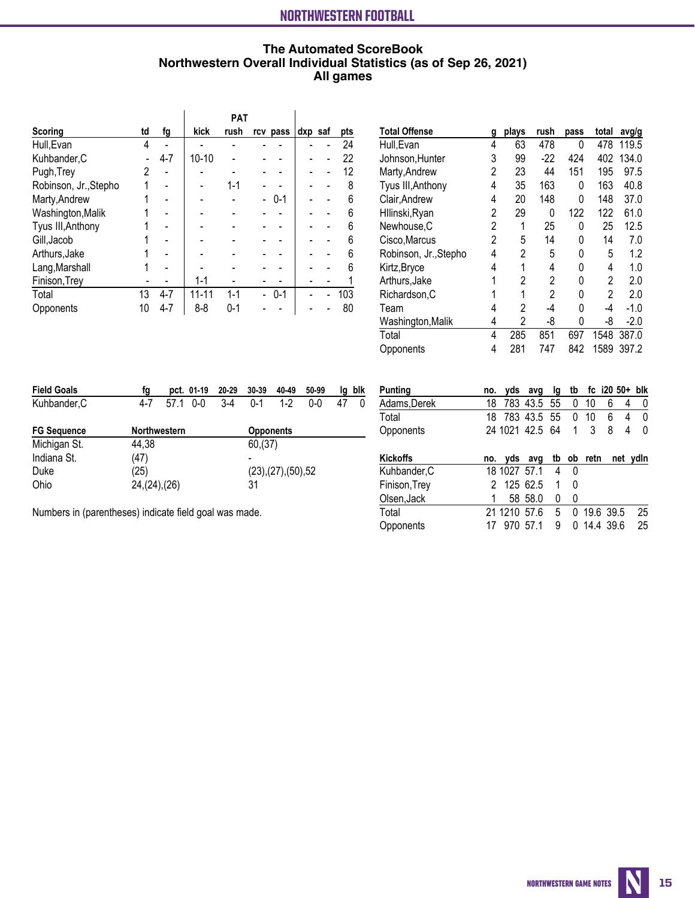# **The Automated ScoreBook Northwestern Overall Individual Statistics (as of Sep 26, 2021) All games**

|                       |    |                          |           | <b>PAT</b> |          |         |     |
|-----------------------|----|--------------------------|-----------|------------|----------|---------|-----|
| Scoring               | td | fg                       | kick      | rush       | rcv pass | dxp saf | pts |
| Hull, Evan            | 4  |                          |           |            |          |         | 24  |
| Kuhbander, C          |    | $4 - 7$                  | $10 - 10$ |            |          |         | 22  |
| Pugh, Trey            | 2  | $\overline{\phantom{0}}$ |           |            |          |         | 12  |
| Robinson, Jr., Stepho | 1  |                          |           | $1 - 1$    |          |         | 8   |
| Marty, Andrew         |    |                          |           |            | $0 - 1$  |         | 6   |
| Washington, Malik     |    |                          |           |            |          |         | 6   |
| Tyus III, Anthony     |    |                          |           |            |          |         | 6   |
| Gill, Jacob           |    |                          |           |            |          |         | 6   |
| Arthurs, Jake         |    |                          |           |            |          |         | 6   |
| Lang, Marshall        |    |                          |           |            |          |         | 6   |
| Finison, Trey         |    |                          | $1 - 1$   |            |          |         |     |
| Total                 | 13 | $4 - 7$                  | $11 - 11$ | $1 - 1$    | $0 - 1$  |         | 103 |
| Opponents             | 10 | $4 - 7$                  | $8-8$     | $0 - 1$    |          |         | 80  |

| Total Offense         | g | plays | rush  | pass | total | avg/g  |
|-----------------------|---|-------|-------|------|-------|--------|
| Hull, Evan            | 4 | 63    | 478   | 0    | 478   | 119.5  |
| Johnson, Hunter       | 3 | 99    | $-22$ | 424  | 402   | 134.0  |
| Marty, Andrew         | 2 | 23    | 44    | 151  | 195   | 97.5   |
| Tyus III, Anthony     | 4 | 35    | 163   | 0    | 163   | 40.8   |
| Clair, Andrew         | 4 | 20    | 148   | 0    | 148   | 37.0   |
| Hllinski, Ryan        | 2 | 29    | 0     | 122  | 122   | 61.0   |
| Newhouse,C            | 2 | 1     | 25    | 0    | 25    | 12.5   |
| Cisco, Marcus         | 2 | 5     | 14    | N    | 14    | 7.0    |
| Robinson, Jr., Stepho | 4 | 2     | 5     | 0    | 5     | 1.2    |
| Kirtz, Bryce          | 4 | 1     | 4     | 0    | 4     | 1.0    |
| Arthurs, Jake         | 1 | 2     | 2     | 0    | 2     | 2.0    |
| Richardson, C         |   | 1     | 2     | 0    | 2     | 2.0    |
| Team                  | 4 | 2     | -4    | N    | -4    | $-1.0$ |
| Washington, Malik     | 4 | 2     | -8    | N    | -8    | $-2.0$ |
| Total                 | 4 | 285   | 851   | 697  | 1548  | 387.0  |
| Opponents             | 4 | 281   | 747   | 842  | 1589  | 397.2  |

| <b>Field Goals</b> | fg                  | pct. 01-19 | 20-29 | 30-39            | 40-49             | 50-99   | la | blk      |
|--------------------|---------------------|------------|-------|------------------|-------------------|---------|----|----------|
| Kuhbander, C       | 4-7<br>57.1         | $0 - 0$    | 3-4   | $0 - 1$          | $1-2$             | $0 - 0$ |    | $\Omega$ |
| <b>FG Sequence</b> | <b>Northwestern</b> |            |       | <b>Opponents</b> |                   |         |    |          |
| Michigan St.       | 44.38               |            |       | 60,(37)          |                   |         |    |          |
| Indiana St.        | (47)                |            |       |                  |                   |         |    |          |
| Duke               | (25)                |            |       |                  | (23),(27),(50),52 |         |    |          |
| Ohio               | 24, (24), (26)      |            |       | 31               |                   |         |    |          |

| Adams, Derek    | 18 |              | 783 43.5 55      |   |   | 10         | 6        |   |              |
|-----------------|----|--------------|------------------|---|---|------------|----------|---|--------------|
| Total           |    |              | 18 783 43.5 55 0 |   |   | 10         | 6        | 4 | $\Omega$     |
| Opponents       |    |              | 24 1021 42.5 64  |   | 1 | 3          | 8        |   | <sup>0</sup> |
|                 |    |              |                  |   |   |            |          |   |              |
| <b>Kickoffs</b> |    |              | no. yds avg      |   |   | tb ob retn | net ydln |   |              |
| Kuhbander, C    |    | 18 1027 57.1 |                  | 4 | 0 |            |          |   |              |
|                 |    |              |                  |   |   |            |          |   |              |
| Finison, Trey   |    | 2 125 62.5   |                  |   | 0 |            |          |   |              |
| Olsen, Jack     |    |              | 58 58.0          | 0 | 0 |            |          |   |              |

Opponents 17 970 57.1 9 0 14.4 39.6 25

**Punting no. yds avg lg tb fc i20 50+ blk**

Numbers in (parentheses) indicate field goal was made.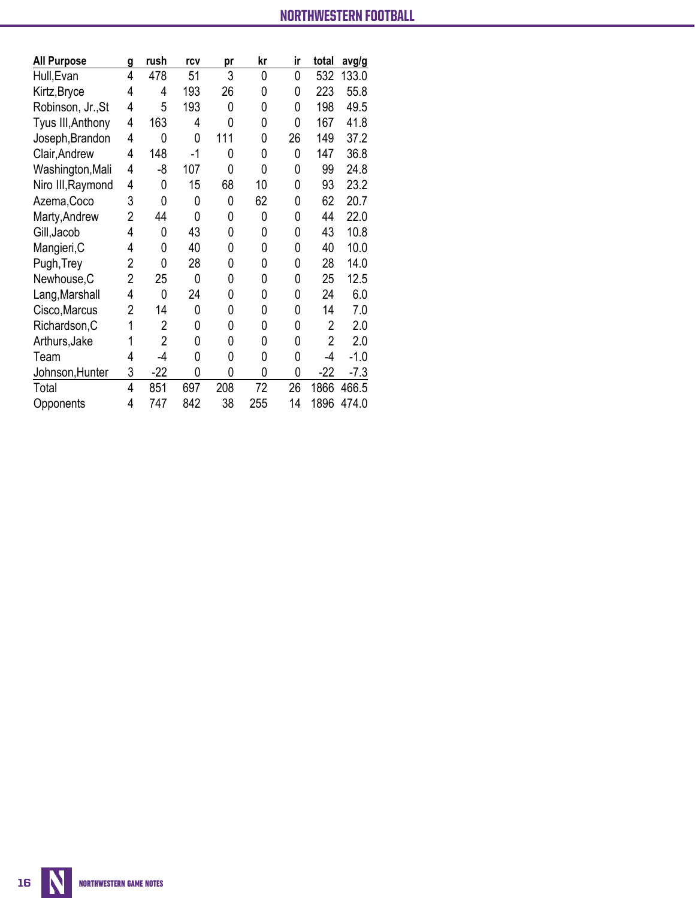**All games**

| <b>All Purpose</b> | g              | rush           | rcv         | pr  | kr  | ir | total          | avg/g  |
|--------------------|----------------|----------------|-------------|-----|-----|----|----------------|--------|
| Hull, Evan         | 4              | 478            | 51          | 3   | 0   | 0  | 532            | 133.0  |
| Kirtz, Bryce       | 4              | 4              | 193         | 26  | 0   | 0  | 223            | 55.8   |
| Robinson, Jr., St  | 4              | 5              | 193         | 0   | 0   | 0  | 198            | 49.5   |
| Tyus III, Anthony  | $\overline{4}$ | 163            | 4           | 0   | 0   | 0  | 167            | 41.8   |
| Joseph, Brandon    | 4              | 0              | 0           | 111 | 0   | 26 | 149            | 37.2   |
| Clair, Andrew      | 4              | 148            | $-1$        | 0   | 0   | 0  | 147            | 36.8   |
| Washington, Mali   | $\overline{4}$ | -8             | 107         | 0   | 0   | 0  | 99             | 24.8   |
| Niro III, Raymond  | 4              | 0              | 15          | 68  | 10  | 0  | 93             | 23.2   |
| Azema, Coco        | 3              | 0              | 0           | 0   | 62  | 0  | 62             | 20.7   |
| Marty, Andrew      | 2              | 44             | 0           | 0   | 0   | 0  | 44             | 22.0   |
| Gill, Jacob        | 4              | 0              | 43          | 0   | 0   | 0  | 43             | 10.8   |
| Mangieri, C        | 4              | 0              | 40          | 0   | 0   | 0  | 40             | 10.0   |
| Pugh, Trey         | $\overline{2}$ | 0              | 28          | 0   | 0   | 0  | 28             | 14.0   |
| Newhouse, C        | $\overline{2}$ | 25             | $\mathbf 0$ | 0   | 0   | 0  | 25             | 12.5   |
| Lang, Marshall     | 4              | 0              | 24          | 0   | 0   | 0  | 24             | 6.0    |
| Cisco, Marcus      | $\overline{2}$ | 14             | 0           | 0   | 0   | 0  | 14             | 7.0    |
| Richardson, C      | 1              | 2              | 0           | 0   | 0   | 0  | 2              | 2.0    |
| Arthurs, Jake      | 1              | $\overline{2}$ | 0           | 0   | 0   | 0  | $\overline{2}$ | 2.0    |
| Team               | 4              | $-4$           | 0           | 0   | 0   | 0  | $-4$           | $-1.0$ |
| Johnson, Hunter    | 3              | $-22$          | 0           | 0   | 0   | 0  | $-22$          | $-7.3$ |
| Total              | 4              | 851            | 697         | 208 | 72  | 26 | 1866           | 466.5  |
| Opponents          | 4              | 747            | 842         | 38  | 255 | 14 | 1896           | 474.0  |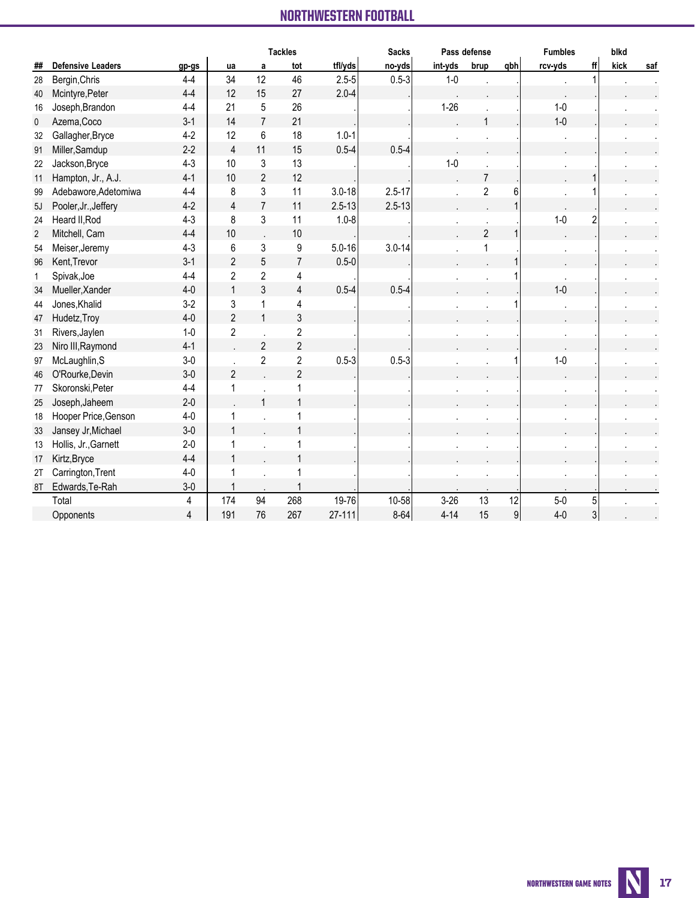### **NORTHWESTERN COOTDALL All games** NORTHWESTERN FOOTBALL NORTHWESTERN FOOTBALL

|                |                          |         | <b>Tackles</b> |                |                |            | <b>Sacks</b> |          | Pass defense   |                  | <b>Fumbles</b>       |                | blkd |     |
|----------------|--------------------------|---------|----------------|----------------|----------------|------------|--------------|----------|----------------|------------------|----------------------|----------------|------|-----|
| ##             | <b>Defensive Leaders</b> | gp-gs   | ua             | a              | tot            | tfl/yds    | no-yds       | int-yds  | brup           | qbh              | rcv-yds              | ff             | kick | saf |
| 28             | Bergin, Chris            | $4 - 4$ | 34             | 12             | 46             | $2.5 - 5$  | $0.5 - 3$    | $1-0$    |                |                  |                      |                |      |     |
| 40             | Mcintyre, Peter          | $4 - 4$ | 12             | 15             | 27             | $2.0 - 4$  |              |          |                |                  |                      |                |      |     |
| 16             | Joseph, Brandon          | $4 - 4$ | 21             | 5              | 26             |            |              | $1 - 26$ |                |                  | $1-0$                |                |      |     |
| 0              | Azema, Coco              | $3-1$   | 14             | $\overline{7}$ | 21             |            |              |          |                |                  | $1-0$                |                |      |     |
| 32             | Gallagher, Bryce         | $4-2$   | 12             | 6              | 18             | $1.0 - 1$  |              |          |                |                  |                      |                |      |     |
| 91             | Miller, Samdup           | $2 - 2$ | $\overline{4}$ | 11             | 15             | $0.5 - 4$  | $0.5 - 4$    |          |                |                  |                      |                |      |     |
| 22             | Jackson, Bryce           | $4 - 3$ | 10             | 3              | 13             |            |              | $1-0$    |                |                  |                      |                |      |     |
| 11             | Hampton, Jr., A.J.       | $4 - 1$ | 10             | $\overline{2}$ | 12             |            |              |          | $\overline{7}$ |                  |                      |                |      |     |
| 99             | Adebawore, Adetomiwa     | $4 - 4$ | 8              | 3              | 11             | $3.0 - 18$ | $2.5 - 17$   |          | $\overline{2}$ | 6                |                      |                |      |     |
| 5J             | Pooler, Jr., Jeffery     | $4 - 2$ | 4              | $\overline{7}$ | 11             | $2.5 - 13$ | $2.5 - 13$   |          |                |                  |                      |                |      |     |
| 24             | Heard II, Rod            | $4 - 3$ | 8              | 3              | 11             | $1.0 - 8$  |              |          |                |                  | $1-0$                |                |      |     |
| $\overline{2}$ | Mitchell, Cam            | $4 - 4$ | 10             |                | 10             |            |              |          | $\overline{2}$ | 1                |                      |                |      |     |
| 54             | Meiser, Jeremy           | $4 - 3$ | 6              | 3              | 9              | $5.0 - 16$ | $3.0 - 14$   |          |                |                  |                      |                |      |     |
| 96             | Kent, Trevor             | $3-1$   | $\overline{2}$ | 5              | $\overline{7}$ | $0.5 - 0$  |              |          |                |                  |                      |                |      |     |
| $\mathbf{1}$   | Spivak, Joe              | $4 - 4$ | $\overline{2}$ | $\overline{2}$ | 4              |            |              |          |                |                  | $\ddot{\phantom{a}}$ |                |      |     |
| 34             | Mueller, Xander          | $4-0$   | $\mathbf{1}$   | 3              | $\overline{4}$ | $0.5 - 4$  | $0.5 - 4$    |          |                |                  | $1-0$                |                |      |     |
| 44             | Jones, Khalid            | $3-2$   | 3              | 1              | 4              |            |              |          |                |                  |                      |                |      |     |
| 47             | Hudetz, Troy             | $4-0$   | $\overline{2}$ | $\mathbf{1}$   | 3              |            |              |          |                |                  |                      |                |      |     |
| 31             | Rivers, Jaylen           | $1-0$   | $\overline{c}$ |                | $\sqrt{2}$     |            |              |          |                |                  |                      |                |      |     |
| 23             | Niro III, Raymond        | $4 - 1$ |                | $\overline{2}$ | $\overline{2}$ |            |              |          |                |                  |                      |                |      |     |
| 97             | McLaughlin, S            | $3-0$   |                | $\overline{2}$ | $\overline{2}$ | $0.5 - 3$  | $0.5 - 3$    |          |                |                  | $1-0$                |                |      |     |
| 46             | O'Rourke, Devin          | $3-0$   | $\overline{2}$ |                | $\overline{2}$ |            |              |          |                |                  |                      |                |      |     |
| 77             | Skoronski, Peter         | $4 - 4$ | 1              |                | 1              |            |              |          |                |                  |                      |                |      |     |
| 25             | Joseph, Jaheem           | $2-0$   |                | $\mathbf{1}$   | $\mathbf{1}$   |            |              |          |                |                  |                      |                |      |     |
| 18             | Hooper Price, Genson     | $4-0$   | 1              |                |                |            |              |          |                |                  |                      |                |      |     |
| 33             | Jansey Jr, Michael       | $3-0$   | 1              |                |                |            |              |          |                |                  |                      |                |      |     |
| 13             | Hollis, Jr., Garnett     | $2 - 0$ |                |                |                |            |              |          |                |                  |                      |                |      |     |
| 17             | Kirtz, Bryce             | $4 - 4$ | $\mathbf{1}$   |                |                |            |              |          |                |                  |                      |                |      |     |
| 2T             | Carrington, Trent        | $4-0$   |                |                |                |            |              |          |                |                  |                      |                |      |     |
| 8T             | Edwards, Te-Rah          | $3-0$   | 1              |                |                |            |              |          |                |                  |                      |                |      |     |
|                | Total                    | 4       | 174            | 94             | 268            | 19-76      | 10-58        | $3 - 26$ | 13             | 12               | $5-0$                | 5              |      |     |
|                | Opponents                | 4       | 191            | 76             | 267            | $27 - 111$ | $8 - 64$     | $4 - 14$ | 15             | $\boldsymbol{9}$ | $4 - 0$              | $\overline{3}$ |      |     |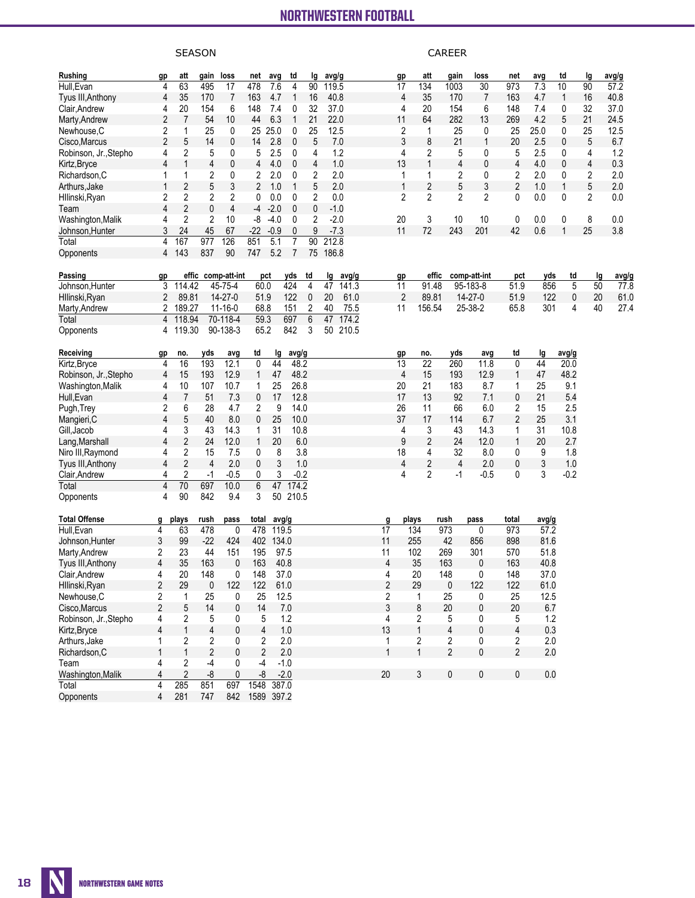### **NORTHWESTERN FOOTBALL All games** NORTHWESTERN FOOTBALL NORTHWESTERN FOOTBALL

|                       |                         |                | <b>SEASON</b>  |                    |                |            |          |             |        |       |              |                |                 | <b>CAREER</b>  |               |                |       |              |    |       |
|-----------------------|-------------------------|----------------|----------------|--------------------|----------------|------------|----------|-------------|--------|-------|--------------|----------------|-----------------|----------------|---------------|----------------|-------|--------------|----|-------|
| Rushing               | gp                      | att            | gain           | loss               | net            | avg        | td       | lg          | avg/g  |       |              | gp             | att             | gain           | loss          | net            | avg   | td           | lg | avg/g |
| Hull, Evan            | 4                       | 63             | 495            | 17                 | 478            | 7.6        | 4        | 90          | 119.5  |       |              | 17             | 134             | 1003           | 30            | 973            | 7.3   | 10           | 90 | 57.2  |
| Tyus III, Anthony     | 4                       | 35             | 170            | 7                  | 163            | 4.7        | 1        | 16          | 40.8   |       |              | 4              | 35              | 170            | 7             | 163            | 4.7   | $\mathbf{1}$ | 16 | 40.8  |
| Clair, Andrew         | 4                       | 20             | 154            | 6                  | 148            | 7.4        | 0        | 32          | 37.0   |       |              | 4              | 20              | 154            | 6             | 148            | 7.4   | 0            | 32 | 37.0  |
| Marty, Andrew         | $\overline{\mathbf{c}}$ | 7              | 54             | 10                 | 44             | 6.3        | 1        | 21          | 22.0   |       |              | 11             | 64              | 282            | 13            | 269            | 4.2   | 5            | 21 | 24.5  |
| Newhouse.C            | 2                       | 1              | 25             | 0                  | 25             | 25.0       | 0        | 25          | 12.5   |       |              | 2              | 1               | 25             | 0             | 25             | 25.0  | 0            | 25 | 12.5  |
| Cisco.Marcus          | 2                       | 5              | 14             | 0                  | 14             | 2.8        | 0        | 5           |        | 7.0   |              | 3              | 8               | 21             | 1             | 20             | 2.5   | 0            | 5  | 6.7   |
| Robinson, Jr., Stepho | 4                       | 2              | 5              | 0                  | 5              | 2.5        | 0        | 4           |        | 1.2   |              | 4              | 2               | 5              | 0             | 5              | 2.5   | 0            | 4  | 1.2   |
| Kirtz,Bryce           | 4                       | 1              | 4              | 0                  | 4              | 4.0        | 0        | 4           |        | 1.0   |              | 13             | 1               | 4              | 0             | 4              | 4.0   | 0            | 4  | 0.3   |
| Richardson,C          | 1                       | 1              | 2              | 0                  | 2              | 2.0        | 0        | 2           |        | 2.0   |              | 1              | 1               | 2              | 0             | 2              | 2.0   | 0            | 2  | 2.0   |
| Arthurs, Jake         | 1                       | 2              | 5              | 3                  | 2              | 1.0        | 1        | 5           |        | 2.0   |              | 1              | $\overline{2}$  | 5              | 3             | $\overline{2}$ | 1.0   | $\mathbf{1}$ | 5  | 2.0   |
| Hllinski,Ryan         | 2                       | 2              | 2              | 2                  | 0              | 0.0        | 0        | 2           |        | 0.0   |              | 2              | $\overline{2}$  | 2              | 2             | 0              | 0.0   | 0            | 2  | 0.0   |
| Team                  | 4                       | $\overline{2}$ | 0              | 4                  | -4             | $-2.0$     | 0        | 0           | $-1.0$ |       |              |                |                 |                |               |                |       |              |    |       |
| Washington,Malik      | 4                       | 2              | 2              | 10                 | -8             | $-4.0$     | 0        | 2           | $-2.0$ |       |              | 20             | 3               | 10             | 10            | 0              | 0.0   | 0            | 8  | 0.0   |
| Johnson, Hunter       | 3                       | 24             | 45             | 67                 | $-22$          | $-0.9$     | 0        | 9           | $-7.3$ |       |              | 11             | 72              | 243            | 201           | 42             | 0.6   | 1            | 25 | 3.8   |
| Total                 | 4                       | 167            | 977            | 126                | 851            | 5.1        | 7        | 90          | 212.8  |       |              |                |                 |                |               |                |       |              |    |       |
| Opponents             | 4                       | 143            | 837            | 90                 | 747            | 5.2        | 7        | 75          | 186.8  |       |              |                |                 |                |               |                |       |              |    |       |
| Passing               | gp                      |                |                | effic comp-att-int |                | pct        | yds      | td          | lg     | avg/g |              | gp             | effic           |                | comp-att-int  | pct            | yds   | td           | lg | avg/g |
| Johnson, Hunter       | 3                       | 114.42         |                | 45-75-4            | 60.0           |            | 424      | 4           | 47     | 141.3 |              | 11             | 91.48           |                | 95-183-8      | 51.9           | 856   | 5            | 50 | 77.8  |
| Hllinski,Ryan         | 2                       | 89.81          |                | 14-27-0            | 51.9           |            | 122      | $\mathbf 0$ | 20     | 61.0  |              | $\overline{2}$ | 89.81           |                | $14 - 27 - 0$ | 51.9           | 122   | 0            | 20 | 61.0  |
| Marty, Andrew         | 2                       | 189.27         |                | $11 - 16 - 0$      | 68.8           |            | 151      | 2           | 40     | 75.5  |              | 11             | 156.54          |                | 25-38-2       | 65.8           | 301   | 4            | 40 | 27.4  |
| Total                 | 4                       | 118.94         |                | 70-118-4           | 59.3           |            | 697      | 6           | 47     | 174.2 |              |                |                 |                |               |                |       |              |    |       |
| Opponents             | 4                       | 119.30         |                | 90-138-3           | 65.2           |            | 842      | 3           | 50     | 210.5 |              |                |                 |                |               |                |       |              |    |       |
| Receiving             | <u>gp</u>               | no.            | yds            | avg                | td             | 1g         | avg/g    |             |        |       |              | gp             | no.             | yds            | avg           | td             | lg    | avg/g        |    |       |
| Kirtz, Bryce          | 4                       | 16             | 193            | 12.1               | 0              | 44         | 48.2     |             |        |       |              | 13             | $\overline{22}$ | 260            | 11.8          | 0              | 44    | 20.0         |    |       |
| Robinson, Jr.,Stepho  | 4                       | 15             | 193            | 12.9               |                | 47         | 48.2     |             |        |       |              | 4              | 15              | 193            | 12.9          | 1              | 47    | 48.2         |    |       |
| Washington, Malik     | 4                       | 10             | 107            | 10.7               | 1              | 25         | 26.8     |             |        |       |              | 20             | 21              | 183            | 8.7           | 1              | 25    | 9.1          |    |       |
| Hull, Evan            | 4                       | 7              | 51             | 7.3                | 0              | 17         | 12.8     |             |        |       |              | 17             | 13              | 92             | 7.1           | 0              | 21    | 5.4          |    |       |
| Pugh,Trey             | 2                       | 6              | 28             | 4.7                | 2              | 9          | 14.0     |             |        |       |              | 26             | 11              | 66             | 6.0           | 2              | 15    | 2.5          |    |       |
| Mangieri,C            | 4                       | 5              | 40             | 8.0                | 0              | 25         | 10.0     |             |        |       |              | 37             | 17              | 114            | 6.7           | $\overline{2}$ | 25    | 3.1          |    |       |
| Gill,Jacob            | 4                       | 3              | 43             | 14.3               | 1              | 31         | 10.8     |             |        |       |              | 4              | 3               | 43             | 14.3          | 1              | 31    | 10.8         |    |       |
| Lang, Marshall        | 4                       | 2              | 24             | 12.0               | 1              | 20         |          | 6.0         |        |       |              | 9              | $\overline{2}$  | 24             | 12.0          | 1              | 20    | 2.7          |    |       |
| Niro III,Raymond      | 4                       | 2              | 15             | 7.5                | 0              | 8          |          | 3.8         |        |       |              | 18             | 4               | 32             | 8.0           | 0              | 9     | 1.8          |    |       |
| Tyus III, Anthony     | 4                       | 2              | $\overline{4}$ | 2.0                | 0              | 3          |          | 1.0         |        |       |              | 4              | 2               | 4              | 2.0           | 0              | 3     | 1.0          |    |       |
| Clair, Andrew         | 4                       | 2              | -1             | $-0.5$             | 0              | 3          | $-0.2$   |             |        |       |              | 4              | 2               | -1             | $-0.5$        | 0              | 3     | $-0.2$       |    |       |
| Total                 | 4                       | 70             | 697            | 10.0               | 6              | 47         | 174.2    |             |        |       |              |                |                 |                |               |                |       |              |    |       |
| Opponents             | 4                       | 90             | 842            | 9.4                | 3              |            | 50 210.5 |             |        |       |              |                |                 |                |               |                |       |              |    |       |
| Total Offense         | g                       | plays          | rush           | pass               | total          | avg/g      |          |             |        |       | g            |                | plays           | rush           | pass          | total          | avg/g |              |    |       |
| Hull, Evan            | 4                       | 63             | 478            | 0                  | 478            | 119.5      |          |             |        |       | 17           |                | 134             | 973            | 0             | 973            | 57.2  |              |    |       |
| Johnson, Hunter       | 3                       | 99             | $-22$          | 424                | 402            | 134.0      |          |             |        |       | 11           |                | 255             | 42             | 856           | 898            | 81.6  |              |    |       |
| Marty, Andrew         | 2                       | 23             | 44             | 151                | 195            | 97.5       |          |             |        |       | 11           |                | 102             | 269            | 301           | 570            | 51.8  |              |    |       |
| Tyus III, Anthony     | 4                       | 35             | 163            | 0                  | 163            | 40.8       |          |             |        |       | 4            |                | 35              | 163            | 0             | 163            | 40.8  |              |    |       |
| Clair, Andrew         | 4                       | 20             | 148            | 0                  | 148            | 37.0       |          |             |        |       | 4            |                | 20              | 148            | 0             | 148            | 37.0  |              |    |       |
| Hllinski, Ryan        | 2                       | 29             | 0              | 122                | 122            | 61.0       |          |             |        |       | 2            |                | 29              | 0              | 122           | 122            | 61.0  |              |    |       |
| Newhouse,C            | 2                       | 1              | 25             | 0                  | 25             | 12.5       |          |             |        |       | 2            |                | 1               | 25             | 0             | 25             | 12.5  |              |    |       |
| Cisco, Marcus         | 2                       | 5              | 14             | 0                  | 14             |            | 7.0      |             |        |       | 3            |                | 8               | 20             | 0             | 20             | 6.7   |              |    |       |
| Robinson, Jr., Stepho | 4                       | 2              | 5              | 0                  | 5              |            | 1.2      |             |        |       | 4            |                | 2               | 5              | 0             | 5              | 1.2   |              |    |       |
| Kirtz, Bryce          | 4                       | $\mathbf{1}$   | 4              | 0                  | $\overline{4}$ |            | 1.0      |             |        |       | 13           |                | $\mathbf{1}$    | $\overline{4}$ | 0             | $\overline{4}$ | 0.3   |              |    |       |
| Arthurs, Jake         | 1                       | 2              | 2              | 0                  | 2              |            | 2.0      |             |        |       | 1            |                | 2               | 2              | 0             | 2              | 2.0   |              |    |       |
| Richardson, C         |                         | $\mathbf{1}$   | $\overline{2}$ | 0                  | 2              |            | 2.0      |             |        |       | $\mathbf{1}$ |                | $\mathbf{1}$    | $\overline{2}$ | 0             | $\overline{2}$ | 2.0   |              |    |       |
| Team                  | 4                       | 2              | -4             | 0                  | $-4$           |            | $-1.0$   |             |        |       |              |                |                 |                |               |                |       |              |    |       |
| Washington, Malik     | 4                       | 2              | -8             | 0                  | -8             |            | $-2.0$   |             |        |       | 20           |                | 3               | 0              | 0             | $\mathbf 0$    | 0.0   |              |    |       |
| Total                 | 4                       | 285            | 851            | 697                |                | 1548 387.0 |          |             |        |       |              |                |                 |                |               |                |       |              |    |       |

Opponents 4 281 747 842 1589 397.2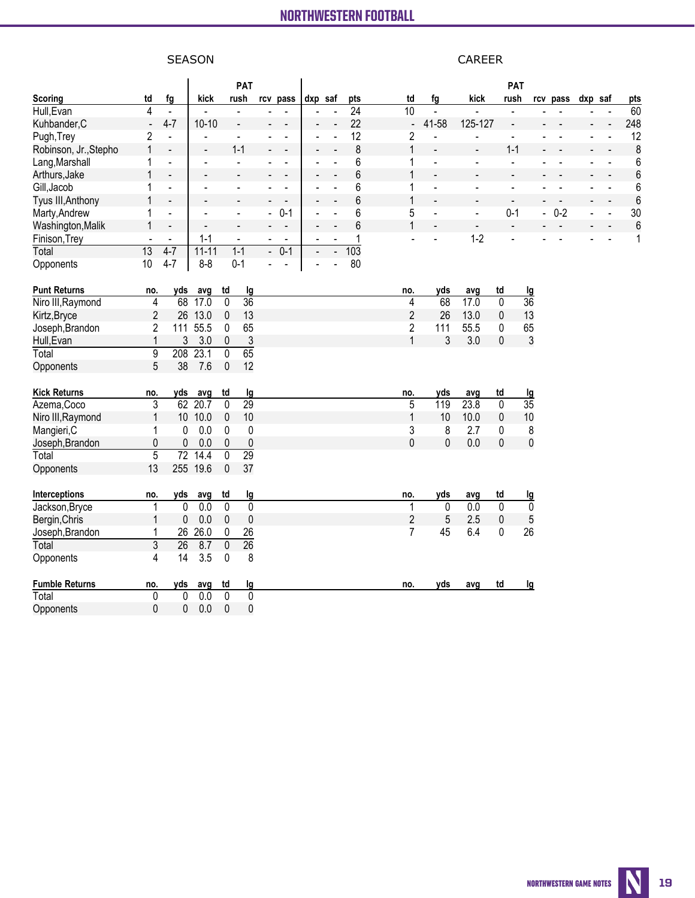### **NORTHWESTERN FOOTBALL All games** NORTHWESTERN FOOTBALL NORTHWESTERN FOOTBALL

# SEASON CAREER

|                       |                          |                              |                          | <b>PAT</b>                        |                |                              |         |                          |                 |                 |                          |                          | PAT                      |                             |                          |         |                              |                |
|-----------------------|--------------------------|------------------------------|--------------------------|-----------------------------------|----------------|------------------------------|---------|--------------------------|-----------------|-----------------|--------------------------|--------------------------|--------------------------|-----------------------------|--------------------------|---------|------------------------------|----------------|
| <b>Scoring</b>        | td                       | fg                           | kick                     | rush                              |                | rcv pass                     | dxp saf |                          | pts             | td              | fg                       | kick                     | rush                     |                             | rcv pass                 | dxp saf |                              | pts            |
| Hull, Evan            | 4                        | $\blacksquare$               |                          | $\blacksquare$                    |                |                              |         |                          | $\overline{24}$ | $\overline{10}$ | $\overline{a}$           |                          |                          |                             |                          |         |                              | 60             |
| Kuhbander, C          | $\overline{\phantom{m}}$ | $4 - 7$                      | $10 - 10$                | $\blacksquare$                    |                |                              |         |                          | 22              | $\blacksquare$  | 41-58                    | 125-127                  | $\blacksquare$           |                             |                          |         | $\overline{a}$               | 248            |
| Pugh, Trey            | $\overline{2}$           | $\blacksquare$               |                          | $\blacksquare$                    |                | $\blacksquare$               |         |                          | 12              | $\overline{2}$  | ÷,                       | $\blacksquare$           | ä,                       |                             | $\overline{a}$           |         | $\overline{a}$               | 12             |
| Robinson, Jr., Stepho | $\mathbf{1}$             | $\blacksquare$               | $\blacksquare$           | $1 - 1$                           |                |                              |         |                          | 8               | $\mathbf{1}$    | $\blacksquare$           | $\blacksquare$           | $1 - 1$                  | $\overline{a}$              | $\overline{a}$           |         | $\overline{a}$               | 8              |
| Lang, Marshall        | 1                        | ÷,                           | $\blacksquare$           | $\blacksquare$                    |                |                              |         |                          | 6               | 1               | L.                       | $\blacksquare$           | $\blacksquare$           |                             |                          |         |                              | 6              |
| Arthurs, Jake         | 1                        | $\qquad \qquad \blacksquare$ | $\overline{\phantom{a}}$ | $\overline{\phantom{a}}$          |                |                              |         |                          | 6               | $\mathbf{1}$    | $\overline{\phantom{a}}$ |                          | $\overline{\phantom{a}}$ |                             |                          |         |                              | 6              |
| Gill, Jacob           | 1                        | $\overline{a}$               | $\overline{a}$           | $\blacksquare$                    |                | $\overline{\phantom{a}}$     |         |                          | 6               | 1               | L.                       | $\blacksquare$           | ÷,                       | ÷.                          | $\blacksquare$           |         | $\blacksquare$               | 6              |
| Tyus III, Anthony     | $\mathbf{1}$             | $\qquad \qquad \blacksquare$ |                          | $\blacksquare$                    |                | $\blacksquare$               |         |                          | 6               | $\mathbf{1}$    | $\overline{\phantom{a}}$ | $\blacksquare$           | $\overline{a}$           | $\overline{\phantom{a}}$    | $\overline{\phantom{a}}$ |         | $\qquad \qquad \blacksquare$ | 6              |
| Marty, Andrew         | 1                        | ÷,                           | $\overline{a}$           | $\blacksquare$                    | $\blacksquare$ | $0 - 1$                      |         |                          | 6               | 5               | ä,                       | $\blacksquare$           | $0 - 1$                  | $\mathcal{L}_{\mathcal{A}}$ | $0 - 2$                  | ÷.      | $\blacksquare$               | 30             |
| Washington, Malik     | 1                        | $\qquad \qquad \blacksquare$ |                          |                                   |                | $\qquad \qquad \blacksquare$ |         |                          | 6               | $\mathbf{1}$    |                          | $\overline{\phantom{a}}$ | $\overline{\phantom{a}}$ |                             |                          |         |                              | $6\phantom{a}$ |
| Finison, Trey         |                          | $\blacksquare$               | $1 - 1$                  | $\blacksquare$                    |                | $\blacksquare$               |         |                          | 1               |                 | ÷.                       | $1 - 2$                  |                          |                             |                          |         |                              | $\mathbf{1}$   |
| Total                 | $\overline{13}$          | $4 - 7$                      | $11 - 11$                | $1 - 1$                           | $\blacksquare$ | $0 - 1$                      |         | $\overline{\phantom{a}}$ | 103             |                 |                          |                          |                          |                             |                          |         |                              |                |
| Opponents             | 10                       | $4 - 7$                      | $8 - 8$                  | $0 - 1$                           |                |                              | ÷,      |                          | 80              |                 |                          |                          |                          |                             |                          |         |                              |                |
|                       |                          |                              |                          |                                   |                |                              |         |                          |                 |                 |                          |                          |                          |                             |                          |         |                              |                |
| <b>Punt Returns</b>   | no.                      | yds                          | avg                      | td<br>lg                          |                |                              |         |                          |                 | no.             | yds                      | avg                      | td                       | <u>lg</u>                   |                          |         |                              |                |
| Niro III, Raymond     | $\overline{4}$           | 68                           | 17.0                     | $\overline{36}$<br>$\overline{0}$ |                |                              |         |                          |                 | 4               | $\overline{68}$          | 17.0                     | $\overline{0}$           | $\overline{36}$             |                          |         |                              |                |
| Kirtz, Bryce          | $\overline{2}$           |                              | 26 13.0                  | 13<br>$\mathbf 0$                 |                |                              |         |                          |                 | $\overline{2}$  | 26                       | 13.0                     | 0                        | 13                          |                          |         |                              |                |
| Joseph, Brandon       | $\boldsymbol{2}$         |                              | 111 55.5                 | 65<br>0                           |                |                              |         |                          |                 | $\overline{c}$  | 111                      | 55.5                     | 0                        | 65                          |                          |         |                              |                |
| Hull, Evan            | $\mathbf{1}$             | 3                            | 3.0                      | $\pmb{0}$                         | $\overline{3}$ |                              |         |                          |                 | $\mathbf{1}$    | 3                        | 3.0                      | $\mathbf 0$              | $\mathfrak{Z}$              |                          |         |                              |                |
| Total                 | $\overline{9}$           | 208                          | 23.1                     | $\overline{65}$<br>$\overline{0}$ |                |                              |         |                          |                 |                 |                          |                          |                          |                             |                          |         |                              |                |
| Opponents             | $\sqrt{5}$               | 38                           | 7.6                      | 12<br>$\pmb{0}$                   |                |                              |         |                          |                 |                 |                          |                          |                          |                             |                          |         |                              |                |
|                       |                          |                              |                          |                                   |                |                              |         |                          |                 |                 |                          |                          |                          |                             |                          |         |                              |                |
| <b>Kick Returns</b>   | no.                      | yds                          | avg                      | td<br><u>lg</u>                   |                |                              |         |                          |                 | no.             | yds                      | avg                      | td                       | <u>lg</u>                   |                          |         |                              |                |
| Azema, Coco           | $\overline{3}$           | 62                           | $\overline{20.7}$        | $\overline{29}$<br>$\Omega$       |                |                              |         |                          |                 | $\overline{5}$  | 119                      | 23.8                     | 0                        | $\overline{35}$             |                          |         |                              |                |
| Niro III, Raymond     | $\mathbf{1}$             |                              | 10 10.0                  | $10$<br>$\pmb{0}$                 |                |                              |         |                          |                 | $\mathbf{1}$    | 10                       | 10.0                     | 0                        | 10                          |                          |         |                              |                |
| Mangieri, C           | 1                        | $\mathbf{0}$                 | 0.0                      | $\mathbf{0}$                      | $\pmb{0}$      |                              |         |                          |                 | 3               | 8                        | 2.7                      | 0                        | 8                           |                          |         |                              |                |
| Joseph, Brandon       | 0                        | 0                            | 0.0                      | 0                                 | $\pmb{0}$      |                              |         |                          |                 | $\mathbf 0$     | $\mathbf 0$              | 0.0                      | $\mathbf 0$              | $\mathbf 0$                 |                          |         |                              |                |
| Total                 | $\overline{5}$           | $\overline{72}$              | 14.4                     | 0<br>$\overline{29}$              |                |                              |         |                          |                 |                 |                          |                          |                          |                             |                          |         |                              |                |
| Opponents             | 13                       | 255                          | 19.6                     | $\pmb{0}$<br>37                   |                |                              |         |                          |                 |                 |                          |                          |                          |                             |                          |         |                              |                |
|                       |                          |                              |                          |                                   |                |                              |         |                          |                 |                 |                          |                          |                          |                             |                          |         |                              |                |
| Interceptions         | no.                      | yds                          | avg                      | td<br>lg                          |                |                              |         |                          |                 | no.             | yds                      | avg                      | td                       | <u>lg</u>                   |                          |         |                              |                |
| Jackson, Bryce        | 1                        | $\mathbf{0}$                 | $\overline{0.0}$         | 0                                 | $\overline{0}$ |                              |         |                          |                 | 1               | $\overline{0}$           | 0.0                      | 0                        | $\mathbf 0$                 |                          |         |                              |                |
| Bergin, Chris         | 1                        | $\mathbf 0$                  | 0.0                      | 0                                 | $\pmb{0}$      |                              |         |                          |                 | $\overline{2}$  | 5                        | 2.5                      | 0                        | $\sqrt{5}$                  |                          |         |                              |                |
| Joseph, Brandon       | 1                        | 26                           | 26.0                     | 26<br>0                           |                |                              |         |                          |                 | 7               | 45                       | 6.4                      | 0                        | 26                          |                          |         |                              |                |
| Total                 | $\overline{3}$           | 26                           | 8.7                      | $\overline{26}$<br>$\overline{0}$ |                |                              |         |                          |                 |                 |                          |                          |                          |                             |                          |         |                              |                |
| Opponents             | 4                        | 14                           | 3.5                      | $\pmb{0}$                         | 8              |                              |         |                          |                 |                 |                          |                          |                          |                             |                          |         |                              |                |
| <b>Fumble Returns</b> | no.                      | yds                          | avg                      | td<br><u>Ig</u>                   |                |                              |         |                          |                 | no.             | yds                      | avg                      | td                       | lg                          |                          |         |                              |                |
| Total                 | $\overline{0}$           | $\overline{0}$               | 0.0                      | $\overline{0}$                    | $\overline{0}$ |                              |         |                          |                 |                 |                          |                          |                          |                             |                          |         |                              |                |
| Opponents             | $\mathbf 0$              | $\mathbf 0$                  | 0.0                      | 0                                 | 0              |                              |         |                          |                 |                 |                          |                          |                          |                             |                          |         |                              |                |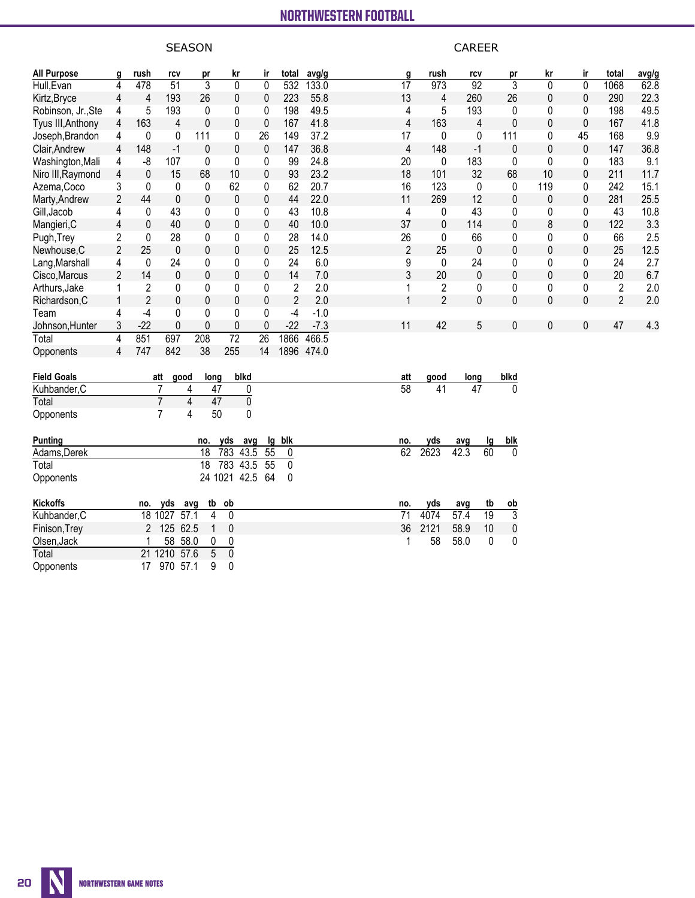# SEASON CAREER

| <b>All Purpose</b> | g                       | rush           | rcv             | pr              | kr              | ir             | total          | avg/g      | g               | rush           | rcv                     | pr                | kr           | ir             | total          | avg/g |
|--------------------|-------------------------|----------------|-----------------|-----------------|-----------------|----------------|----------------|------------|-----------------|----------------|-------------------------|-------------------|--------------|----------------|----------------|-------|
| Hull, Evan         | 4                       | 478            | $\overline{51}$ | $\overline{3}$  | $\mathbf 0$     | $\mathbf 0$    | 532            | 133.0      | $\overline{17}$ | 973            | $\overline{92}$         | $\overline{3}$    | $\Omega$     | $\overline{0}$ | 1068           | 62.8  |
| Kirtz, Bryce       | $\overline{\mathbf{4}}$ | 4              | 193             | 26              | $\mathbf 0$     | 0              | 223            | 55.8       | 13              | 4              | 260                     | 26                | 0            | $\mathbf 0$    | 290            | 22.3  |
| Robinson, Jr., Ste | 4                       | 5              | 193             | 0               | 0               | 0              | 198            | 49.5       | 4               | 5              | 193                     | 0                 | 0            | 0              | 198            | 49.5  |
| Tyus III, Anthony  | 4                       | 163            | 4               | $\mathbf{0}$    | 0               | $\mathbf 0$    | 167            | 41.8       | 4               | 163            | 4                       | $\mathbf{0}$      | $\mathbf{0}$ | 0              | 167            | 41.8  |
| Joseph, Brandon    | 4                       | 0              | 0               | 111             | 0               | 26             | 149            | 37.2       | 17              | 0              | 0                       | 111               | 0            | 45             | 168            | 9.9   |
| Clair, Andrew      | 4                       | 148            | $-1$            | 0               | $\pmb{0}$       | $\pmb{0}$      | 147            | 36.8       | 4               | 148            | $-1$                    | $\mathbf 0$       | $\mathbf 0$  | $\pmb{0}$      | 147            | 36.8  |
| Washington, Mali   | 4                       | -8             | 107             | 0               | $\pmb{0}$       | 0              | 99             | 24.8       | 20              | 0              | 183                     | $\mathbf{0}$      | 0            | 0              | 183            | 9.1   |
| Niro III, Raymond  | 4                       | $\pmb{0}$      | 15              | 68              | 10              | 0              | 93             | 23.2       | 18              | 101            | 32                      | 68                | 10           | $\mathbf 0$    | 211            | 11.7  |
| Azema, Coco        | 3                       | 0              | $\mathbf{0}$    | 0               | 62              | 0              | 62             | 20.7       | 16              | 123            | $\mathbf{0}$            | $\mathbf{0}$      | 119          | 0              | 242            | 15.1  |
| Marty, Andrew      | $\overline{2}$          | 44             | 0               | 0               | $\pmb{0}$       | 0              | 44             | 22.0       | 11              | 269            | 12                      | $\mathbf{0}$      | 0            | 0              | 281            | 25.5  |
| Gill, Jacob        | 4                       | 0              | 43              | 0               | 0               | 0              | 43             | 10.8       | 4               | 0              | 43                      | $\mathbf{0}$      | 0            | 0              | 43             | 10.8  |
| Mangieri, C        | 4                       | 0              | 40              | 0               | 0               | 0              | 40             | 10.0       | 37              | 0              | 114                     | $\mathbf{0}$      | 8            | 0              | 122            | 3.3   |
| Pugh, Trey         | 2                       | $\mathbf{0}$   | 28              | 0               | 0               | 0              | 28             | 14.0       | 26              | 0              | 66                      | 0                 | 0            | 0              | 66             | 2.5   |
| Newhouse, C        | $\overline{2}$          | 25             | $\mathbf 0$     | 0               | $\pmb{0}$       | $\pmb{0}$      | 25             | 12.5       | $\overline{2}$  | 25             | $\mathbf 0$             | 0                 | 0            | 0              | 25             | 12.5  |
| Lang, Marshall     | 4                       | $\pmb{0}$      | 24              | 0               | 0               | 0              | 24             | 6.0        | 9               | 0              | 24                      | 0                 | 0            | 0              | 24             | 2.7   |
| Cisco, Marcus      | $\overline{2}$          | 14             | 0               | 0               | $\pmb{0}$       | $\pmb{0}$      | 14             | 7.0        | 3               | 20             | $\mathbf 0$             | $\mathbf 0$       | $\mathbf 0$  | $\mathbf 0$    | 20             | 6.7   |
| Arthurs, Jake      | 1                       | 2              | 0               | 0               | 0               | 0              | $\overline{2}$ | 2.0        |                 | 2              | 0                       | 0                 | 0            | 0              | $\overline{2}$ | 2.0   |
| Richardson, C      | $\mathbf{1}$            | $\overline{2}$ | 0               | 0               | $\mathbf 0$     | $\mathbf 0$    | $\overline{2}$ | 2.0        | $\mathbf{1}$    | $\overline{2}$ | $\mathbf{0}$            | $\mathbf{0}$      | 0            | $\pmb{0}$      | $\overline{2}$ | 2.0   |
| Team               | 4                       | $-4$           | 0               | 0               | 0               | 0              | $-4$           | $-1.0$     |                 |                |                         |                   |              |                |                |       |
| Johnson, Hunter    | 3                       | $-22$          | 0               | 0               | $\pmb{0}$       | 0              | $-22$          | $-7.3$     | 11              | 42             | 5                       | $\pmb{0}$         | 0            | 0              | 47             | 4.3   |
| Total              | $\overline{4}$          | 851            | 697             | 208             | $\overline{72}$ | 26             | 1866           | 466.5      |                 |                |                         |                   |              |                |                |       |
| Opponents          | 4                       | 747            | 842             | 38              | 255             | 14             |                | 1896 474.0 |                 |                |                         |                   |              |                |                |       |
| <b>Field Goals</b> |                         |                | att<br>good     | long            | blkd            |                |                |            | att             | good           | long                    | blkd              |              |                |                |       |
| Kuhbander, C       |                         |                | $\overline{7}$  | 47<br>4         |                 | 0              |                |            | $\overline{58}$ | 41             | 47                      | 0                 |              |                |                |       |
| Total              |                         |                | $\overline{7}$  | 4<br>47         |                 | $\overline{0}$ |                |            |                 |                |                         |                   |              |                |                |       |
| Opponents          |                         |                | 7               | 50<br>4         |                 | 0              |                |            |                 |                |                         |                   |              |                |                |       |
| <b>Punting</b>     |                         |                |                 | no.             | yds             | lg<br>avg      | blk            |            | no.             | yds            | avg<br><u>ig</u>        | blk               |              |                |                |       |
| Adams, Derek       |                         |                |                 | 18              | 783             | 43.5<br>55     | 0              |            | 62              | 2623           | 60<br>42.3              | $\Omega$          |              |                |                |       |
| Total              |                         |                |                 | $\overline{18}$ | 783             | 43.5<br>55     | $\mathbf 0$    |            |                 |                |                         |                   |              |                |                |       |
| Opponents          |                         |                |                 |                 | 24 1021 42.5    | 64             | $\mathbf{0}$   |            |                 |                |                         |                   |              |                |                |       |
| <b>Kickoffs</b>    |                         | no.            | yds             | tb<br>avg       | ob              |                |                |            | no.             | yds            | tb<br>avg               | $\overline{ob}$   |              |                |                |       |
| Kuhbander, C       |                         |                | 18 1027         | 57.1<br>4       | 0               |                |                |            | $\overline{71}$ | 4074           | 57.4<br>$\overline{19}$ | $\overline{3}$    |              |                |                |       |
| Finison, Trey      |                         | $\overline{2}$ | 125 62.5        | $\mathbf{1}$    | $\mathbf 0$     |                |                |            | 36              | 2121           | 10<br>58.9              | $\pmb{0}$         |              |                |                |       |
| Olsen, Jack        |                         |                | 58              | 58.0<br>0       | 0               |                |                |            |                 | 58             | 58.0                    | 0<br>$\mathbf{0}$ |              |                |                |       |
| Total              |                         |                | 21 1210         | 57.6<br>5       | $\overline{0}$  |                |                |            |                 |                |                         |                   |              |                |                |       |
| Opponents          |                         | 17             | 970 57.1        | 9               | 0               |                |                |            |                 |                |                         |                   |              |                |                |       |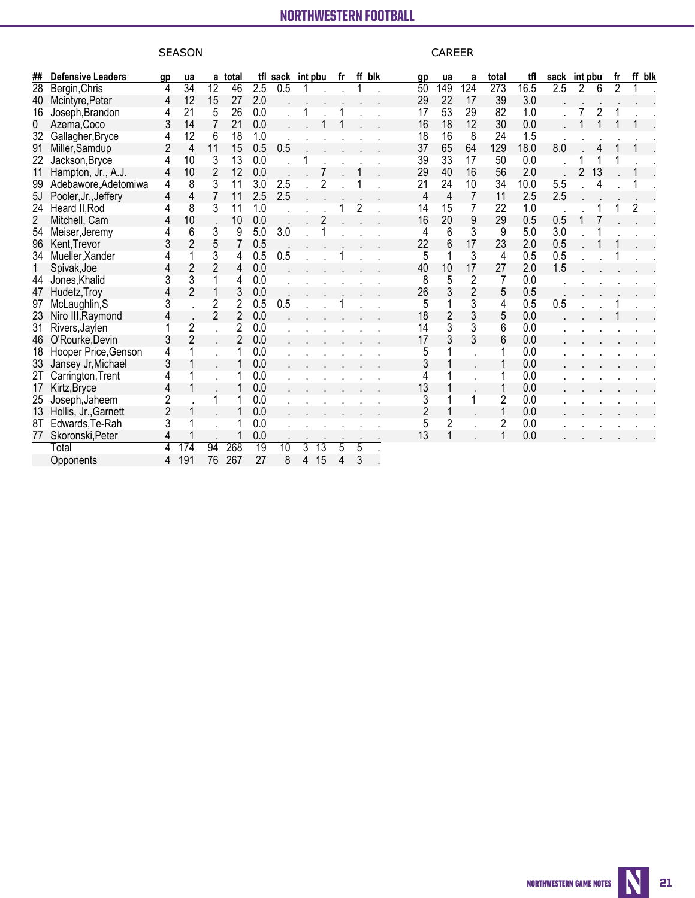### **NORTHWESTERN ENOTRAL I All games** NORTHWESTERN FOOTBALL NORTHWESTERN FOOTBALL

# SEASON CAREER

| ##              | <b>Defensive Leaders</b> | gp             | ua              | a               | total          | tfl | sack int pbu    |   |                 | fr |                | ff blk | 9 <sub>p</sub> | ua  | a              | total            | tfl  | sack | int pbu |    | fr | ff blk |
|-----------------|--------------------------|----------------|-----------------|-----------------|----------------|-----|-----------------|---|-----------------|----|----------------|--------|----------------|-----|----------------|------------------|------|------|---------|----|----|--------|
| $\overline{28}$ | Bergin, Chris            | 4              | $\overline{34}$ | $\overline{12}$ | 46             | 2.5 | 0.5             |   |                 |    |                |        | 50             | 149 | 124            | $\overline{273}$ | 16.5 | 2.5  | 2       |    |    |        |
| 40              | Mcintyre, Peter          | 4              | 12              | 15              | 27             | 2.0 |                 |   |                 |    |                |        | 29             | 22  | 17             | 39               | 3.0  |      |         |    |    |        |
| 16              | Joseph, Brandon          |                | 21              | 5               | 26             | 0.0 |                 |   |                 |    |                |        | 17             | 53  | 29             | 82               | 1.0  |      |         |    |    |        |
| 0               | Azema, Coco              | 3              | 14              |                 | 21             | 0.0 |                 |   |                 |    |                |        | 16             | 18  | 12             | 30               | 0.0  |      |         |    |    |        |
| 32              | Gallagher, Bryce         |                | 12              | 6               | 18             | 1.0 |                 |   |                 |    |                |        | 18             | 16  | 8              | 24               | 1.5  |      |         |    |    |        |
| 91              | Miller, Samdup           |                | 4               | 11              | 15             | 0.5 | 0.5             |   |                 |    |                |        | 37             | 65  | 64             | 129              | 18.0 | 8.0  |         |    |    |        |
| 22              | Jackson, Bryce           |                | 10              | 3               | 13             | 0.0 |                 |   |                 |    |                |        | 39             | 33  | 17             | 50               | 0.0  |      |         |    |    |        |
| 11              | Hampton, Jr., A.J.       | 4              | 10              | $\overline{2}$  | 12             | 0.0 |                 |   |                 |    |                |        | 29             | 40  | 16             | 56               | 2.0  |      |         | 13 |    |        |
| 99              | Adebawore, Adetomiwa     | 4              | 8               | 3               | 11             | 3.0 | 2.5             |   |                 |    |                |        | 21             | 24  | 10             | 34               | 10.0 | 5.5  |         | 4  |    |        |
| 5J              | Pooler, Jr., Jeffery     | 4              | 4               |                 | 11             | 2.5 | 2.5             |   |                 |    |                |        | 4              | 4   | $\overline{7}$ | 11               | 2.5  | 2.5  |         |    |    |        |
| 24              | Heard II, Rod            |                | 8               | 3               | 11             | 1.0 |                 |   |                 |    | $\overline{c}$ |        | 14             | 15  | 7              | 22               | 1.0  |      |         |    |    | 2      |
| $\overline{c}$  | Mitchell, Cam            | 4              | 10              |                 | 10             | 0.0 |                 |   |                 |    |                |        | 16             | 20  | 9              | 29               | 0.5  | 0.5  |         |    |    |        |
| 54              | Meiser, Jeremy           | 4              | 6               | 3               | 9              | 5.0 | 3.0             |   |                 |    |                |        | 4              | 6   | 3              | 9                | 5.0  | 3.0  |         |    |    |        |
| 96              | Kent, Trevor             | 3              | $\overline{2}$  | 5               | $\overline{7}$ | 0.5 |                 |   |                 |    |                |        | 22             | 6   | 17             | 23               | 2.0  | 0.5  |         |    |    |        |
| 34              | Mueller, Xander          |                |                 | 3               | 4              | 0.5 | 0.5             |   |                 |    |                |        | 5              |     | 3              | 4                | 0.5  | 0.5  |         |    |    |        |
| 1               | Spivak, Joe              | 4              | $\overline{c}$  | 2               | 4              | 0.0 |                 |   |                 |    |                |        | 40             | 10  | 17             | 27               | 2.0  | 1.5  |         |    |    |        |
| 44              | Jones, Khalid            | 3              | 3               |                 | 4              | 0.0 |                 |   |                 |    |                |        | 8              | 5   | $\overline{2}$ | 7                | 0.0  |      |         |    |    |        |
| 47              | Hudetz, Troy             |                | $\overline{2}$  |                 | 3              | 0.0 |                 |   |                 |    |                |        | 26             | 3   | $\overline{2}$ | 5                | 0.5  |      |         |    |    |        |
| 97              | McLaughlin, S            |                |                 | 2               | $\overline{2}$ | 0.5 | 0.5             |   |                 |    |                |        | 5              |     | 3              | 4                | 0.5  | 0.5  |         |    |    |        |
| 23              | Niro III, Raymond        | 4              |                 | 2               | $\overline{2}$ | 0.0 |                 |   |                 |    |                |        | 18             |     | 3              | 5                | 0.0  |      |         |    |    |        |
| 31              | Rivers, Jaylen           |                | $\overline{2}$  |                 | $\overline{2}$ | 0.0 |                 |   |                 |    |                |        | 14             | 3   | 3              | 6                | 0.0  |      |         |    |    |        |
| 46              | O'Rourke, Devin          | 3              | $\overline{2}$  |                 | $\overline{2}$ | 0.0 |                 |   |                 |    |                |        | 17             |     | 3              | 6                | 0.0  |      |         |    |    |        |
| 18              | Hooper Price, Genson     | 4              |                 |                 |                | 0.0 |                 |   |                 |    |                |        | 5              |     |                |                  | 0.0  |      |         |    |    |        |
| 33              | Jansey Jr, Michael       | 3              |                 |                 |                | 0.0 |                 |   |                 |    |                |        | 3              |     |                |                  | 0.0  |      |         |    |    |        |
| 2T              | Carrington, Trent        |                |                 |                 |                | 0.0 |                 |   |                 |    |                |        |                |     |                |                  | 0.0  |      |         |    |    |        |
| 17              | Kirtz, Bryce             | 4              |                 |                 |                | 0.0 |                 |   |                 |    |                |        | 13             |     |                |                  | 0.0  |      |         |    |    |        |
| 25              | Joseph, Jaheem           | 2              |                 |                 |                | 0.0 |                 |   |                 |    |                |        | 3              |     |                | $\overline{2}$   | 0.0  |      |         |    |    |        |
| 13              | Hollis, Jr., Garnett     | $\overline{2}$ |                 |                 |                | 0.0 |                 |   |                 |    |                |        | 2              |     |                | 1                | 0.0  |      |         |    |    |        |
| 8T              | Edwards, Te-Rah          |                |                 |                 |                | 0.0 |                 |   |                 |    |                |        | 5              |     |                | $\overline{2}$   | 0.0  |      |         |    |    |        |
| 77              | Skoronski, Peter         |                |                 |                 |                | 0.0 |                 |   |                 |    |                |        | 13             |     |                |                  | 0.0  |      |         |    |    |        |
|                 | Total                    | 4              | 174             | 94              | 268            | 19  | $\overline{10}$ | 3 | $\overline{13}$ |    | 5              |        |                |     |                |                  |      |      |         |    |    |        |
|                 | Opponents                | 4              | 191             | 76              | 267            | 27  | 8               | 4 | 15              | 4  | 3              |        |                |     |                |                  |      |      |         |    |    |        |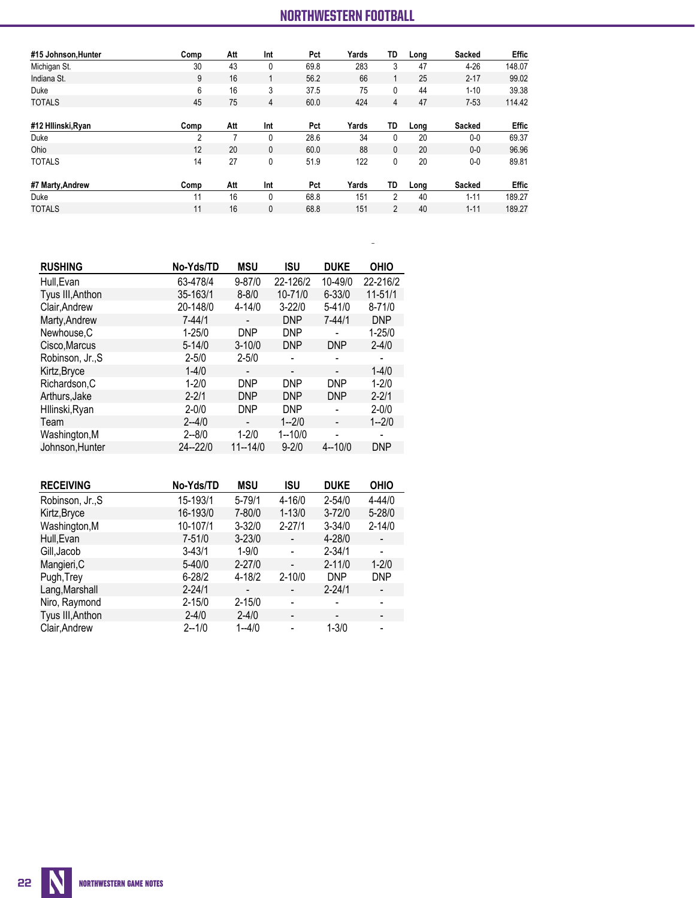# **NORTHWESTERN FOOTBALL <b>The Automated ScoreBook** (as of Sep 26, 2021)

| #15 Johnson, Hunter | Comp | Att | Int          | Pct  | Yards | TD             | Long | Sacked        | <b>Effic</b> |
|---------------------|------|-----|--------------|------|-------|----------------|------|---------------|--------------|
| Michigan St.        | 30   | 43  | 0            | 69.8 | 283   | 3              | 47   | $4 - 26$      | 148.07       |
| Indiana St.         | 9    | 16  |              | 56.2 | 66    | 1              | 25   | $2 - 17$      | 99.02        |
| Duke                | 6    | 16  | 3            | 37.5 | 75    | 0              | 44   | $1 - 10$      | 39.38        |
| <b>TOTALS</b>       | 45   | 75  | 4            | 60.0 | 424   | 4              | 47   | $7 - 53$      | 114.42       |
|                     |      |     |              |      |       |                |      |               |              |
| #12 Hilinski, Ryan  | Comp | Att | Int          | Pct  | Yards | TD             | Long | <b>Sacked</b> | Effic        |
| Duke                | 2    | 7   | $\mathbf{0}$ | 28.6 | 34    | 0              | 20   | $0-0$         | 69.37        |
| Ohio                | 12   | 20  | 0            | 60.0 | 88    | 0              | 20   | $0 - 0$       | 96.96        |
| <b>TOTALS</b>       | 14   | 27  | 0            | 51.9 | 122   | 0              | 20   | $0-0$         | 89.81        |
| #7 Marty, Andrew    | Comp | Att | Int          | Pct  | Yards | TD             | Long | <b>Sacked</b> | Effic        |
| Duke                | 11   | 16  | 0            | 68.8 | 151   | 2              | 40   | $1 - 11$      | 189.27       |
| <b>TOTALS</b>       | 11   | 16  | 0            | 68.8 | 151   | $\overline{2}$ | 40   | $1 - 11$      | 189.27       |

**All games**

| <b>RUSHING</b>   | No-Yds/TD   | <b>MSU</b>               | <b>ISU</b>               | <b>DUKE</b>                  | <b>OHIO</b> |
|------------------|-------------|--------------------------|--------------------------|------------------------------|-------------|
| Hull, Evan       | 63-478/4    | $9 - 87/0$               | 22-126/2                 | 10-49/0                      | 22-216/2    |
| Tyus III, Anthon | 35-163/1    | $8 - 8/0$                | 10-71/0                  | $6 - 33/0$                   | $11 - 51/1$ |
| Clair, Andrew    | 20-148/0    | $4 - 14/0$               | $3 - 22/0$               | $5 - 41/0$                   | $8 - 71/0$  |
| Marty, Andrew    | $7 - 44/1$  | -                        | <b>DNP</b>               | $7 - 44/1$                   | <b>DNP</b>  |
| Newhouse.C       | $1 - 25/0$  | <b>DNP</b>               | <b>DNP</b>               |                              | $1 - 25/0$  |
| Cisco, Marcus    | $5 - 14/0$  | $3 - 10/0$               | <b>DNP</b>               | <b>DNP</b>                   | $2 - 4/0$   |
| Robinson, Jr., S | $2 - 5/0$   | $2 - 5/0$                |                          |                              |             |
| Kirtz, Bryce     | $1 - 4/0$   | -                        | $\overline{\phantom{a}}$ |                              | $1 - 4/0$   |
| Richardson, C    | $1 - 2/0$   | <b>DNP</b>               | <b>DNP</b>               | <b>DNP</b>                   | $1 - 2/0$   |
| Arthurs, Jake    | $2 - 2/1$   | <b>DNP</b>               | <b>DNP</b>               | <b>DNP</b>                   | $2 - 2/1$   |
| Hllinski, Ryan   | $2 - 0/0$   | <b>DNP</b>               | <b>DNP</b>               |                              | $2 - 0/0$   |
| Team             | $2 - 4/0$   | $\overline{\phantom{0}}$ | $1 - 2/0$                | $\overline{\phantom{0}}$     | $1 - 2/0$   |
| Washington, M    | $2 - 8/0$   | $1 - 2/0$                | $1 - 10/0$               | $\qquad \qquad \blacksquare$ | -           |
| Johnson, Hunter  | $24 - 22/0$ | $11 - 14/0$              | $9 - 2/0$                | $4 - 10/0$                   | <b>DNP</b>  |

| <b>RECEIVING</b> | No-Yds/TD  | <b>MSU</b>               | ISU                          | <b>DUKE</b> | <b>OHIO</b>              |
|------------------|------------|--------------------------|------------------------------|-------------|--------------------------|
| Robinson, Jr., S | 15-193/1   | $5 - 79/1$               | 4-16/0                       | $2 - 54/0$  | $4 - 44/0$               |
| Kirtz, Bryce     | 16-193/0   | 7-80/0                   | $1 - 13/0$                   | $3 - 72/0$  | $5 - 28/0$               |
| Washington, M    | 10-107/1   | $3 - 32/0$               | $2 - 27/1$                   | $3 - 34/0$  | $2 - 14/0$               |
| Hull, Evan       | $7 - 51/0$ | $3 - 23/0$               | $\qquad \qquad \blacksquare$ | 4-28/0      | $\overline{\phantom{a}}$ |
| Gill, Jacob      | $3 - 43/1$ | $1 - 9/0$                | $\qquad \qquad \blacksquare$ | $2 - 34/1$  | $\overline{\phantom{a}}$ |
| Mangieri, C      | $5 - 40/0$ | $2 - 27/0$               | $\overline{\phantom{0}}$     | $2 - 11/0$  | $1 - 2/0$                |
| Pugh, Trey       | $6 - 28/2$ | $4 - 18/2$               | $2 - 10/0$                   | <b>DNP</b>  | <b>DNP</b>               |
| Lang, Marshall   | $2 - 24/1$ | $\overline{\phantom{a}}$ | $\overline{\phantom{a}}$     | $2 - 24/1$  | $\overline{\phantom{a}}$ |
| Niro, Raymond    | $2 - 15/0$ | $2 - 15/0$               | $\qquad \qquad \blacksquare$ | -           | $\overline{\phantom{a}}$ |
| Tyus III, Anthon | $2 - 4/0$  | $2 - 4/0$                | -                            | -           | -                        |
| Clair, Andrew    | $2 - 1/0$  | $1 - 4/0$                |                              | $1 - 3/0$   |                          |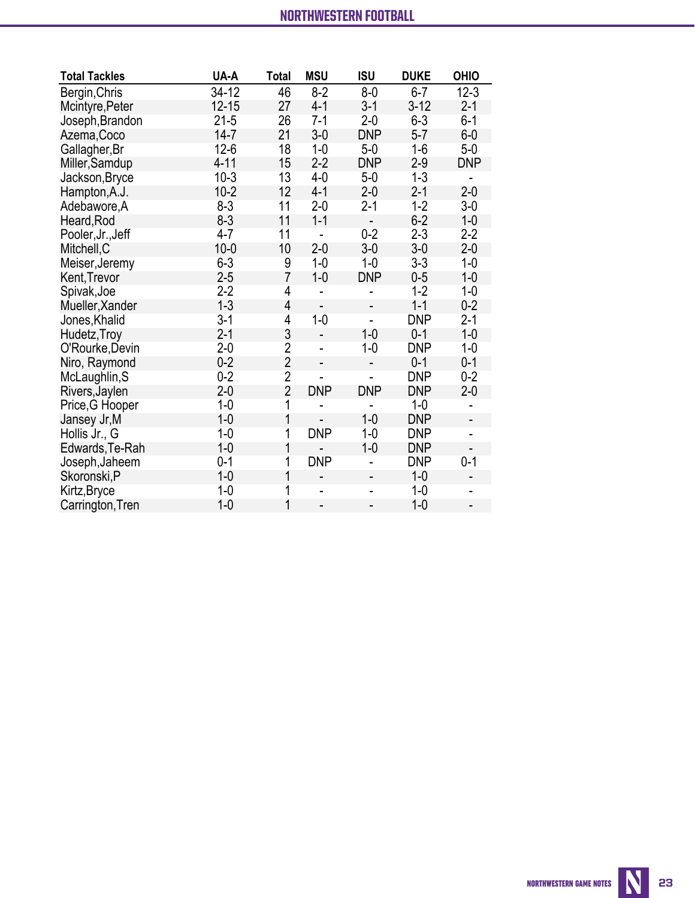| <b>Total Tackles</b> | UA-A      | <b>Total</b>   | <b>MSU</b>     | <b>ISU</b>               | <b>DUKE</b> | <b>OHIO</b>              |
|----------------------|-----------|----------------|----------------|--------------------------|-------------|--------------------------|
| Bergin, Chris        | $34-12$   | 46             | $8-2$          | $8-0$                    | $6-7$       | $12 - 3$                 |
| Mcintyre, Peter      | $12 - 15$ | 27             | $4 - 1$        | $3 - 1$                  | $3-12$      | $2 - 1$                  |
| Joseph, Brandon      | $21 - 5$  | 26             | $7 - 1$        | $2 - 0$                  | $6 - 3$     | $6-1$                    |
| Azema, Coco          | $14 - 7$  | 21             | $3-0$          | <b>DNP</b>               | $5-7$       | $6-0$                    |
| Gallagher, Br        | $12-6$    | 18             | $1-0$          | $5-0$                    | $1-6$       | $5-0$                    |
| Miller, Samdup       | $4 - 11$  | 15             | $2 - 2$        | <b>DNP</b>               | $2 - 9$     | <b>DNP</b>               |
| Jackson, Bryce       | $10-3$    | 13             | $4-0$          | $5-0$                    | $1 - 3$     | $\overline{\phantom{0}}$ |
| Hampton, A.J.        | $10-2$    | 12             | $4 - 1$        | $2 - 0$                  | $2 - 1$     | $2 - 0$                  |
| Adebawore, A         | $8 - 3$   | 11             | $2 - 0$        | $2 - 1$                  | $1 - 2$     | $3-0$                    |
| Heard, Rod           | $8 - 3$   | 11             | $1 - 1$        | $\overline{\phantom{a}}$ | $6 - 2$     | $1 - 0$                  |
| Pooler, Jr., Jeff    | $4 - 7$   | 11             | $\overline{a}$ | $0 - 2$                  | $2 - 3$     | $2 - 2$                  |
| Mitchell, C          | $10 - 0$  | 10             | $2 - 0$        | $3-0$                    | $3-0$       | $2 - 0$                  |
| Meiser, Jeremy       | $6 - 3$   | 9              | $1 - 0$        | $1 - 0$                  | $3 - 3$     | $1 - 0$                  |
| Kent, Trevor         | $2 - 5$   | $\overline{7}$ | $1 - 0$        | <b>DNP</b>               | $0 - 5$     | $1 - 0$                  |
| Spivak, Joe          | $2-2$     | 4              | L.             |                          | $1 - 2$     | $1-0$                    |
| Mueller, Xander      | $1 - 3$   | 4              |                |                          | $1 - 1$     | $0 - 2$                  |
| Jones, Khalid        | $3-1$     | $\overline{4}$ | $1-0$          | L,                       | <b>DNP</b>  | $2 - 1$                  |
| Hudetz, Troy         | $2 - 1$   | 3              | $\overline{a}$ | $1 - 0$                  | $0 - 1$     | $1 - 0$                  |
| O'Rourke, Devin      | $2-0$     | $\overline{2}$ | $\blacksquare$ | $1 - 0$                  | <b>DNP</b>  | $1 - 0$                  |
| Niro, Raymond        | $0 - 2$   | $\overline{2}$ | $\overline{a}$ | $\overline{a}$           | $0 - 1$     | $0 - 1$                  |
| McLaughlin, S        | $0 - 2$   | $\overline{2}$ |                | L,                       | <b>DNP</b>  | $0 - 2$                  |
| Rivers, Jaylen       | $2 - 0$   | $\overline{2}$ | <b>DNP</b>     | <b>DNP</b>               | <b>DNP</b>  | $2 - 0$                  |
| Price, G Hooper      | $1-0$     | 1              |                |                          | $1-0$       |                          |
| Jansey Jr, M         | $1-0$     | 1              |                | $1 - 0$                  | <b>DNP</b>  | $\overline{\phantom{0}}$ |
| Hollis Jr., G        | $1-0$     | 1              | <b>DNP</b>     | $1 - 0$                  | <b>DNP</b>  |                          |
| Edwards, Te-Rah      | $1-0$     | 1              |                | $1 - 0$                  | <b>DNP</b>  |                          |
| Joseph, Jaheem       | $0 - 1$   | 1              | <b>DNP</b>     |                          | <b>DNP</b>  | $0 - 1$                  |
| Skoronski, P         | $1 - 0$   | 1              |                |                          | $1 - 0$     |                          |
| Kirtz, Bryce         | $1 - 0$   | 1              | L.             | L.                       | $1 - 0$     | $\overline{\phantom{0}}$ |
| Carrington, Tren     | $1 - 0$   | 1              | $\overline{a}$ |                          | $1 - 0$     | $\blacksquare$           |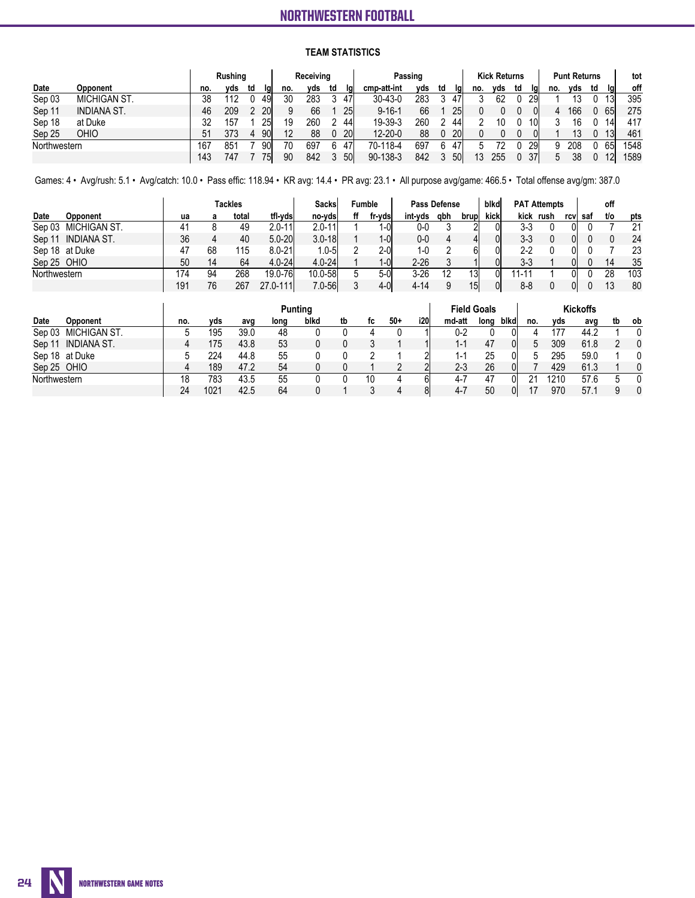### **TEAM STATISTICS**

|              |                    |     | Rushing |    |           |     | Receiving  |    |            |               | Passing |     |           |     | <b>Kick Returns</b> |    |     |     | <b>Punt Returns</b> |    |            | tot  |
|--------------|--------------------|-----|---------|----|-----------|-----|------------|----|------------|---------------|---------|-----|-----------|-----|---------------------|----|-----|-----|---------------------|----|------------|------|
| Date         | Opponent           | no. | vds     | td | lal       | no. | vds        | td | lgi        | cmp-att-int   | vds     | td  | Igl       | no. | vds                 | td | lal | no. | vds                 | td | lal        | off  |
| Sep 03       | MICHIGAN ST.       | 38  |         |    | 491       | 30  | 283        |    | 47'        | 30-43-0       | 283     |     | 47'       |     | 62                  |    | 29  |     |                     |    | 13         | 395  |
| Sep 11       | <b>INDIANA ST.</b> | 46  | 209     |    | <b>20</b> |     | 66         |    | 25         | $9 - 16 - 1$  | 66      |     | 25        |     |                     |    |     |     | 166                 |    | 65         | 275  |
| Sep 18       | at Duke            | 32  | 157     |    | 25        | 19  | 260        |    | 44         | 19-39-3       | 260     |     | 44        |     | 10                  |    |     |     | 16                  |    | 14         | 417  |
| Sep 25       | OHIO               | 51  | 373     |    | 90I       | 12  | 88         |    | <b>20</b>  | $12 - 20 - 0$ | 88      |     | <b>20</b> |     |                     |    |     |     | 13                  |    | 13I        | 461  |
| Northwestern |                    | 167 | 851     |    | 90I       | 70  | 697<br>47' |    | 70-118-4   | 697           | 6       | 47' |           | 72  |                     | 29 |     | 208 |                     | 65 | 1548       |      |
|              |                    | 143 | 747     |    | 75I       | 90  | 842        |    | <b>50l</b> | 90-138-3      | 842     |     | 50        |     | 255                 | U  |     |     | 38                  |    | <u>12l</u> | 1589 |

Games: 4 • Avg/rush: 5.1 • Avg/catch: 10.0 • Pass effic: 118.94 • KR avg: 14.4 • PR avg: 23.1 • All purpose avg/game: 466.5 • Total offense avg/gm: 387.0

|              |                 |     |    | <b>Tackles</b> |            | Sacksl     |    | Fumble |         | Pass Defense |       | blkd  |                   | <b>PAT Attempts</b> |      |     | off |     |
|--------------|-----------------|-----|----|----------------|------------|------------|----|--------|---------|--------------|-------|-------|-------------------|---------------------|------|-----|-----|-----|
| Date         | <b>Opponent</b> | ua  | а  | total          | tfl vds    | no-ydsl    | ff | fr-yds | int-vds | qbh          | brupl | kicki | kick              | rush                | rcvl | saf | t/o | pts |
| Sep 03       | MICHIGAN ST.    | 41  |    | 49             | $2.0 - 11$ | $2.0 - 11$ |    | 1-0I   | 0-0     |              |       |       | 3-3               |                     |      |     |     | 21  |
| Sep 11       | INDIANA ST.     | 36  |    | 40             | $5.0 - 20$ | $3.0 - 18$ |    | $1-0$  | 0-0     |              |       |       | $3 - 3$           |                     |      |     |     | 24  |
|              | Sep 18 at Duke  | 47  | 68 | 115            | $8.0 - 21$ | $.0 - 5$   |    | 2-0    | 1-0     |              |       |       | $2-2$             |                     |      |     |     | 23  |
| Sep 25 OHIO  |                 | 50  | 14 | 64             | $4.0 - 24$ | $4.0 - 24$ |    | $1-0$  | 2-26    |              |       |       | $3 - 3$           |                     |      |     | 14  | 35  |
| Northwestern |                 | 174 | 94 | 268            | 19.0-76    | 10.0-58    |    | $5-0$  | 3-26    |              | 13    | ΩI    | 11-1 <sup>.</sup> |                     |      |     | 28  | 103 |
|              |                 | 191 | 76 | 267            | 27.0-111l  | $7.0 - 56$ |    | $4-0$  | 4-14    |              | 15    |       | $8 - 8$           |                     |      |     | ں ا | 80  |

|              |                 |     |      |      |      | Punting |    |    |       |      |         | <b>Field Goals</b> |      |     |      | <b>Kickoffs</b> |    |              |
|--------------|-----------------|-----|------|------|------|---------|----|----|-------|------|---------|--------------------|------|-----|------|-----------------|----|--------------|
| Date         | <b>Opponent</b> | no. | vds  | avg  | long | blkd    | tb | tc | $50+$ | i20l | md-att  | long               | blkd | no. | vds  | avg             | tb | 0b           |
| Sep 03       | MICHIGAN ST.    |     | 195  | 39.0 | 48   |         |    |    |       |      | 0-2     |                    | υı   |     | 177  | 44.2            |    | 0            |
| Sep 1        | INDIANA ST.     |     | 175  | 43.8 | 53   |         |    |    |       |      | 1-1     | 47                 | OI   | 5   | 309  | 61.8            |    | $\mathbf{0}$ |
|              | Sep 18 at Duke  |     | 224  | 44.8 | 55   |         |    |    |       |      | 1-1     | 25                 | OI   | n   | 295  | 59.0            |    | 0            |
| Sep 25 OHIO  |                 |     | 189  | 47.2 | 54   |         |    |    |       |      | 2-3     | 26                 | ЭI   |     | 429  | 61.3            |    | $\mathbf{0}$ |
| Northwestern |                 | 18  | 783  | 43.5 | 55   |         |    |    |       | hi   | 4-7     | 47                 | าเ   | ດ 4 | 1210 | 57.6            |    | $\mathbf{0}$ |
|              |                 | 24  | 1021 | 42.5 | 64   |         |    |    |       | 81   | $4 - 7$ | 50                 | OI   |     | 970  | 57.1            | a  | $\mathbf{0}$ |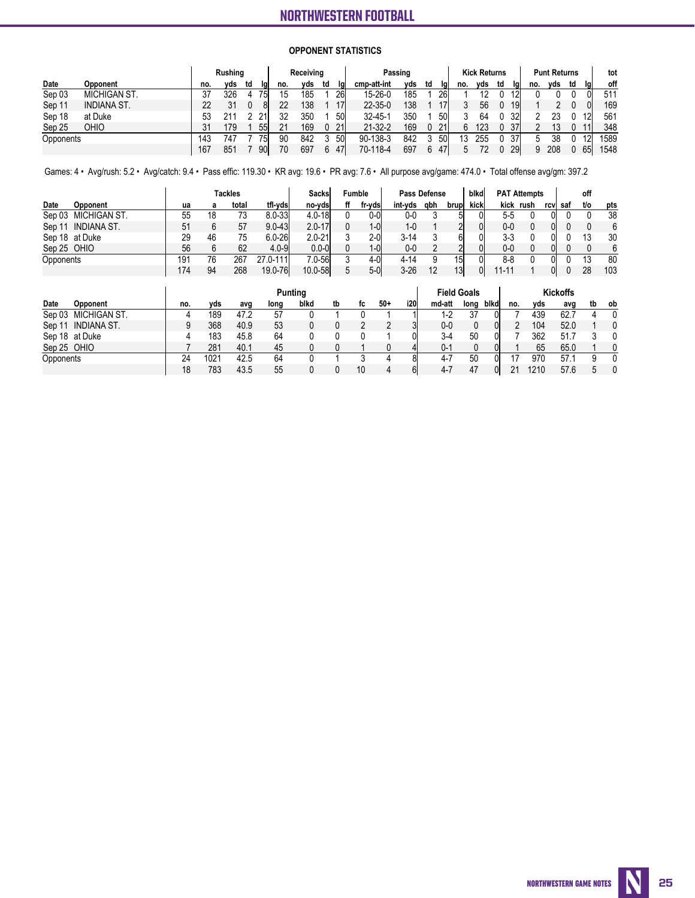### **OPPONENT STATISTICS**

|           |                    |     | Rushing |    |     |     | Receiving |    |     |               | Passing |    |     |     | <b>Kick Returns</b> |    |     |     | <b>Punt Returns</b> |    |    | tot  |
|-----------|--------------------|-----|---------|----|-----|-----|-----------|----|-----|---------------|---------|----|-----|-----|---------------------|----|-----|-----|---------------------|----|----|------|
| Date      | Opponent           | no. | vds     | td | lal | no. | vds       | td | lal | cmp-att-int   | vds     | td | lal | no. | vds                 | td | lai | no. | vds                 | td | lg | off  |
| Sep 03    | MICHIGAN ST.       | 37  | 326     |    | 751 | 15  | 185       |    | 26  | 15-26-0       | 185     |    | 26l |     |                     |    |     |     |                     |    |    | 511  |
| Sep 11    | <b>INDIANA ST.</b> | 22  |         |    | 81  | 22  | 138       |    | 17  | $22 - 35 - 0$ | 138     |    | '7l |     | 56                  |    | 19  |     |                     |    |    | 169  |
| Sep 18    | at Duke            | 53  | 211     |    |     | 32  | 350       |    | 50  | $32 - 45 - 7$ | 350     |    | 50l |     | 64                  |    | 32  |     |                     |    |    | 561  |
| Sep 25    | OHIO               | 31  | 179     |    | 55  | 21  | 169       |    | 21  | $21 - 32 - 2$ | 169     |    | 21  | h   | 123                 |    | 37  |     |                     |    |    | 348  |
| Opponents |                    | 143 | 747     |    | 751 | 90  | 842       |    | 50  | 90-138-3      | 842     |    | 50I |     | 255                 |    | 37  |     | 38                  |    |    | 1589 |
|           |                    | 167 | 851     |    | 90  | 70  | 697       | 6  | 47  | 70-118-4      | 697     | 6  | 471 | Б.  |                     |    | 29  | Q   | 208                 |    | 65 | 1548 |

Games: 4 • Avg/rush: 5.2 • Avg/catch: 9.4 • Pass effic: 119.30 • KR avg: 19.6 • PR avg: 7.6 • All purpose avg/game: 474.0 • Total offense avg/gm: 397.2

|             |                     | Tackles |    |       | Sacksl     | Fumble     | Pass Defense |         |     | blkd            |      | <b>PAT Attempts</b> |           |      | off |     |     |
|-------------|---------------------|---------|----|-------|------------|------------|--------------|---------|-----|-----------------|------|---------------------|-----------|------|-----|-----|-----|
| Date        | Opponent            | ua      |    | total | tfl-vds    | no-vdsl    | fr-vdsl      | int-vds | qbh | brupl           | kick |                     | kick rush | rcvl | saf | t/o | pts |
|             | Sep 03 MICHIGAN ST. | 55      | 18 | 73    | $8.0 - 33$ | $4.0 - 18$ | 0-01         | 0-0     |     | 51              |      | $5 - 5$             |           |      |     |     | 38  |
|             | Sep 11 INDIANA ST.  | 51      |    | 57    | $9.0 - 43$ | $2.0 - 17$ | $1-0$        | 1-0     |     |                 |      | $0-0$               |           | ΩI   |     |     | 6   |
|             | Sep 18 at Duke      | 29      | 46 | 75    | $6.0 - 26$ | $2.0 - 21$ | 2-0I         | 3-14    |     |                 |      | $3-3$               |           |      |     |     | 30  |
| Sep 25 OHIO |                     | 56      |    | 62    | $4.0 - 9$  | $0.0 - 0$  |              | $0 - 0$ |     |                 |      | $0-0$               |           |      |     |     | 6   |
| Opponents   |                     | 19′     | 76 | 267   | 27.0-111   | 7.0-56     | 4-0          | 4-14    |     | 15I             |      | 8-8                 |           |      |     |     | 80  |
|             |                     | 174     | 94 | 268   | 19.0-76    | 10.0-58    | $5-0$        | $3-26$  |     | 13 <sup>l</sup> |      | 11-11               |           | Ol   |     | 28  | 103 |

|             |                |     |      |      |      | Punting |    |    |       |     |         | <b>Field Goals</b> |      |     |      | <b>Kickoffs</b> |    |    |
|-------------|----------------|-----|------|------|------|---------|----|----|-------|-----|---------|--------------------|------|-----|------|-----------------|----|----|
| Date        | Opponent       | no. | vds  | avg  | long | blkd    | tb | fc | $50+$ | i20 | md-att  | lona               | blkd | no. | vds  | avg             | tb | ob |
| Sep 03      | MICHIGAN ST.   |     | 189  | 47.2 | 57   |         |    |    |       |     | 1-2     | 37                 |      |     | 439  | 62.7            |    | 0  |
| Sep 11      | INDIANA ST.    |     | 368  | 40.9 | 53   |         |    |    |       |     | $0-0$   |                    |      |     | 104  | 52.0            |    | 0  |
|             | Sep 18 at Duke |     | 183  | 45.8 | 64   |         |    |    |       |     | $3-4$   | 50                 |      |     | 362  | 51              |    | 0  |
| Sep 25 OHIO |                |     | 281  | 40.1 | 45   |         |    |    |       | 4   | $0 - 1$ |                    |      |     | 65   | 65.0            |    | 0  |
| Opponents   |                | 24  | 1021 | 42.5 | 64   |         |    |    |       | 81  | 4-7     | 50                 |      |     | 970  | 57.             |    | 0  |
|             |                | 18  | 783  | 43.5 | 55   |         |    | 10 |       | 61  | $4 - 7$ | 47                 |      | 21  | 1210 | 57.6            |    |    |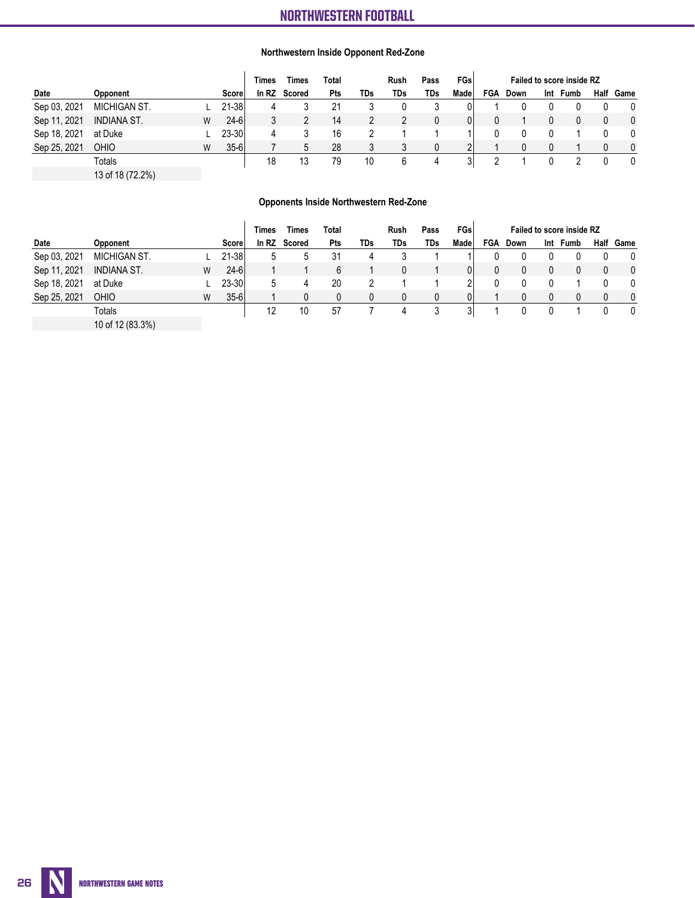### **Northwestern Inside Opponent Red-Zone**

|              |                    |   |          | <b>Times</b> | Times  | Total |     | <b>Rush</b> | Pass | <b>FGs</b> | <b>Failed to score inside RZ</b> |      |     |      |  |              |
|--------------|--------------------|---|----------|--------------|--------|-------|-----|-------------|------|------------|----------------------------------|------|-----|------|--|--------------|
| Date         | Opponent           |   | Score    | In RZ        | Scored | Pts   | TDs | TDs         | TDs  | Made       | <b>FGA</b>                       | Down | Int | Fumb |  | Half Game    |
| Sep 03, 2021 | MICHIGAN ST.       |   | 21-38    |              |        |       |     |             |      |            |                                  |      |     |      |  |              |
| Sep 11, 2021 | <b>INDIANA ST.</b> | W | $24 - 6$ |              |        | 14    |     |             |      | 01         |                                  |      |     |      |  | $\mathbf{0}$ |
| Sep 18, 2021 | at Duke            |   | 23-30    |              |        | 16    |     |             |      |            |                                  |      |     |      |  |              |
| Sep 25, 2021 | OHIO               |   | $35 - 6$ |              |        | 28    |     |             |      |            |                                  |      |     |      |  |              |
|              | Totals             |   |          | 18           |        | 79    | 10  | b           | 4    | 3          |                                  |      |     |      |  |              |

13 of 18 (72.2%)

### **Opponents Inside Northwestern Red-Zone**

|              |                  |   |            | Times | Times        | Total |            | Rush | Pass | FGsl |            | <b>Failed to score inside RZ</b> |     |      |  |           |  |  |
|--------------|------------------|---|------------|-------|--------------|-------|------------|------|------|------|------------|----------------------------------|-----|------|--|-----------|--|--|
| Date         | Opponent         |   | Scorel     |       | In RZ Scored | Pts   | <b>TDs</b> | TDs  | TDs  | Made | <b>FGA</b> | Down                             | Int | Fumb |  | Half Game |  |  |
| Sep 03, 2021 | MICHIGAN ST.     |   | 21-38      | 5     | b.           | 31    |            |      |      |      |            |                                  |     |      |  |           |  |  |
| Sep 11, 2021 | INDIANA ST.      | W | $24 - 6$   |       |              | 6     |            |      |      |      | 0          |                                  |     |      |  | $\Omega$  |  |  |
| Sep 18, 2021 | at Duke          |   | $23 - 301$ | 5     | 4            | 20    |            |      |      | C    |            |                                  |     |      |  | $\Omega$  |  |  |
| Sep 25, 2021 | <b>OHIO</b>      | W | $35 - 6$   |       |              | N     |            |      |      |      |            |                                  |     |      |  | $\Omega$  |  |  |
|              | Totals           |   |            | 12    | 10           | 57    |            | 4    |      | 3    |            |                                  |     |      |  |           |  |  |
|              | 10 of 12 (83.3%) |   |            |       |              |       |            |      |      |      |            |                                  |     |      |  |           |  |  |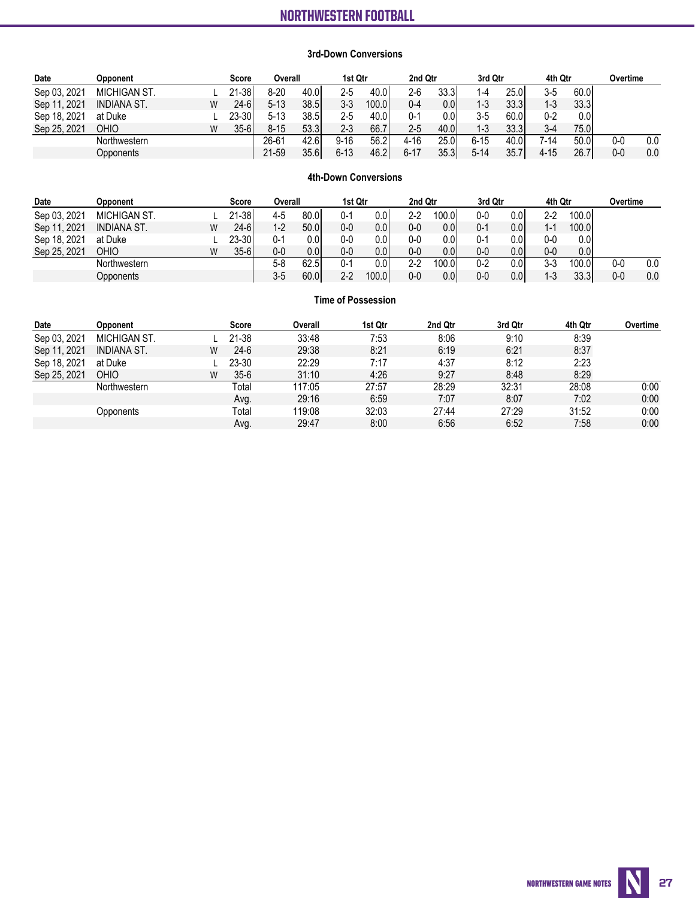### **3rd-Down Conversions**

| Date         | <b>Opponent</b> |   | <b>Score</b> | Overall  |       | 1st Qtr  |        | 2nd Qtr |       | 3rd Qtr  |      | 4th Qtr |                   | Overtime |     |
|--------------|-----------------|---|--------------|----------|-------|----------|--------|---------|-------|----------|------|---------|-------------------|----------|-----|
| Sep 03, 2021 | MICHIGAN ST.    |   | 21-38l       | $8-20$   | 40.OI | 2-5      | 40.0   | $2-6$   | 33.31 | $1 - 4$  | 25.0 | $3-5$   | 60.01             |          |     |
| Sep 11, 2021 | INDIANA ST.     | W | $24 - 61$    | $5 - 13$ | 38.5  | $3 - 3$  | 100.0l | $0 - 4$ | 0.01  | $1 - 3$  | 33.3 | $1 - 3$ | 33.3 <sub>1</sub> |          |     |
| Sep 18, 2021 | at Duke         |   | 23-30I       | $5 - 13$ | 38.5l | 2-5      | 40.0   | $0 - 1$ | 0.01  | $3-5$    | 60.0 | $0 - 2$ | 0.0               |          |     |
| Sep 25, 2021 | <b>OHIO</b>     | W | $35-6$       | $8 - 15$ | 53.31 | $2 - 3$  | 66.7   | 2-5     | 40.0  | 1-3      | 33.3 | $3 - 4$ | 75.0              |          |     |
|              | Northwestern    |   |              | 26-61    | 42.61 | $9 - 16$ | 56.2   | 4-16    | 25.0I | 6-15     | 40.0 | 7-14    | 50.0              | 0-0      | 0.0 |
|              | Opponents       |   |              | 21-59    | 35.6  | $6 - 13$ | 46.2   | 6-17    | 35.3  | $5 - 14$ | 35.7 | 4-15    | 26.7              | $0-0$    | 0.0 |

### **4th-Down Conversions**

| Date         | <b>Opponent</b>     |   | Score  | Overall |       | 1st Qtr |       | 2nd Qtr |                  | 3rd Qtr |      | 4th Qtr |                   | Overtime |     |
|--------------|---------------------|---|--------|---------|-------|---------|-------|---------|------------------|---------|------|---------|-------------------|----------|-----|
| Sep 03, 2021 | <b>MICHIGAN ST.</b> |   | 21-38  | 4-5     | 80.01 | 0-1     | 0.01  | $2-2$   | 100.0            | $0 - 0$ | 0.0  | $2 - 2$ | 100.0             |          |     |
| Sep 11, 2021 | <b>INDIANA ST.</b>  | W | $24-6$ | 1-2     | 50.0  | 0-0     | 0.01  | $0-0$   | 0.0 <sub>l</sub> | $0 - 1$ | 0.01 | $1 - 1$ | 100.0             |          |     |
| Sep 18, 2021 | at Duke             |   | 23-30  | 0-1     | 0.OI  | 0-0     | 0.OI  | $0-0$   | 0.01             | $0 - 1$ | 0.0  | 0-0     | 0.01              |          |     |
| Sep 25, 2021 | <b>OHIO</b>         | W | $35-6$ | 0-0     | 0.OI  | 0-0     | 0.01  | $0-0$   | 0.01             | $0-0$   | 0.0  | $0 - 0$ | 0.01              |          |     |
|              | Northwestern        |   |        | $5-8$   | 62.5  | 0-1     | 0.OI  | $2-2$   | 100.01           | $0 - 2$ | 0.0  | $3-3$   | 100.0l            | 0-0      | 0.0 |
|              | Opponents           |   |        | $3-5$   | 60.01 | $2-2$   | 100.0 | $0-0$   | 0.0 <sub>l</sub> | $0-0$   | 0.0  | $1 - 3$ | 33.3 <sub>1</sub> | $0-0$    | 0.0 |

### **Time of Possession**

| Date         | <b>Opponent</b>     |   | Score  | Overall | 1st Qtr | 2nd Qtr | 3rd Qtr | 4th Qtr | Overtime |
|--------------|---------------------|---|--------|---------|---------|---------|---------|---------|----------|
| Sep 03, 2021 | <b>MICHIGAN ST.</b> |   | 21-38  | 33:48   | 7:53    | 8:06    | 9:10    | 8:39    |          |
| Sep 11, 2021 | <b>INDIANA ST.</b>  | W | $24-6$ | 29:38   | 8:21    | 6:19    | 6:21    | 8:37    |          |
| Sep 18, 2021 | at Duke             |   | 23-30  | 22:29   | 7:17    | 4:37    | 8:12    | 2:23    |          |
| Sep 25, 2021 | <b>OHIO</b>         | W | $35-6$ | 31:10   | 4:26    | 9:27    | 8:48    | 8:29    |          |
|              | Northwestern        |   | Total  | 117:05  | 27:57   | 28:29   | 32:31   | 28:08   | 0:00     |
|              |                     |   | Avq.   | 29:16   | 6:59    | 7:07    | 8:07    | 7:02    | 0:00     |
|              | Opponents           |   | Total  | 119:08  | 32:03   | 27:44   | 27:29   | 31:52   | 0:00     |
|              |                     |   | Avg.   | 29:47   | 8:00    | 6:56    | 6:52    | 7:58    | 0:00     |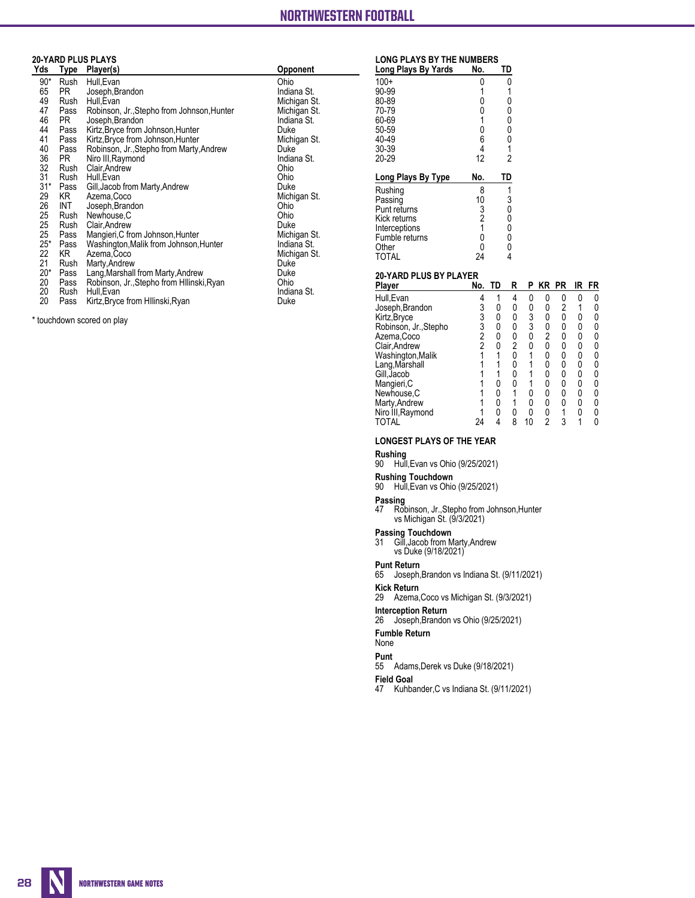# NORTHWESTERN FOOTBALL

**The Automated ScoreBook**

# **20-YARD PLUS PLAYS**

| Yds   | <u>Type</u> | Player(s)                                  | <b>Opponent</b> |
|-------|-------------|--------------------------------------------|-----------------|
| $90*$ | Rush        | Hull.Evan                                  | Ohio            |
| 65    | PR          | Joseph, Brandon                            | Indiana St.     |
| 49    | Rush        | Hull, Evan                                 | Michigan St.    |
| 47    | Pass        | Robinson, Jr., Stepho from Johnson, Hunter | Michigan St.    |
| 46    | PR.         | Joseph, Brandon                            | Indiana St.     |
| 44    | Pass        | Kirtz, Bryce from Johnson, Hunter          | Duke            |
| 41    | Pass        | Kirtz, Bryce from Johnson, Hunter          | Michigan St.    |
| 40    | Pass        | Robinson, Jr., Stepho from Marty, Andrew   | Duke            |
| 36    | PR.         | Niro III, Raymond                          | Indiana St.     |
| 32    | Rush        | Clair, Andrew                              | Ohio            |
| 31    | Rush        | Hull, Evan                                 | Ohio            |
| $31*$ | Pass        | Gill, Jacob from Marty, Andrew             | Duke            |
| 29    | KR I        | Azema, Coco                                | Michigan St.    |
| 26    | INT         | Joseph, Brandon                            | Ohio            |
| 25    | Rush        | Newhouse, C                                | Ohio            |
| 25    | Rush        | Clair, Andrew                              | Duke            |
| 25    | Pass        | Mangieri, C from Johnson, Hunter           | Michigan St.    |
| $25*$ | Pass        | Washington, Malik from Johnson, Hunter     | Indiana St.     |
| 22    | KR          | Azema, Coco                                | Michigan St.    |
| 21    | Rush        | Marty, Andrew                              | Duke            |
| $20*$ | Pass        | Lang, Marshall from Marty, Andrew          | Duke            |
| 20    | Pass        | Robinson, Jr., Stepho from Hilinski, Ryan  | Ohio            |
| 20    | Rush        | Hull, Evan                                 | Indiana St.     |
| 20    | Pass        | Kirtz, Bryce from Hllinski, Ryan           | Duke            |

\* touchdown scored on play

### **LONG PLAYS BY THE NUMBERS**

| Long Plays By Yards | No.            | TD             |
|---------------------|----------------|----------------|
| $100+$              | 0              | 0              |
| 90-99               | 1              | 1              |
| 80-89               | 0              | 0              |
| 70-79               | 0              | 0              |
| 60-69               | 1              | 0<br>0         |
| 50-59               | 0              |                |
| 40-49               | 6              | 0              |
| 30-39               | 4              | 1              |
| 20-29               | 12             | $\overline{2}$ |
|                     |                |                |
| Long Plays By Type  | No.            | TD             |
|                     | 8              |                |
| Rushing<br>Passing  | 10             | 1              |
| Punt returns        | 3              | 3<br>0         |
| Kick returns        | $\overline{2}$ | 0              |
| Interceptions       | 1              | 0              |
| Fumble returns      | 0              | 0              |
| Other<br>TOTAL      | 0              | 0<br>4         |

# **20-YARD PLUS BY PLAYER**

| Player                | No.            | TD | R              | Р | ΚR | PR | IR. | FR |
|-----------------------|----------------|----|----------------|---|----|----|-----|----|
| Hull, Evan            |                |    | 4              | 0 | 0  | 0  | 0   |    |
| Joseph, Brandon       | 3              |    | 0              | 0 | 0  | 2  |     |    |
| Kirtz, Bryce          | 3<br>3         |    | 0              | 3 | 0  | 0  | 0   |    |
| Robinson, Jr., Stepho |                | N  | 0              | 3 | 0  | 0  | 0   |    |
| Azema, Coco           | $\overline{c}$ |    | 0              | 0 | 2  |    | 0   |    |
| Clair, Andrew         | $\mathfrak{p}$ |    | $\overline{2}$ | 0 | 0  | 0  | 0   |    |
| Washington, Malik     |                |    |                |   |    | 0  | 0   |    |
| Lang, Marshall        |                |    |                |   |    | 0  | 0   |    |
| Gill, Jacob           |                |    | ŋ              |   |    | N  | N   |    |
| Mangieri, C           |                |    | N              |   |    | 0  | 0   |    |
| Newhouse, C           |                |    |                | 0 | 0  | 0  | 0   |    |
| Marty, Andrew         |                |    |                |   |    | n  | 0   |    |
| Niro III, Raymond     |                |    | 0              |   |    |    |     |    |
| TOTAL                 | 24             |    | 8              |   | 2  |    |     |    |

### **LONGEST PLAYS OF THE YEAR**

**Rushing**

90 Hull,Evan vs Ohio (9/25/2021)

### **Rushing Touchdown**

90 Hull,Evan vs Ohio (9/25/2021)

### **Passing**

47 Robinson, Jr.,Stepho from Johnson,Hunter vs Michigan St. (9/3/2021)

### **Passing Touchdown**

31 Gill,Jacob from Marty,Andrew vs Duke (9/18/2021)

### **Punt Return**

65 Joseph,Brandon vs Indiana St. (9/11/2021)

### **Kick Return**

29 Azema,Coco vs Michigan St. (9/3/2021)

### **Interception Return**

26 Joseph,Brandon vs Ohio (9/25/2021)

### **Fumble Return**

None

**Punt**

55 Adams,Derek vs Duke (9/18/2021)

### **Field Goal**

47 Kuhbander,C vs Indiana St. (9/11/2021)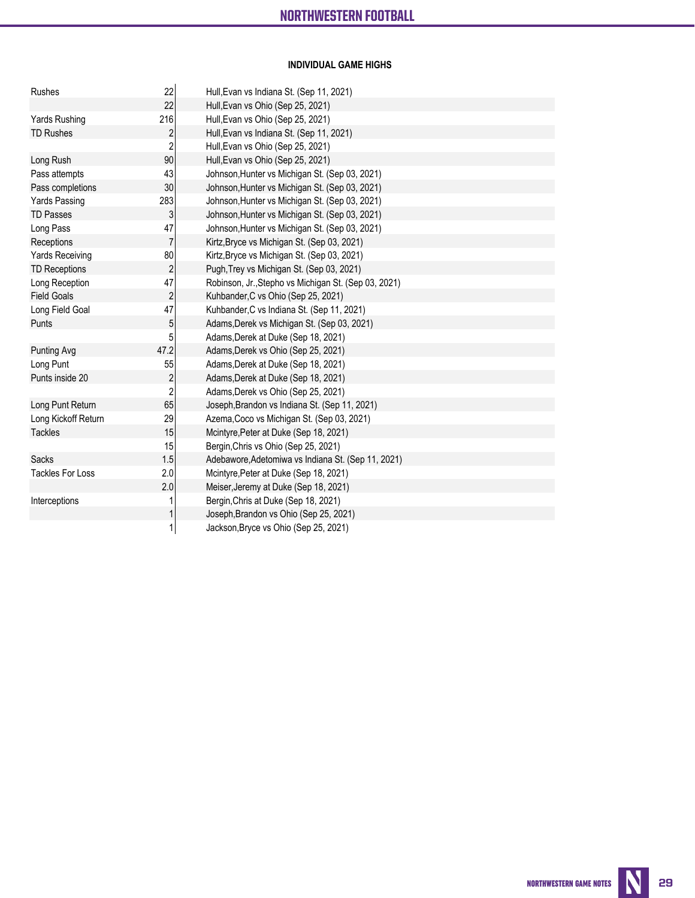# **INDIVIDUAL GAME HIGHS**

| Rushes                  | 22                | Hull, Evan vs Indiana St. (Sep 11, 2021)                                        |
|-------------------------|-------------------|---------------------------------------------------------------------------------|
|                         | 22                | Hull, Evan vs Ohio (Sep 25, 2021)                                               |
| Yards Rushing           | 216               | Hull, Evan vs Ohio (Sep 25, 2021)                                               |
| <b>TD Rushes</b>        | $\overline{2}$    | Hull, Evan vs Indiana St. (Sep 11, 2021)                                        |
|                         | $\sqrt{2}$        | Hull, Evan vs Ohio (Sep 25, 2021)                                               |
| Long Rush               | 90                | Hull, Evan vs Ohio (Sep 25, 2021)                                               |
| Pass attempts           | 43                | Johnson, Hunter vs Michigan St. (Sep 03, 2021)                                  |
| Pass completions        | 30                | Johnson, Hunter vs Michigan St. (Sep 03, 2021)                                  |
| <b>Yards Passing</b>    | 283               | Johnson, Hunter vs Michigan St. (Sep 03, 2021)                                  |
| <b>TD Passes</b>        | 3                 | Johnson, Hunter vs Michigan St. (Sep 03, 2021)                                  |
| Long Pass               | 47                | Johnson, Hunter vs Michigan St. (Sep 03, 2021)                                  |
| Receptions              | $\overline{7}$    | Kirtz, Bryce vs Michigan St. (Sep 03, 2021)                                     |
| <b>Yards Receiving</b>  | 80                | Kirtz, Bryce vs Michigan St. (Sep 03, 2021)                                     |
| <b>TD Receptions</b>    | $\sqrt{2}$        | Pugh, Trey vs Michigan St. (Sep 03, 2021)                                       |
| Long Reception          | 47                | Robinson, Jr., Stepho vs Michigan St. (Sep 03, 2021)                            |
| <b>Field Goals</b>      | $\sqrt{2}$        | Kuhbander, C vs Ohio (Sep 25, 2021)                                             |
| Long Field Goal         | 47                | Kuhbander, C vs Indiana St. (Sep 11, 2021)                                      |
| Punts                   | $\overline{5}$    | Adams, Derek vs Michigan St. (Sep 03, 2021)                                     |
|                         | 5                 | Adams, Derek at Duke (Sep 18, 2021)                                             |
| Punting Avg             | 47.2              | Adams, Derek vs Ohio (Sep 25, 2021)                                             |
| Long Punt               | 55                | Adams, Derek at Duke (Sep 18, 2021)                                             |
| Punts inside 20         | $\sqrt{2}$        | Adams, Derek at Duke (Sep 18, 2021)                                             |
|                         | $\overline{2}$    | Adams, Derek vs Ohio (Sep 25, 2021)                                             |
| Long Punt Return        | 65                | Joseph, Brandon vs Indiana St. (Sep 11, 2021)                                   |
| Long Kickoff Return     | 29                | Azema, Coco vs Michigan St. (Sep 03, 2021)                                      |
| <b>Tackles</b>          | 15                | Mcintyre, Peter at Duke (Sep 18, 2021)                                          |
|                         | 15                | Bergin, Chris vs Ohio (Sep 25, 2021)                                            |
| <b>Sacks</b>            | 1.5               | Adebawore, Adetomiwa vs Indiana St. (Sep 11, 2021)                              |
| <b>Tackles For Loss</b> | 2.0               | Mcintyre, Peter at Duke (Sep 18, 2021)                                          |
|                         | 2.0               | Meiser, Jeremy at Duke (Sep 18, 2021)                                           |
| Interceptions           | 1                 | Bergin, Chris at Duke (Sep 18, 2021)                                            |
|                         |                   |                                                                                 |
|                         |                   |                                                                                 |
|                         | $\mathbf{1}$<br>1 | Joseph, Brandon vs Ohio (Sep 25, 2021)<br>Jackson, Bryce vs Ohio (Sep 25, 2021) |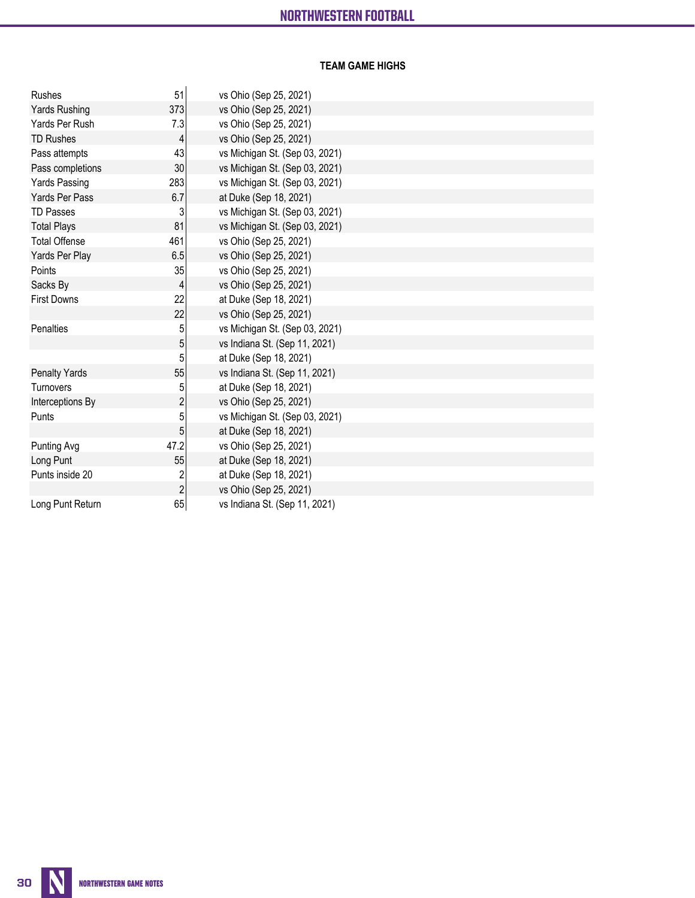# **TEAM GAME HIGHS**

| Rushes               | 51                      | vs Ohio (Sep 25, 2021)         |
|----------------------|-------------------------|--------------------------------|
| Yards Rushing        | 373                     | vs Ohio (Sep 25, 2021)         |
| Yards Per Rush       | 7.3                     | vs Ohio (Sep 25, 2021)         |
| <b>TD Rushes</b>     | 4                       | vs Ohio (Sep 25, 2021)         |
| Pass attempts        | 43                      | vs Michigan St. (Sep 03, 2021) |
| Pass completions     | 30                      | vs Michigan St. (Sep 03, 2021) |
| <b>Yards Passing</b> | 283                     | vs Michigan St. (Sep 03, 2021) |
| Yards Per Pass       | 6.7                     | at Duke (Sep 18, 2021)         |
| <b>TD Passes</b>     | 3                       | vs Michigan St. (Sep 03, 2021) |
| <b>Total Plays</b>   | 81                      | vs Michigan St. (Sep 03, 2021) |
| <b>Total Offense</b> | 461                     | vs Ohio (Sep 25, 2021)         |
| Yards Per Play       | 6.5                     | vs Ohio (Sep 25, 2021)         |
| Points               | 35                      | vs Ohio (Sep 25, 2021)         |
| Sacks By             | 4                       | vs Ohio (Sep 25, 2021)         |
| <b>First Downs</b>   | 22                      | at Duke (Sep 18, 2021)         |
|                      | 22                      | vs Ohio (Sep 25, 2021)         |
| Penalties            | 5                       | vs Michigan St. (Sep 03, 2021) |
|                      | 5                       | vs Indiana St. (Sep 11, 2021)  |
|                      | 5                       | at Duke (Sep 18, 2021)         |
| <b>Penalty Yards</b> | 55                      | vs Indiana St. (Sep 11, 2021)  |
| <b>Turnovers</b>     | 5                       | at Duke (Sep 18, 2021)         |
| Interceptions By     | $\overline{c}$          | vs Ohio (Sep 25, 2021)         |
| Punts                | 5                       | vs Michigan St. (Sep 03, 2021) |
|                      | 5                       | at Duke (Sep 18, 2021)         |
| <b>Punting Avg</b>   | 47.2                    | vs Ohio (Sep 25, 2021)         |
| Long Punt            | 55                      | at Duke (Sep 18, 2021)         |
| Punts inside 20      | $\overline{\mathbf{c}}$ | at Duke (Sep 18, 2021)         |
|                      | $\overline{c}$          | vs Ohio (Sep 25, 2021)         |
| Long Punt Return     | 65                      | vs Indiana St. (Sep 11, 2021)  |